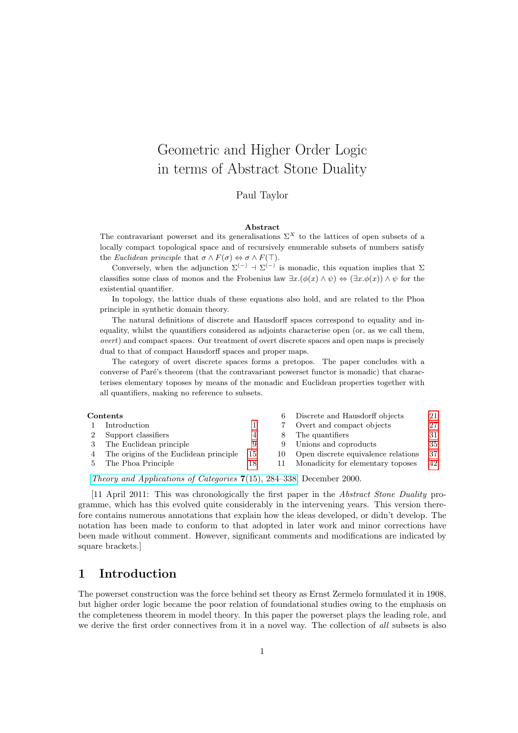# Geometric and Higher Order Logic in terms of Abstract Stone Duality

Paul Taylor

#### Abstract

The contravariant powerset and its generalisations  $\Sigma^X$  to the lattices of open subsets of a locally compact topological space and of recursively enumerable subsets of numbers satisfy the Euclidean principle that  $\sigma \wedge F(\sigma) \Leftrightarrow \sigma \wedge F(\top)$ .

Conversely, when the adjunction  $\Sigma^{(-)}$  +  $\Sigma^{(-)}$  is monadic, this equation implies that  $\Sigma$ classifies some class of monos and the Frobenius law  $\exists x.(\phi(x) \land \psi) \Leftrightarrow (\exists x.\phi(x)) \land \psi$  for the existential quantifier.

In topology, the lattice duals of these equations also hold, and are related to the Phoa principle in synthetic domain theory.

The natural definitions of discrete and Hausdorff spaces correspond to equality and inequality, whilst the quantifiers considered as adjoints characterise open (or, as we call them, overt) and compact spaces. Our treatment of overt discrete spaces and open maps is precisely dual to that of compact Hausdorff spaces and proper maps.

The category of overt discrete spaces forms a pretopos. The paper concludes with a converse of Paré's theorem (that the contravariant powerset functor is monadic) that characterises elementary toposes by means of the monadic and Euclidean properties together with all quantifiers, making no reference to subsets.

| $\rm{Contents}$ |                                         |    | 6   | Discrete and Hausdorff objects      | 21 |
|-----------------|-----------------------------------------|----|-----|-------------------------------------|----|
|                 | Introduction                            |    |     | Overt and compact objects           | 27 |
|                 | Support classifiers                     |    |     | The quantifiers                     | 31 |
|                 | The Euclidean principle                 | 9  |     | Unions and coproducts               | 35 |
|                 | The origins of the Euclidean principle. | 15 | 10. | Open discrete equivalence relations | 37 |
|                 | The Phoa Principle                      | 18 |     | Monadicity for elementary toposes   | 42 |
|                 |                                         |    |     |                                     |    |

[Theory and Applications of Categories](http://tac.mta.ca/tac/volumes/7/15/7-15abs.html) 7(15), 284–338, December 2000.

[11 April 2011: This was chronologically the first paper in the Abstract Stone Duality programme, which has this evolved quite considerably in the intervening years. This version therefore contains numerous annotations that explain how the ideas developed, or didn't develop. The notation has been made to conform to that adopted in later work and minor corrections have been made without comment. However, significant comments and modifications are indicated by square brackets.]

### <span id="page-0-0"></span>1 Introduction

The powerset construction was the force behind set theory as Ernst Zermelo formulated it in 1908, but higher order logic became the poor relation of foundational studies owing to the emphasis on the completeness theorem in model theory. In this paper the powerset plays the leading role, and we derive the first order connectives from it in a novel way. The collection of all subsets is also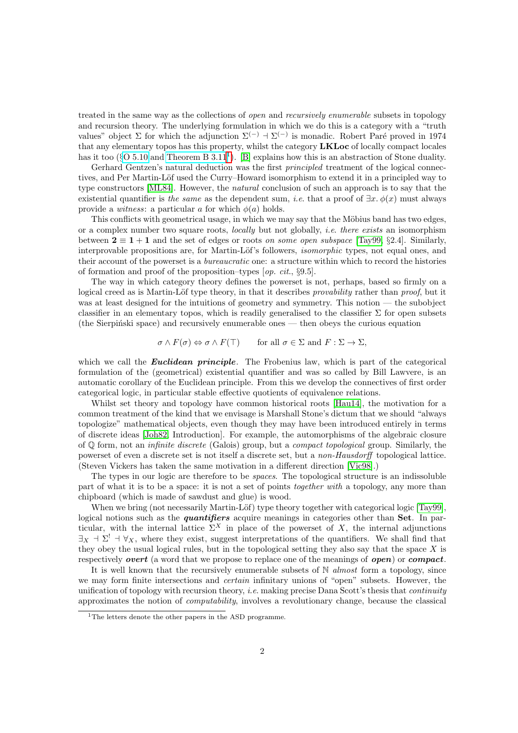treated in the same way as the collections of open and recursively enumerable subsets in topology and recursion theory. The underlying formulation in which we do this is a category with a "truth values" object  $\Sigma$  for which the adjunction  $\Sigma^{(-)}$  +  $\Sigma^{(-)}$  is monadic. Robert Paré proved in 1974 that any elementary topos has this property, whilst the category LKLoc of locally compact locales has it too ( $\S$ [O 5.10](http://PaulTaylor.EU/ASD/foufct/sigsplit#LKLoc) and [Theorem B 3.11](http://PaulTaylor.EU/ASD/subasd/spatial#LKLoc monadic)<sup>[1](#page-1-0)</sup>). [\[B\]](#page-48-0) explains how this is an abstraction of Stone duality.

Gerhard Gentzen's natural deduction was the first *principled* treatment of the logical connectives, and Per Martin-Löf used the Curry–Howard isomorphism to extend it in a principled way to type constructors [\[ML84\]](#page-47-0). However, the natural conclusion of such an approach is to say that the existential quantifier is the same as the dependent sum, i.e. that a proof of  $\exists x.\phi(x)$  must always provide a *witness*: a particular a for which  $\phi(a)$  holds.

This conflicts with geometrical usage, in which we may say that the Möbius band has two edges, or a complex number two square roots, locally but not globally, i.e. there exists an isomorphism between  $2 \equiv 1 + 1$  and the set of edges or roots on some open subspace [\[Tay99,](#page-47-1) §2.4]. Similarly, interprovable propositions are, for Martin-Löf's followers, *isomorphic* types, not equal ones, and their account of the powerset is a bureaucratic one: a structure within which to record the histories of formation and proof of the proposition–types [op. cit., §9.5].

The way in which category theory defines the powerset is not, perhaps, based so firmly on a logical creed as is Martin-Löf type theory, in that it describes *provability* rather than *proof*, but it was at least designed for the intuitions of geometry and symmetry. This notion — the subobject classifier in an elementary topos, which is readily generalised to the classifier  $\Sigma$  for open subsets  $(the Sierpiński space)$  and recursively enumerable ones — then obeys the curious equation

 $\sigma \wedge F(\sigma) \Leftrightarrow \sigma \wedge F(\top)$  for all  $\sigma \in \Sigma$  and  $F : \Sigma \to \Sigma$ ,

which we call the **Euclidean principle**. The Frobenius law, which is part of the categorical formulation of the (geometrical) existential quantifier and was so called by Bill Lawvere, is an automatic corollary of the Euclidean principle. From this we develop the connectives of first order categorical logic, in particular stable effective quotients of equivalence relations.

Whilst set theory and topology have common historical roots [\[Hau14\]](#page-46-0), the motivation for a common treatment of the kind that we envisage is Marshall Stone's dictum that we should "always topologize" mathematical objects, even though they may have been introduced entirely in terms of discrete ideas [\[Joh82,](#page-46-1) Introduction]. For example, the automorphisms of the algebraic closure of  $\mathbb Q$  form, not an *infinite discrete* (Galois) group, but a *compact topological* group. Similarly, the powerset of even a discrete set is not itself a discrete set, but a non-Hausdorff topological lattice. (Steven Vickers has taken the same motivation in a different direction [\[Vic98\]](#page-47-2).)

The types in our logic are therefore to be spaces. The topological structure is an indissoluble part of what it is to be a space: it is not a set of points together with a topology, any more than chipboard (which is made of sawdust and glue) is wood.

When we bring (not necessarily Martin-Löf) type theory together with categorical logic [\[Tay99\]](#page-47-1). logical notions such as the *quantifiers* acquire meanings in categories other than Set. In particular, with the internal lattice  $\Sigma^X$  in place of the powerset of X, the internal adjunctions  $\exists$ <sub>X</sub>  $\exists$   $\subseteq$ <sup>1</sup>  $\forall$ <sub>X</sub>, where they exist, suggest interpretations of the quantifiers. We shall find that they obey the usual logical rules, but in the topological setting they also say that the space  $X$  is respectively *overt* (a word that we propose to replace one of the meanings of *open*) or *compact*.

It is well known that the recursively enumerable subsets of  $\mathbb N$  almost form a topology, since we may form finite intersections and *certain* infinitary unions of "open" subsets. However, the unification of topology with recursion theory, *i.e.* making precise Dana Scott's thesis that *continuity* approximates the notion of computability, involves a revolutionary change, because the classical

<span id="page-1-0"></span><sup>&</sup>lt;sup>1</sup>The letters denote the other papers in the ASD programme.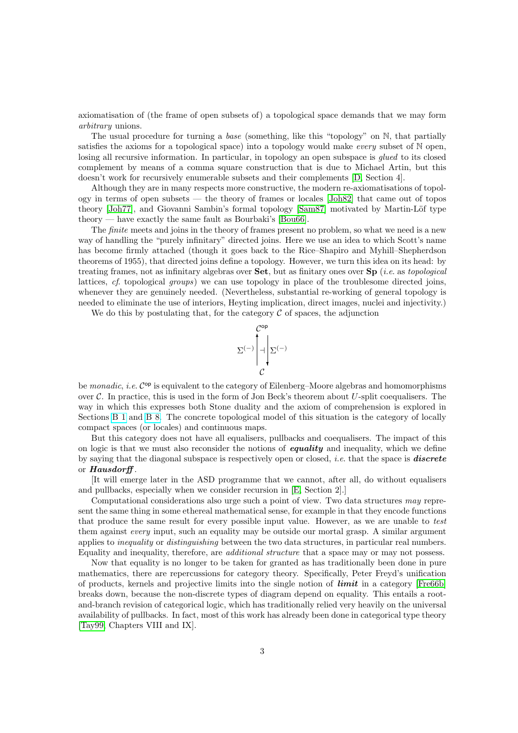axiomatisation of (the frame of open subsets of) a topological space demands that we may form arbitrary unions.

The usual procedure for turning a base (something, like this "topology" on N, that partially satisfies the axioms for a topological space) into a topology would make *every* subset of  $N$  open, losing all recursive information. In particular, in topology an open subspace is *glued* to its closed complement by means of a comma square construction that is due to Michael Artin, but this doesn't work for recursively enumerable subsets and their complements [\[D,](#page-48-1) Section 4].

Although they are in many respects more constructive, the modern re-axiomatisations of topology in terms of open subsets — the theory of frames or locales [\[Joh82\]](#page-46-1) that came out of topos theory [\[Joh77\]](#page-46-2), and Giovanni Sambin's formal topology [\[Sam87\]](#page-47-3) motivated by Martin-Löf type theory — have exactly the same fault as Bourbaki's [\[Bou66\]](#page-45-0).

The *finite* meets and joins in the theory of frames present no problem, so what we need is a new way of handling the "purely infinitary" directed joins. Here we use an idea to which Scott's name has become firmly attached (though it goes back to the Rice–Shapiro and Myhill–Shepherdson theorems of 1955), that directed joins define a topology. However, we turn this idea on its head: by treating frames, not as infinitary algebras over **Set**, but as finitary ones over **Sp** (*i.e.* as topological lattices, cf. topological groups) we can use topology in place of the troublesome directed joins, whenever they are genuinely needed. (Nevertheless, substantial re-working of general topology is needed to eliminate the use of interiors, Heyting implication, direct images, nuclei and injectivity.)

We do this by postulating that, for the category  $\mathcal C$  of spaces, the adjunction



be monadic, i.e. C<sup>op</sup> is equivalent to the category of Eilenberg–Moore algebras and homomorphisms over  $\mathcal C$ . In practice, this is used in the form of Jon Beck's theorem about U-split coequalisers. The way in which this expresses both Stone duality and the axiom of comprehension is explored in Sections [B 1](http://PaulTaylor.EU/ASD/subasd/subsptop#closed subspace) and [B 8.](http://PaulTaylor.EU/ASD/subasd/compreh) The concrete topological model of this situation is the category of locally compact spaces (or locales) and continuous maps.

But this category does not have all equalisers, pullbacks and coequalisers. The impact of this on logic is that we must also reconsider the notions of **equality** and inequality, which we define by saying that the diagonal subspace is respectively open or closed, *i.e.* that the space is **discrete** or Hausdorff .

[It will emerge later in the ASD programme that we cannot, after all, do without equalisers and pullbacks, especially when we consider recursion in [\[E,](#page-48-2) Section 2].]

Computational considerations also urge such a point of view. Two data structures may represent the same thing in some ethereal mathematical sense, for example in that they encode functions that produce the same result for every possible input value. However, as we are unable to test them against every input, such an equality may be outside our mortal grasp. A similar argument applies to inequality or distinguishing between the two data structures, in particular real numbers. Equality and inequality, therefore, are additional structure that a space may or may not possess.

Now that equality is no longer to be taken for granted as has traditionally been done in pure mathematics, there are repercussions for category theory. Specifically, Peter Freyd's unification of products, kernels and projective limits into the single notion of limit in a category [\[Fre66b\]](#page-46-3) breaks down, because the non-discrete types of diagram depend on equality. This entails a rootand-branch revision of categorical logic, which has traditionally relied very heavily on the universal availability of pullbacks. In fact, most of this work has already been done in categorical type theory [\[Tay99,](#page-47-1) Chapters VIII and IX].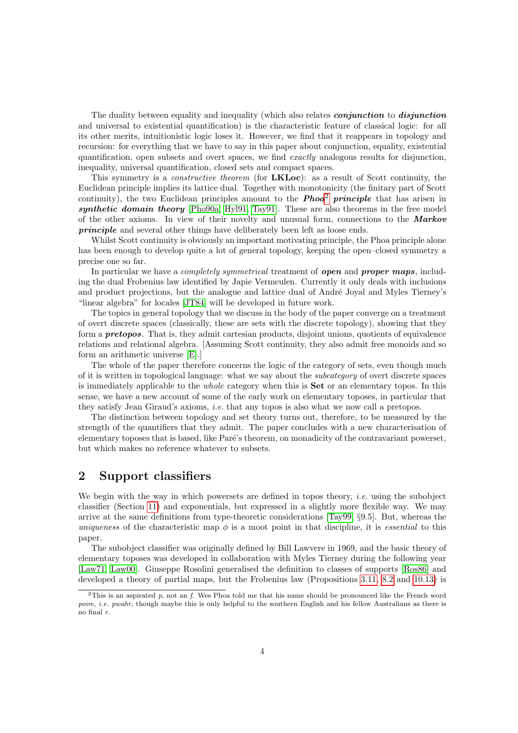The duality between equality and inequality (which also relates *conjunction* to *disjunction* and universal to existential quantification) is the characteristic feature of classical logic: for all its other merits, intuitionistic logic loses it. However, we find that it reappears in topology and recursion: for everything that we have to say in this paper about conjunction, equality, existential quantification, open subsets and overt spaces, we find exactly analogous results for disjunction, inequality, universal quantification, closed sets and compact spaces.

This symmetry is a *constructive theorem* (for **LKLoc**): as a result of Scott continuity, the Euclidean principle implies its lattice dual. Together with monotonicity (the finitary part of Scott continuity), the two Euclidean principles amount to the **Phoa<sup>[2](#page-3-1)</sup>** principle that has arisen in synthetic domain theory [\[Pho90a,](#page-47-4) [Hyl91,](#page-46-4) [Tay91\]](#page-47-5). These are also theorems in the free model of the other axioms. In view of their novelty and unusual form, connections to the Markov principle and several other things have deliberately been left as loose ends.

Whilst Scott continuity is obviously an important motivating principle, the Phoa principle alone has been enough to develop quite a lot of general topology, keeping the open–closed symmetry a precise one so far.

In particular we have a *completely symmetrical* treatment of *open* and *proper maps*, including the dual Frobenius law identified by Japie Vermeulen. Currently it only deals with inclusions and product projections, but the analogue and lattice dual of André Joyal and Myles Tierney's "linear algebra" for locales [\[JT84\]](#page-46-5) will be developed in future work.

The topics in general topology that we discuss in the body of the paper converge on a treatment of overt discrete spaces (classically, these are sets with the discrete topology), showing that they form a **pretopos**. That is, they admit cartesian products, disjoint unions, quotients of equivalence relations and relational algebra. [Assuming Scott continuity, they also admit free monoids and so form an arithmetic universe [\[E\]](#page-48-2).]

The whole of the paper therefore concerns the logic of the category of sets, even though much of it is written in topological language: what we say about the subcategory of overt discrete spaces is immediately applicable to the *whole* category when this is **Set** or an elementary topos. In this sense, we have a new account of some of the early work on elementary toposes, in particular that they satisfy Jean Giraud's axioms, i.e. that any topos is also what we now call a pretopos.

The distinction between topology and set theory turns out, therefore, to be measured by the strength of the quantifiers that they admit. The paper concludes with a new characterisation of elementary toposes that is based, like Paré's theorem, on monadicity of the contravariant powerset, but which makes no reference whatever to subsets.

# <span id="page-3-0"></span>2 Support classifiers

We begin with the way in which powersets are defined in topos theory, *i.e.* using the subobject classifier (Section [11\)](#page-41-0) and exponentials, but expressed in a slightly more flexible way. We may arrive at the same definitions from type-theoretic considerations [\[Tay99,](#page-47-1) §9.5]. But, whereas the uniqueness of the characteristic map  $\phi$  is a moot point in that discipline, it is essential to this paper.

The subobject classifier was originally defined by Bill Lawvere in 1969, and the basic theory of elementary toposes was developed in collaboration with Myles Tierney during the following year [\[Law71,](#page-46-6) [Law00\]](#page-46-7). Giuseppe Rosolini generalised the definition to classes of supports [\[Ros86\]](#page-47-6) and developed a theory of partial maps, but the Frobenius law (Propositions [3.11,](#page-13-0) [8.2](#page-30-1) and [10.13\)](#page-40-0) is

<span id="page-3-1"></span><sup>&</sup>lt;sup>2</sup>This is an aspirated p, not an f. Wes Phoa told me that his name should be pronounced like the French word poire, *i.e. pwahr*, though maybe this is only helpful to the southern English and his fellow Australians as there is no final r.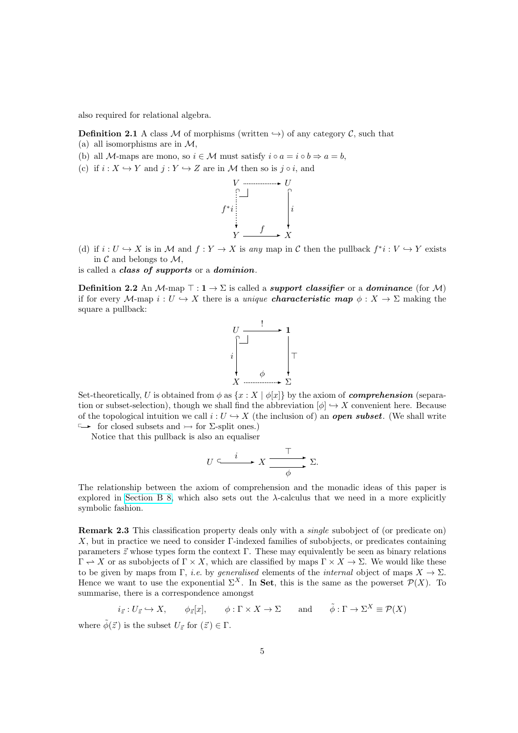also required for relational algebra.

**Definition 2.1** A class M of morphisms (written  $\rightarrow$ ) of any category C, such that

- (a) all isomorphisms are in  $\mathcal{M}$ ,
- (b) all M-maps are mono, so  $i \in \mathcal{M}$  must satisfy  $i \circ a = i \circ b \Rightarrow a = b$ ,
- (c) if  $i : X \hookrightarrow Y$  and  $j : Y \hookrightarrow Z$  are in M then so is j  $\circ i$ , and



(d) if  $i: U \hookrightarrow X$  is in M and  $f: Y \to X$  is any map in C then the pullback  $f^*i: V \hookrightarrow Y$  exists in  $\mathcal C$  and belongs to  $\mathcal M$ ,

<span id="page-4-0"></span>is called a class of supports or a dominion.

**Definition 2.2** An M-map  $\top : 1 \to \Sigma$  is called a *support classifier* or a *dominance* (for M) if for every M-map  $i: U \hookrightarrow X$  there is a unique **characteristic map**  $\phi: X \to \Sigma$  making the square a pullback:



Set-theoretically, U is obtained from  $\phi$  as  $\{x : X \mid \phi[x]\}$  by the axiom of **comprehension** (separation or subset-selection), though we shall find the abbreviation  $[\phi] \hookrightarrow X$  convenient here. Because of the topological intuition we call  $i: U \hookrightarrow X$  (the inclusion of) an *open subset*. (We shall write  $\longrightarrow$  for closed subsets and  $\rightarrow$  for  $\Sigma$ -split ones.)

Notice that this pullback is also an equaliser

$$
U \xrightarrow{i} X \xrightarrow{\top} \Sigma.
$$

The relationship between the axiom of comprehension and the monadic ideas of this paper is explored in [Section B 8,](http://PaulTaylor.EU/ASD/subasd/compreh) which also sets out the  $\lambda$ -calculus that we need in a more explicitly symbolic fashion.

Remark 2.3 This classification property deals only with a *single* subobject of (or predicate on) X, but in practice we need to consider Γ-indexed families of subobjects, or predicates containing parameters  $\vec{z}$  whose types form the context Γ. These may equivalently be seen as binary relations  $\Gamma \to X$  or as subobjects of  $\Gamma \times X$ , which are classified by maps  $\Gamma \times X \to \Sigma$ . We would like these to be given by maps from Γ, *i.e.* by *generalised* elements of the *internal* object of maps  $X \to \Sigma$ . Hence we want to use the exponential  $\Sigma^X$ . In Set, this is the same as the powerset  $\mathcal{P}(X)$ . To summarise, there is a correspondence amongst

$$
i_{\vec{z}}: U_{\vec{z}} \hookrightarrow X
$$
,  $\phi_{\vec{z}}[x]$ ,  $\phi: \Gamma \times X \to \Sigma$  and  $\tilde{\phi}: \Gamma \to \Sigma^X \equiv \mathcal{P}(X)$ 

where  $\tilde{\phi}(\vec{z})$  is the subset  $U_{\vec{z}}$  for  $(\vec{z}) \in \Gamma$ .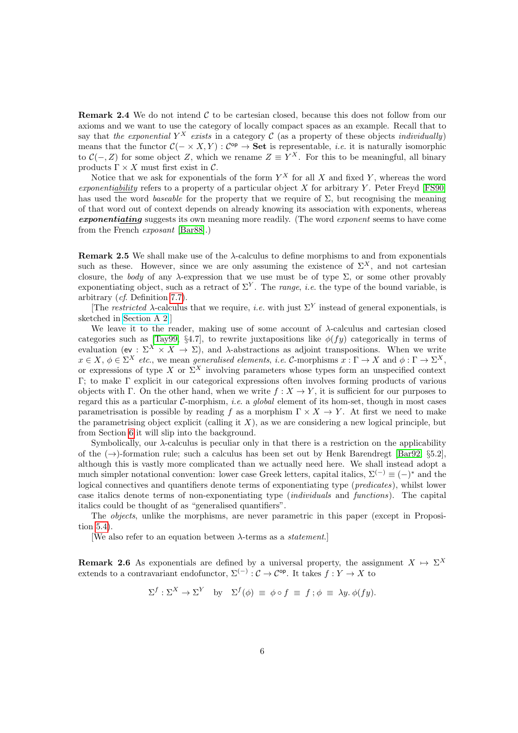**Remark 2.4** We do not intend  $\mathcal{C}$  to be cartesian closed, because this does not follow from our axioms and we want to use the category of locally compact spaces as an example. Recall that to say that the exponential  $Y^X$  exists in a category C (as a property of these objects individually) means that the functor  $C(- \times X, Y) : C^{op} \to \mathbf{Set}$  is representable, *i.e.* it is naturally isomorphic to  $\mathcal{C}(-, Z)$  for some object Z, which we rename  $Z \equiv Y^X$ . For this to be meaningful, all binary products  $\Gamma \times X$  must first exist in  $\mathcal{C}$ .

Notice that we ask for exponentials of the form  $Y^X$  for all X and fixed Y, whereas the word exponentiability refers to a property of a particular object  $X$  for arbitrary  $Y$ . Peter Freyd [\[FS90\]](#page-46-8) has used the word baseable for the property that we require of  $\Sigma$ , but recognising the meaning of that word out of context depends on already knowing its association with exponents, whereas exponentiating suggests its own meaning more readily. (The word exponent seems to have come from the French exposant [\[Bar88\]](#page-45-1).)

<span id="page-5-0"></span>**Remark 2.5** We shall make use of the  $\lambda$ -calculus to define morphisms to and from exponentials such as these. However, since we are only assuming the existence of  $\Sigma^X$ , and not cartesian closure, the body of any  $\lambda$ -expression that we use must be of type  $\Sigma$ , or some other provably exponentiating object, such as a retract of  $\Sigma^{Y}$ . The *range*, *i.e.* the type of the bound variable, is arbitrary (cf. Definition [7.7\)](#page-27-0).

[The restricted  $\lambda$ -calculus that we require, *i.e.* with just  $\Sigma^{Y}$  instead of general exponentials, is sketched in [Section A 2.](http://PaulTaylor.EU/ASD/sobsc/restrlambda)]

We leave it to the reader, making use of some account of  $\lambda$ -calculus and cartesian closed categories such as [\[Tay99,](#page-47-1) §4.7], to rewrite juxtapositions like  $\phi(fy)$  categorically in terms of evaluation (ev :  $\Sigma^X \times X \to \Sigma$ ), and  $\lambda$ -abstractions as adjoint transpositions. When we write  $x \in X$ ,  $\phi \in \Sigma^X$  etc., we mean generalised elements, i.e. C-morphisms  $x : \Gamma \to X$  and  $\phi : \Gamma \to \Sigma^X$ , or expressions of type X or  $\Sigma^X$  involving parameters whose types form an unspecified context Γ; to make Γ explicit in our categorical expressions often involves forming products of various objects with Γ. On the other hand, when we write  $f: X \to Y$ , it is sufficient for our purposes to regard this as a particular  $C$ -morphism, *i.e.* a *global* element of its hom-set, though in most cases parametrisation is possible by reading f as a morphism  $\Gamma \times X \to Y$ . At first we need to make the parametrising object explicit (calling it  $X$ ), as we are considering a new logical principle, but from Section [6](#page-20-0) it will slip into the background.

Symbolically, our  $\lambda$ -calculus is peculiar only in that there is a restriction on the applicability of the  $(\rightarrow)$ -formation rule; such a calculus has been set out by Henk Barendregt [\[Bar92,](#page-45-2) §5.2], although this is vastly more complicated than we actually need here. We shall instead adopt a much simpler notational convention: lower case Greek letters, capital italics,  $\Sigma^{(-)} \equiv (-)^*$  and the logical connectives and quantifiers denote terms of exponentiating type (*predicates*), whilst lower case italics denote terms of non-exponentiating type (individuals and functions). The capital italics could be thought of as "generalised quantifiers".

The objects, unlike the morphisms, are never parametric in this paper (except in Proposition [5.4\)](#page-18-0).

[We also refer to an equation between  $\lambda$ -terms as a *statement*.]

**Remark 2.6** As exponentials are defined by a universal property, the assignment  $X \mapsto \Sigma^X$ extends to a contravariant endofunctor,  $\Sigma^{(-)}$  :  $\mathcal{C} \to \mathcal{C}^{\text{op}}$ . It takes  $f: Y \to X$  to

$$
\Sigma^f : \Sigma^X \to \Sigma^Y \quad \text{by} \quad \Sigma^f(\phi) \equiv \phi \circ f \equiv f \, ; \phi \equiv \lambda y. \, \phi(fy).
$$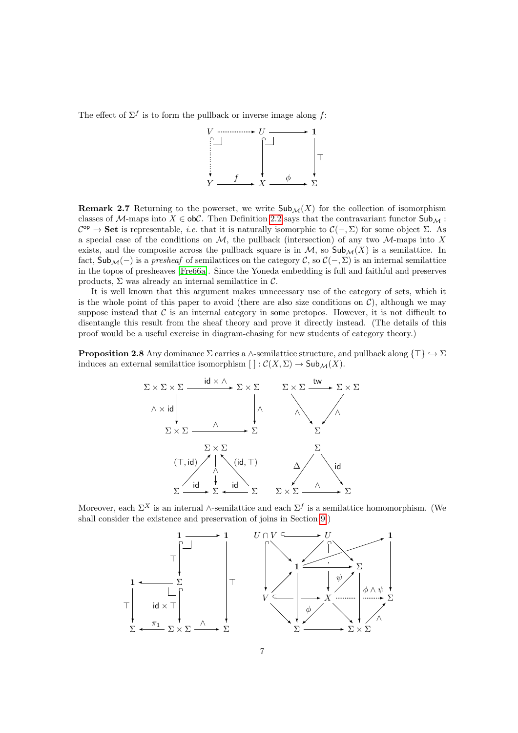The effect of  $\Sigma^f$  is to form the pullback or inverse image along f:



**Remark 2.7** Returning to the powerset, we write  $\mathsf{Sub}_{\mathcal{M}}(X)$  for the collection of isomorphism classes of M-maps into  $X \in ob\mathcal{C}$ . Then Definition [2.2](#page-4-0) says that the contravariant functor  $Sub_\mathcal{M}$ :  $\mathcal{C}^{\text{op}} \to \mathbf{Set}$  is representable, *i.e.* that it is naturally isomorphic to  $\mathcal{C}(-,\Sigma)$  for some object  $\Sigma$ . As a special case of the conditions on  $M$ , the pullback (intersection) of any two  $M$ -maps into X exists, and the composite across the pullback square is in  $M$ , so  $\mathsf{Sub}_{\mathcal{M}}(X)$  is a semilattice. In fact,  $\mathsf{Sub}_{\mathcal{M}}(-)$  is a presheaf of semilattices on the category C, so  $\mathcal{C}(-, \Sigma)$  is an internal semilattice in the topos of presheaves [\[Fre66a\]](#page-46-9). Since the Yoneda embedding is full and faithful and preserves products,  $\Sigma$  was already an internal semilattice in  $\mathcal{C}$ .

It is well known that this argument makes unnecessary use of the category of sets, which it is the whole point of this paper to avoid (there are also size conditions on  $\mathcal{C}$ ), although we may suppose instead that  $\mathcal C$  is an internal category in some pretopos. However, it is not difficult to disentangle this result from the sheaf theory and prove it directly instead. (The details of this proof would be a useful exercise in diagram-chasing for new students of category theory.)

<span id="page-6-0"></span>**Proposition 2.8** Any dominance  $\Sigma$  carries a ∧-semilattice structure, and pullback along  $\{\top\} \hookrightarrow \Sigma$ induces an external semilattice isomorphism  $[\ ]: \mathcal{C}(X,\Sigma) \to \mathsf{Sub}_{\mathcal{M}}(X).$ 



Moreover, each  $\Sigma^X$  is an internal ∧-semilattice and each  $\Sigma^f$  is a semilattice homomorphism. (We shall consider the existence and preservation of joins in Section [9.](#page-34-0))

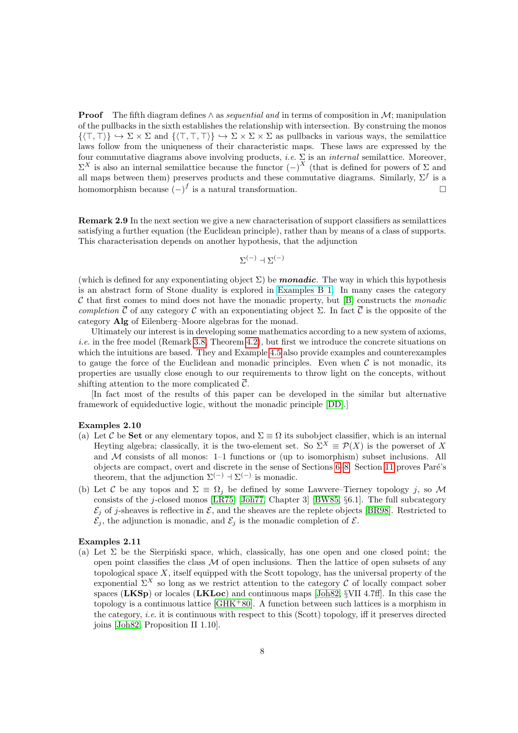**Proof** The fifth diagram defines  $\land$  as *sequential and* in terms of composition in M; manipulation of the pullbacks in the sixth establishes the relationship with intersection. By construing the monos  $\{(\top, \top) \} \hookrightarrow \Sigma \times \Sigma$  and  $\{(\top, \top, \top) \} \hookrightarrow \Sigma \times \Sigma \times \Sigma$  as pullbacks in various ways, the semilattice laws follow from the uniqueness of their characteristic maps. These laws are expressed by the four commutative diagrams above involving products, i.e.  $\Sigma$  is an internal semilattice. Moreover,  $\Sigma^X$  is also an internal semilattice because the functor  $(-)^X$  (that is defined for powers of Σ and all maps between them) preserves products and these commutative diagrams. Similarly,  $\Sigma^f$  is a homomorphism because  $(-)^f$  is a natural transformation.

Remark 2.9 In the next section we give a new characterisation of support classifiers as semilattices satisfying a further equation (the Euclidean principle), rather than by means of a class of supports. This characterisation depends on another hypothesis, that the adjunction

$$
\Sigma^{(-)}\dashv\Sigma^{(-)}
$$

(which is defined for any exponentiating object  $\Sigma$ ) be **monadic**. The way in which this hypothesis is an abstract form of Stone duality is explored in [Examples B 1.](http://PaulTaylor.EU/ASD/subasd/subsptop#closed subspace) In many cases the category  $\mathcal C$  that first comes to mind does not have the monadic property, but [\[B\]](#page-48-0) constructs the *monadic* completion  $\overline{C}$  of any category C with an exponentiating object  $\Sigma$ . In fact  $\overline{C}$  is the opposite of the category Alg of Eilenberg–Moore algebras for the monad.

Ultimately our interest is in developing some mathematics according to a new system of axioms, *i.e.* in the free model (Remark [3.8,](#page-11-0) Theorem [4.2\)](#page-14-1), but first we introduce the concrete situations on which the intuitions are based. They and Example [4.5](#page-15-0) also provide examples and counterexamples to gauge the force of the Euclidean and monadic principles. Even when  $\mathcal C$  is not monadic, its properties are usually close enough to our requirements to throw light on the concepts, without shifting attention to the more complicated  $\overline{C}$ .

[In fact most of the results of this paper can be developed in the similar but alternative framework of equideductive logic, without the monadic principle [\[DD\]](#page-48-3).]

#### Examples 2.10

- (a) Let C be Set or any elementary topos, and  $\Sigma \equiv \Omega$  its subobject classifier, which is an internal Heyting algebra; classically, it is the two-element set. So  $\Sigma^X = \mathcal{P}(X)$  is the powerset of X and  $M$  consists of all monos: 1–1 functions or (up to isomorphism) subset inclusions. All objects are compact, overt and discrete in the sense of Sections  $6-8$ . Section [11](#page-41-0) proves Paré's theorem, that the adjunction  $\Sigma^{(-)} \dashv \Sigma^{(-)}$  is monadic.
- <span id="page-7-1"></span>(b) Let C be any topos and  $\Sigma = \Omega_i$  be defined by some Lawvere–Tierney topology j, so M consists of the j-closed monos  $[LR75]$  [\[Joh77,](#page-46-2) Chapter 3] [\[BW85,](#page-45-3) §6.1]. The full subcategory  $\mathcal{E}_i$  of j-sheaves is reflective in  $\mathcal{E}_i$ , and the sheaves are the replete objects [\[BR98\]](#page-45-4). Restricted to  $\mathcal{E}_j$ , the adjunction is monadic, and  $\mathcal{E}_j$  is the monadic completion of  $\mathcal{E}_i$ .

#### <span id="page-7-0"></span>Examples 2.11

(a) Let  $\Sigma$  be the Sierpinski space, which, classically, has one open and one closed point; the open point classifies the class  $M$  of open inclusions. Then the lattice of open subsets of any topological space  $X$ , itself equipped with the Scott topology, has the universal property of the exponential  $\Sigma^X$  so long as we restrict attention to the category C of locally compact sober spaces (LKSp) or locales (LKLoc) and continuous maps [\[Joh82,](#page-46-1) §VII 4.7ff]. In this case the topology is a continuous lattice [\[GHK](#page-46-10)<sup>+</sup>80]. A function between such lattices is a morphism in the category, *i.e.* it is continuous with respect to this (Scott) topology, iff it preserves directed joins [\[Joh82,](#page-46-1) Proposition II 1.10].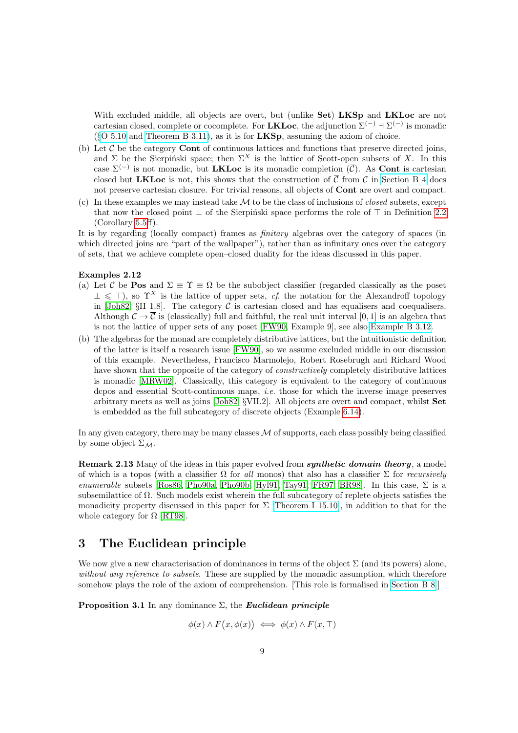With excluded middle, all objects are overt, but (unlike Set) LKSp and LKLoc are not cartesian closed, complete or cocomplete. For **LKLoc**, the adjunction  $\Sigma^{(-)}$  +  $\Sigma^{(-)}$  is monadic  $(\S$ [O 5.10](http://PaulTaylor.EU/ASD/foufct/sigsplit#LKLoc) and [Theorem B 3.11\)](http://PaulTaylor.EU/ASD/subasd/spatial#LKLoc monadic), as it is for **LKSp**, assuming the axiom of choice.

- (b) Let  $\mathcal C$  be the category **Cont** of continuous lattices and functions that preserve directed joins, and  $\Sigma$  be the Sierpinski space; then  $\Sigma^X$  is the lattice of Scott-open subsets of X. In this case  $\Sigma^{(-)}$  is not monadic, but **LKLoc** is its monadic completion  $(\overline{C})$ . As **Cont** is cartesian closed but LKLoc is not, this shows that the construction of  $\overline{C}$  from C in [Section B 4](http://PaulTaylor.EU/ASD/subasd/adding) does not preserve cartesian closure. For trivial reasons, all objects of Cont are overt and compact.
- (c) In these examples we may instead take  $M$  to be the class of inclusions of *closed* subsets, except that now the closed point  $\perp$  of the Sierpiński space performs the role of  $\top$  in Definition [2.2](#page-4-0) (Corollary [5.5ff](#page-18-1)).

It is by regarding (locally compact) frames as finitary algebras over the category of spaces (in which directed joins are "part of the wallpaper"), rather than as infinitary ones over the category of sets, that we achieve complete open–closed duality for the ideas discussed in this paper.

#### <span id="page-8-3"></span>Examples 2.12

- (a) Let C be **Pos** and  $\Sigma \equiv \Upsilon \equiv \Omega$  be the subobject classifier (regarded classically as the poset  $\perp \leq \top$ , so  $\Upsilon^X$  is the lattice of upper sets, cf. the notation for the Alexandroff topology in [\[Joh82,](#page-46-1) §II 1.8]. The category  $\mathcal C$  is cartesian closed and has equalisers and coequalisers. Although  $\mathcal{C} \to \overline{\mathcal{C}}$  is (classically) full and faithful, the real unit interval [0, 1] is an algebra that is not the lattice of upper sets of any poset [\[FW90,](#page-46-11) Example 9], see also [Example B 3.12.](http://PaulTaylor.EU/ASD/subasd/spatial#unit interval)
- (b) The algebras for the monad are completely distributive lattices, but the intuitionistic definition of the latter is itself a research issue [\[FW90\]](#page-46-11), so we assume excluded middle in our discussion of this example. Nevertheless, Francisco Marmolejo, Robert Rosebrugh and Richard Wood have shown that the opposite of the category of *constructively* completely distributive lattices is monadic [\[MRW02\]](#page-47-8). Classically, this category is equivalent to the category of continuous dcpos and essential Scott-continuous maps, i.e. those for which the inverse image preserves arbitrary meets as well as joins [\[Joh82,](#page-46-1) §VII.2]. All objects are overt and compact, whilst Set is embedded as the full subcategory of discrete objects (Example [6.14\)](#page-25-0).

In any given category, there may be many classes  $M$  of supports, each class possibly being classified by some object  $\Sigma_M$ .

<span id="page-8-2"></span>Remark 2.13 Many of the ideas in this paper evolved from *synthetic domain theory*, a model of which is a topos (with a classifier  $\Omega$  for all monos) that also has a classifier  $\Sigma$  for *recursively* enumerable subsets [\[Ros86,](#page-47-6) [Pho90a,](#page-47-4) [Pho90b,](#page-47-9) [Hyl91,](#page-46-4) [Tay91,](#page-47-5) [FR97,](#page-46-12) [BR98\]](#page-45-4). In this case,  $\Sigma$  is a subsemilattice of Ω. Such models exist wherein the full subcategory of replete objects satisfies the monadicity property discussed in this paper for  $\Sigma$  [\[Theorem I 15.10\]](http://PaulTaylor.EU/ASD/dedras/othertheories#Eff^A), in addition to that for the whole category for  $\Omega$  [\[RT98\]](#page-47-10).

# <span id="page-8-0"></span>3 The Euclidean principle

We now give a new characterisation of dominances in terms of the object  $\Sigma$  (and its powers) alone, without any reference to subsets. These are supplied by the monadic assumption, which therefore somehow plays the role of the axiom of comprehension. [This role is formalised in [Section B 8.](http://PaulTaylor.EU/ASD/subasd/compreh)]

<span id="page-8-1"></span>**Proposition 3.1** In any dominance  $\Sigma$ , the *Euclidean principle* 

$$
\phi(x) \land F(x, \phi(x)) \iff \phi(x) \land F(x, \top)
$$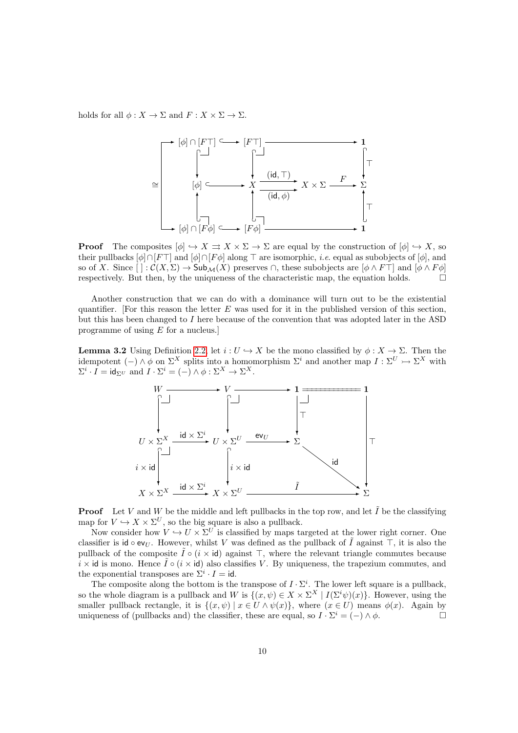holds for all  $\phi: X \to \Sigma$  and  $F: X \times \Sigma \to \Sigma$ .



**Proof** The composites  $[\phi] \hookrightarrow X \rightrightarrows X \times \Sigma \rightarrow \Sigma$  are equal by the construction of  $[\phi] \hookrightarrow X$ , so their pullbacks  $[\phi] \cap [F\top]$  and  $[\phi] \cap [F\phi]$  along  $\top$  are isomorphic, *i.e.* equal as subobjects of  $[\phi]$ , and so of X. Since  $\left[\right] : \mathcal{C}(X,\Sigma) \to \mathsf{Sub}_{\mathcal{M}}(X)$  preserves  $\cap$ , these subobjects are  $\left[\phi \wedge F\top\right]$  and  $\left[\phi \wedge F\phi\right]$ respectively. But then, by the uniqueness of the characteristic map, the equation holds.  $\Box$ 

Another construction that we can do with a dominance will turn out to be the existential quantifier. [For this reason the letter  $E$  was used for it in the published version of this section, but this has been changed to  $I$  here because of the convention that was adopted later in the ASD programme of using E for a nucleus.]

<span id="page-9-0"></span>**Lemma 3.2** Using Definition [2.2,](#page-4-0) let  $i: U \hookrightarrow X$  be the mono classified by  $\phi: X \to \Sigma$ . Then the idempotent  $(-) \wedge \phi$  on  $\Sigma^X$  splits into a homomorphism  $\Sigma^i$  and another map  $I : \Sigma^U \rightarrow \Sigma^X$  with  $\Sigma^i \cdot I = \mathsf{id}_{\Sigma^U} \text{ and } I \cdot \Sigma^i = (-) \wedge \phi : \Sigma^X \to \Sigma^X.$ 



**Proof** Let V and W be the middle and left pullbacks in the top row, and let  $\tilde{I}$  be the classifying map for  $V \hookrightarrow X \times \Sigma^U$ , so the big square is also a pullback.

Now consider how  $V \hookrightarrow U \times \Sigma^U$  is classified by maps targeted at the lower right corner. One classifier is id  $\circ$  ev<sub>U</sub>. However, whilst V was defined as the pullback of  $\tilde{I}$  against  $\top$ , it is also the pullback of the composite  $\tilde{I} \circ (i \times id)$  against  $\top$ , where the relevant triangle commutes because  $i \times i$ d is mono. Hence  $\hat{I} \circ (i \times id)$  also classifies V. By uniqueness, the trapezium commutes, and the exponential transposes are  $\Sigma^i \cdot I = id$ .

The composite along the bottom is the transpose of  $I \cdot \Sigma^i$ . The lower left square is a pullback, so the whole diagram is a pullback and W is  $\{(x,\psi) \in X \times \Sigma^X \mid I(\Sigma^i \psi)(x)\}\)$ . However, using the smaller pullback rectangle, it is  $\{(x, \psi) | x \in U \wedge \psi(x)\}\$ , where  $(x \in U)$  means  $\phi(x)$ . Again by uniqueness of (pullbacks and) the classifier, these are equal, so  $I \cdot \Sigma^i = (-) \wedge \phi$ .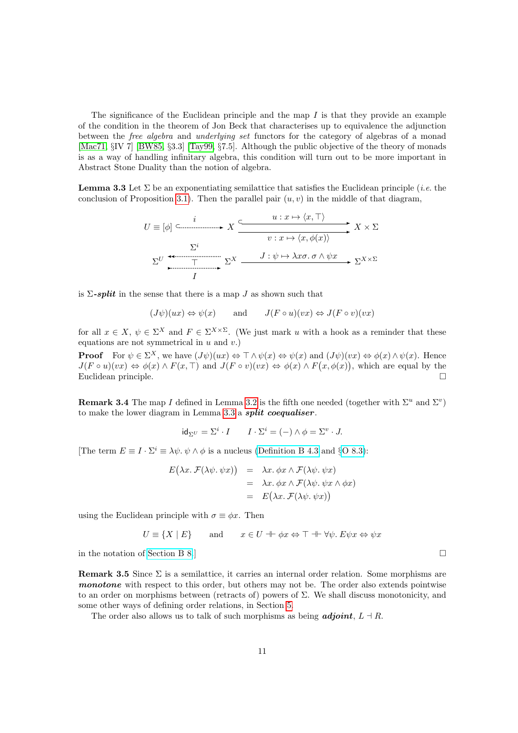The significance of the Euclidean principle and the map  $I$  is that they provide an example of the condition in the theorem of Jon Beck that characterises up to equivalence the adjunction between the free algebra and underlying set functors for the category of algebras of a monad [\[Mac71,](#page-47-11) §IV 7] [\[BW85,](#page-45-3) §3.3] [\[Tay99,](#page-47-1) §7.5]. Although the public objective of the theory of monads is as a way of handling infinitary algebra, this condition will turn out to be more important in Abstract Stone Duality than the notion of algebra.

<span id="page-10-0"></span>**Lemma 3.3** Let  $\Sigma$  be an exponentiating semilattice that satisfies the Euclidean principle (*i.e.* the conclusion of Proposition [3.1\)](#page-8-1). Then the parallel pair  $(u, v)$  in the middle of that diagram,

$$
U \equiv [\phi] \xrightarrow{i} X \xrightarrow{u: x \mapsto \langle x, \top \rangle} X \times \Sigma
$$
  

$$
\Sigma^{i} \xrightarrow{J: \psi \mapsto \lambda x \sigma. \sigma \wedge \psi x} \Sigma^{X \times \Sigma}
$$
  

$$
\Sigma^{U} \xrightarrow{T} \Sigma^{X} \xrightarrow{J: \psi \mapsto \lambda x \sigma. \sigma \wedge \psi x} \Sigma^{X \times \Sigma}
$$

is  $\Sigma$ -split in the sense that there is a map J as shown such that

 $(J\psi)(ux) \Leftrightarrow \psi(x)$  and  $J(F \circ u)(vx) \Leftrightarrow J(F \circ v)(vx)$ 

for all  $x \in X$ ,  $\psi \in \Sigma^X$  and  $F \in \Sigma^{X \times \Sigma}$ . (We just mark u with a hook as a reminder that these equations are not symmetrical in  $u$  and  $v$ .

**Proof** For  $\psi \in \Sigma^X$ , we have  $(J\psi)(ux) \Leftrightarrow \top \wedge \psi(x) \Leftrightarrow \psi(x)$  and  $(J\psi)(vx) \Leftrightarrow \phi(x) \wedge \psi(x)$ . Hence  $J(F \circ u)(vx) \Leftrightarrow \phi(x) \wedge F(x, \top)$  and  $J(F \circ v)(vx) \Leftrightarrow \phi(x) \wedge F(x, \phi(x))$ , which are equal by the Euclidean principle.

**Remark 3.4** The map I defined in Lemma [3.2](#page-9-0) is the fifth one needed (together with  $\Sigma^u$  and  $\Sigma^v$ ) to make the lower diagram in Lemma [3.3](#page-10-0) a split coequaliser.

$$
\mathrm{id}_{\Sigma^U} = \Sigma^i \cdot I \qquad I \cdot \Sigma^i = (-) \wedge \phi = \Sigma^v \cdot J.
$$

[The term  $E \equiv I \cdot \Sigma^i \equiv \lambda \psi \cdot \psi \wedge \phi$  is a nucleus [\(Definition B 4.3](http://PaulTaylor.EU/ASD/subasd/adding#nucleus) and §[O 8.3\)](http://PaulTaylor.EU/ASD/foufct/phoa#Euclid=nucleus):

$$
E(\lambda x. \mathcal{F}(\lambda \psi. \psi x)) = \lambda x. \phi x \wedge \mathcal{F}(\lambda \psi. \psi x)
$$
  
=  $\lambda x. \phi x \wedge \mathcal{F}(\lambda \psi. \psi x \wedge \phi x)$   
=  $E(\lambda x. \mathcal{F}(\lambda \psi. \psi x))$ 

using the Euclidean principle with  $\sigma \equiv \phi x$ . Then

$$
U \equiv \{ X \mid E \} \qquad \text{and} \qquad x \in U \dashv \vdash \phi x \Leftrightarrow \top \dashv \vdash \forall \psi. \ E \psi x \Leftrightarrow \psi x
$$

<span id="page-10-1"></span>in the notation of [Section B 8.](http://PaulTaylor.EU/ASD/subasd/compreh)]  $\Box$ 

**Remark 3.5** Since  $\Sigma$  is a semilattice, it carries an internal order relation. Some morphisms are monotone with respect to this order, but others may not be. The order also extends pointwise to an order on morphisms between (retracts of) powers of  $\Sigma$ . We shall discuss monotonicity, and some other ways of defining order relations, in Section [5.](#page-17-0)

The order also allows us to talk of such morphisms as being **adjoint**,  $L \dashv R$ .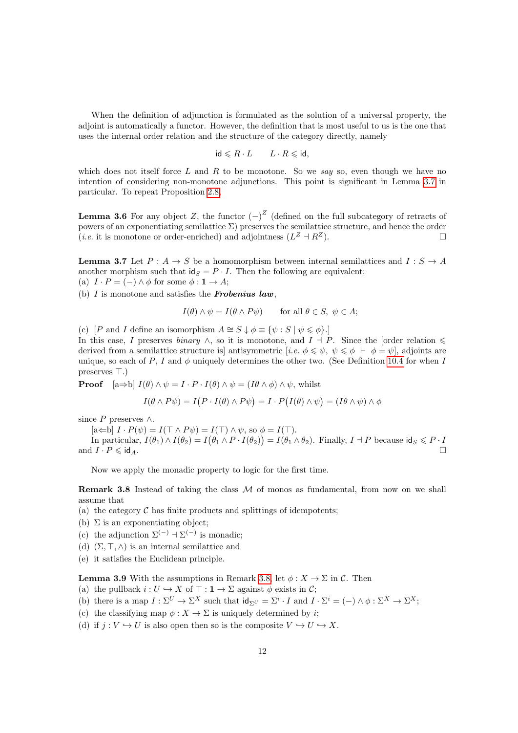When the definition of adjunction is formulated as the solution of a universal property, the adjoint is automatically a functor. However, the definition that is most useful to us is the one that uses the internal order relation and the structure of the category directly, namely

$$
\mathsf{id} \leqslant R \cdot L \qquad L \cdot R \leqslant \mathsf{id},
$$

which does not itself force  $L$  and  $R$  to be monotone. So we say so, even though we have no intention of considering non-monotone adjunctions. This point is significant in Lemma [3.7](#page-11-1) in particular. To repeat Proposition [2.8,](#page-6-0)

<span id="page-11-3"></span>**Lemma 3.6** For any object Z, the functor  $(-)^Z$  (defined on the full subcategory of retracts of powers of an exponentiating semilattice  $\Sigma$ ) preserves the semilattice structure, and hence the order (*i.e.* it is monotone or order-enriched) and adjointness  $(L^Z + R^Z)$ .

<span id="page-11-1"></span>**Lemma 3.7** Let  $P: A \to S$  be a homomorphism between internal semilattices and  $I: S \to A$ another morphism such that  $\mathsf{id}_S = P \cdot I$ . Then the following are equivalent:

(a)  $I \cdot P = (-) \wedge \phi$  for some  $\phi : \mathbf{1} \to A$ ;

(b)  $I$  is monotone and satisfies the **Frobenius law**,

$$
I(\theta) \wedge \psi = I(\theta \wedge P\psi) \quad \text{for all } \theta \in S, \ \psi \in A;
$$

(c) [P and I define an isomorphism  $A \cong S \downarrow \phi \equiv {\psi : S \mid \psi \leq \phi}.$ ]

In this case, I preserves binary  $\wedge$ , so it is monotone, and  $I \dashv P$ . Since the [order relation  $\leq$ derived from a semilattice structure is antisymmetric [i.e.  $\phi \leq \psi$ ,  $\psi \leq \phi \vdash \phi = \psi$ ], adjoints are unique, so each of P, I and  $\phi$  uniquely determines the other two. (See Definition [10.4](#page-37-0) for when I preserves  $\top$ .)

**Proof**  $[a\Rightarrow b]$   $I(\theta) \land \psi = I \cdot P \cdot I(\theta) \land \psi = (I\theta \land \phi) \land \psi$ , whilst

$$
I(\theta \wedge P\psi) = I(P \cdot I(\theta) \wedge P\psi) = I \cdot P(I(\theta) \wedge \psi) = (I\theta \wedge \psi) \wedge \phi
$$

since  $P$  preserves ∧.

 $[a \leftarrow b]$   $I \cdot P(\psi) = I(\top \wedge P \psi) = I(\top) \wedge \psi$ , so  $\phi = I(\top)$ .

In particular,  $I(\theta_1) \wedge I(\theta_2) = I(\theta_1 \wedge P \cdot I(\theta_2)) = I(\theta_1 \wedge \theta_2)$ . Finally,  $I \dashv P$  because  $\mathsf{id}_S \leqslant P \cdot I$ and  $I \cdot P \leq \mathsf{id}_A$ .

Now we apply the monadic property to logic for the first time.

<span id="page-11-0"></span>**Remark 3.8** Instead of taking the class  $M$  of monos as fundamental, from now on we shall assume that

- (a) the category  $\mathcal C$  has finite products and splittings of idempotents:
- (b)  $\Sigma$  is an exponentiating object;
- (c) the adjunction  $\Sigma^{(-)} \to \Sigma^{(-)}$  is monadic;
- (d)  $(\Sigma, \top, \wedge)$  is an internal semilattice and
- <span id="page-11-2"></span>(e) it satisfies the Euclidean principle.

**Lemma 3.9** With the assumptions in Remark [3.8,](#page-11-0) let  $\phi: X \to \Sigma$  in C. Then

- (a) the pullback  $i: U \hookrightarrow X$  of  $\top : \mathbf{1} \to \Sigma$  against  $\phi$  exists in C;
- (b) there is a map  $I : \Sigma^U \to \Sigma^X$  such that  $\mathrm{id}_{\Sigma^U} = \Sigma^i \cdot I$  and  $I \cdot \Sigma^i = (-) \wedge \phi : \Sigma^X \to \Sigma^X$ ;
- (c) the classifying map  $\phi: X \to \Sigma$  is uniquely determined by *i*;
- (d) if  $i: V \hookrightarrow U$  is also open then so is the composite  $V \hookrightarrow U \hookrightarrow X$ .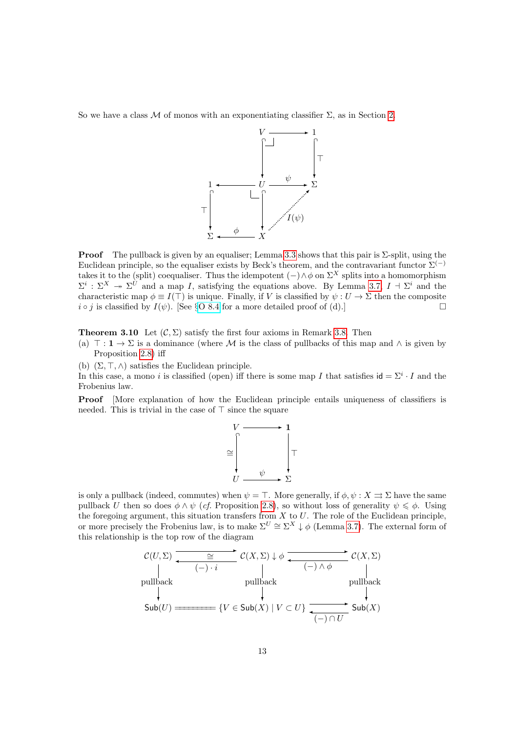So we have a class M of monos with an exponentiating classifier  $\Sigma$ , as in Section [2.](#page-3-0)



**Proof** The pullback is given by an equaliser; Lemma [3.3](#page-10-0) shows that this pair is  $\Sigma$ -split, using the Euclidean principle, so the equaliser exists by Beck's theorem, and the contravariant functor  $\Sigma^{(-)}$ takes it to the (split) coequaliser. Thus the idempotent  $(-)\wedge \phi$  on  $\Sigma^X$  splits into a homomorphism  $\Sigma^i$ :  $\Sigma^X \twoheadrightarrow \Sigma^{U}$  and a map I, satisfying the equations above. By Lemma [3.7,](#page-11-1)  $I \dashv \Sigma^i$  and the characteristic map  $\phi \equiv I(\top)$  is unique. Finally, if V is classified by  $\psi : U \to \Sigma$  then the composite  $i \circ j$  is classified by  $I(\psi)$ . [See §[O 8.4](http://PaulTaylor.EU/ASD/foufct/phoa#Euclid=Rosolini) for a more detailed proof of (d).]

<span id="page-12-0"></span>**Theorem 3.10** Let  $(C, \Sigma)$  satisfy the first four axioms in Remark [3.8.](#page-11-0) Then

(a)  $\top : \mathbf{1} \to \Sigma$  is a dominance (where M is the class of pullbacks of this map and  $\wedge$  is given by Proposition [2.8\)](#page-6-0) iff

(b)  $(\Sigma, \top, \wedge)$  satisfies the Euclidean principle.

In this case, a mono i is classified (open) iff there is some map I that satisfies  $id = \sum^{i} I$  and the Frobenius law.

Proof [More explanation of how the Euclidean principle entails uniqueness of classifiers is needed. This is trivial in the case of  $\top$  since the square



is only a pullback (indeed, commutes) when  $\psi = \top$ . More generally, if  $\phi, \psi : X \rightrightarrows \Sigma$  have the same pullback U then so does  $\phi \wedge \psi$  (cf. Proposition [2.8\)](#page-6-0), so without loss of generality  $\psi \leq \phi$ . Using the foregoing argument, this situation transfers from  $X$  to  $U$ . The role of the Euclidean principle, or more precisely the Frobenius law, is to make  $\Sigma^U \cong \Sigma^X \downarrow \phi$  (Lemma [3.7\)](#page-11-1). The external form of this relationship is the top row of the diagram

C(U, Σ) ✲ ✛ ∼= (−) · i C(X, Σ) ↓ φ ✲ ✛ (−) ∧ φ C(X, Σ) Sub(U) pullback ❄ ========= {V ∈ Sub(X) | V ⊂ U} pullback ❄ ✲ ✛ (−) ∩ U Sub(X) pullback ❄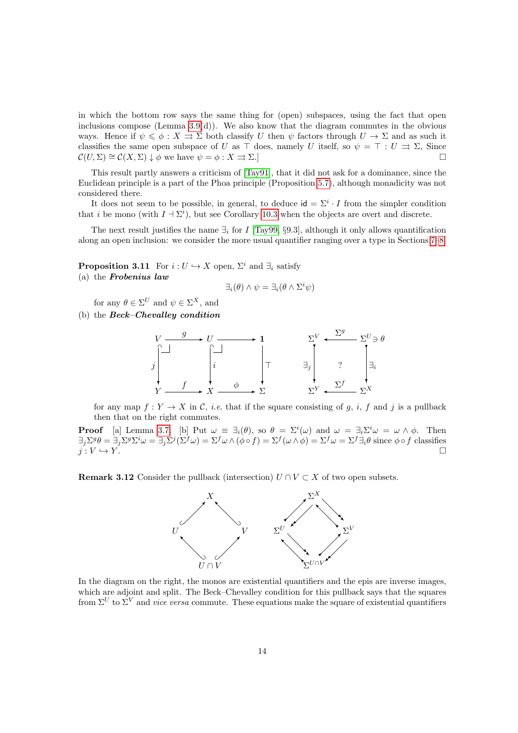in which the bottom row says the same thing for (open) subspaces, using the fact that open inclusions compose (Lemma  $3.9(d)$ ). We also know that the diagram commutes in the obvious ways. Hence if  $\psi \leq \phi : X \rightrightarrows \Sigma$  both classify U then  $\psi$  factors through  $U \to \Sigma$  and as such it classifies the same open subspace of U as  $\top$  does, namely U itself, so  $\psi = \top : U \rightrightarrows \Sigma$ , Since  $\mathcal{C}(U, \Sigma) \cong \mathcal{C}(X, \Sigma) \downarrow \phi$  we have  $\psi = \phi : X \rightrightarrows \Sigma$ .

This result partly answers a criticism of [\[Tay91\]](#page-47-5), that it did not ask for a dominance, since the Euclidean principle is a part of the Phoa principle (Proposition [5.7\)](#page-19-0), although monadicity was not considered there.

It does not seem to be possible, in general, to deduce  $id = \sum_i^i \cdot I$  from the simpler condition that i be mono (with  $I \perp \Sigma^{i}$ ), but see Corollary [10.3](#page-37-1) when the objects are overt and discrete.

The next result justifies the name  $\exists_i$  for I [\[Tay99,](#page-47-1) §9.3], although it only allows quantification along an open inclusion: we consider the more usual quantifier ranging over a type in Sections [7–](#page-26-0)[8.](#page-30-0)

<span id="page-13-0"></span>**Proposition 3.11** For  $i: U \hookrightarrow X$  open,  $\Sigma^i$  and  $\exists_i$  satisfy (a) the Frobenius law

$$
\exists_i(\theta) \land \psi = \exists_i(\theta \land \Sigma^i \psi)
$$

for any  $\theta \in \Sigma^U$  and  $\psi \in \Sigma^X$ , and

(b) the Beck–Chevalley condition



for any map  $f: Y \to X$  in C, *i.e.* that if the square consisting of g, *i*, f and j is a pullback then that on the right commutes.

**Proof** [a] Lemma [3.7.](#page-11-1) [b] Put  $\omega \equiv \exists_i(\theta)$ , so  $\theta = \Sigma^i(\omega)$  and  $\omega = \exists_i \Sigma^i \omega = \omega \wedge \phi$ . Then  $\exists_j \Sigma^g \theta = \exists_j \Sigma^g \Sigma^i \omega = \exists_j \Sigma^j (\Sigma^f \omega) = \Sigma^f \omega \wedge (\phi \circ f) = \Sigma^f (\omega \wedge \phi) = \Sigma^f \omega = \Sigma^f \exists_i \theta$  since  $\phi \circ f$  classifies  $j: V \hookrightarrow Y.$ 

**Remark 3.12** Consider the pullback (intersection)  $U \cap V \subset X$  of two open subsets.



In the diagram on the right, the monos are existential quantifiers and the epis are inverse images, which are adjoint and split. The Beck–Chevalley condition for this pullback says that the squares from  $\Sigma^U$  to  $\Sigma^V$  and *vice versa* commute. These equations make the square of existential quantifiers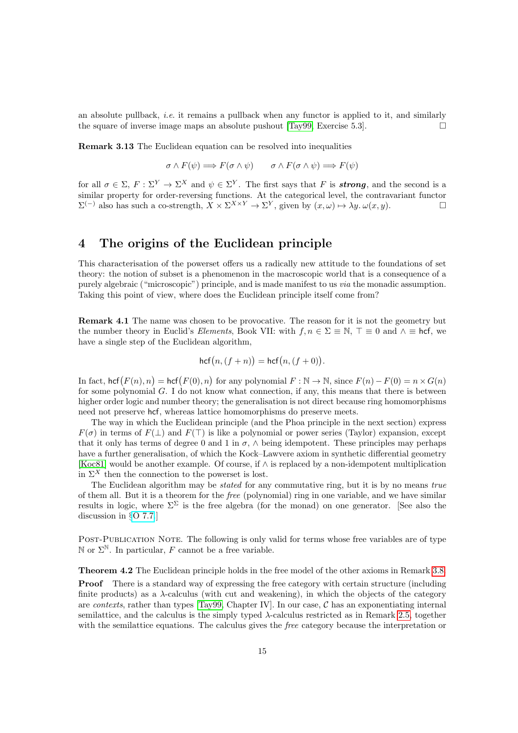an absolute pullback, i.e. it remains a pullback when any functor is applied to it, and similarly the square of inverse image maps an absolute pushout [\[Tay99,](#page-47-1) Exercise 5.3].  $\Box$ 

Remark 3.13 The Euclidean equation can be resolved into inequalities

$$
\sigma \wedge F(\psi) \Longrightarrow F(\sigma \wedge \psi) \qquad \sigma \wedge F(\sigma \wedge \psi) \Longrightarrow F(\psi)
$$

for all  $\sigma \in \Sigma$ ,  $F: \Sigma^Y \to \Sigma^X$  and  $\psi \in \Sigma^Y$ . The first says that F is **strong**, and the second is a similar property for order-reversing functions. At the categorical level, the contravariant functor  $\Sigma^{(-)}$  also has such a co-strength,  $X \times \Sigma^{X \times Y} \to \Sigma^{Y}$ , given by  $(x, \omega) \mapsto \lambda y$ .  $\omega(x, y)$ .

### <span id="page-14-0"></span>4 The origins of the Euclidean principle

This characterisation of the powerset offers us a radically new attitude to the foundations of set theory: the notion of subset is a phenomenon in the macroscopic world that is a consequence of a purely algebraic ("microscopic") principle, and is made manifest to us via the monadic assumption. Taking this point of view, where does the Euclidean principle itself come from?

Remark 4.1 The name was chosen to be provocative. The reason for it is not the geometry but the number theory in Euclid's Elements, Book VII: with  $f, n \in \Sigma \equiv \mathbb{N}, \top \equiv 0$  and  $\wedge \equiv$  hcf, we have a single step of the Euclidean algorithm,

$$
\operatorname{hcf}(n,(f+n)) = \operatorname{hcf}(n,(f+0)).
$$

In fact,  $\operatorname{hcf}(F(n), n) = \operatorname{hcf}(F(0), n)$  for any polynomial  $F : \mathbb{N} \to \mathbb{N}$ , since  $F(n) - F(0) = n \times G(n)$ for some polynomial  $G$ . I do not know what connection, if any, this means that there is between higher order logic and number theory; the generalisation is not direct because ring homomorphisms need not preserve hcf, whereas lattice homomorphisms do preserve meets.

The way in which the Euclidean principle (and the Phoa principle in the next section) express  $F(\sigma)$  in terms of  $F(\perp)$  and  $F(\top)$  is like a polynomial or power series (Taylor) expansion, except that it only has terms of degree 0 and 1 in  $\sigma$ ,  $\wedge$  being idempotent. These principles may perhaps have a further generalisation, of which the Kock–Lawvere axiom in synthetic differential geometry [\[Koc81\]](#page-46-13) would be another example. Of course, if ∧ is replaced by a non-idempotent multiplication in  $\Sigma^X$  then the connection to the powerset is lost.

The Euclidean algorithm may be *stated* for any commutative ring, but it is by no means *true* of them all. But it is a theorem for the free (polynomial) ring in one variable, and we have similar results in logic, where  $\Sigma^{\Sigma}$  is the free algebra (for the monad) on one generator. [See also the discussion in §[O 7.7.](http://PaulTaylor.EU/ASD/foufct/sierpinski#why Euclid)]

POST-PUBLICATION NOTE. The following is only valid for terms whose free variables are of type N or  $\Sigma^{\mathbb{N}}$ . In particular, F cannot be a free variable.

<span id="page-14-1"></span>Theorem 4.2 The Euclidean principle holds in the free model of the other axioms in Remark [3.8.](#page-11-0)

**Proof** There is a standard way of expressing the free category with certain structure (including finite products) as a  $\lambda$ -calculus (with cut and weakening), in which the objects of the category are *contexts*, rather than types  $[Tay99, Chapter IV]$ . In our case,  $C$  has an exponentiating internal semilattice, and the calculus is the simply typed  $\lambda$ -calculus restricted as in Remark [2.5,](#page-5-0) together with the semilattice equations. The calculus gives the *free* category because the interpretation or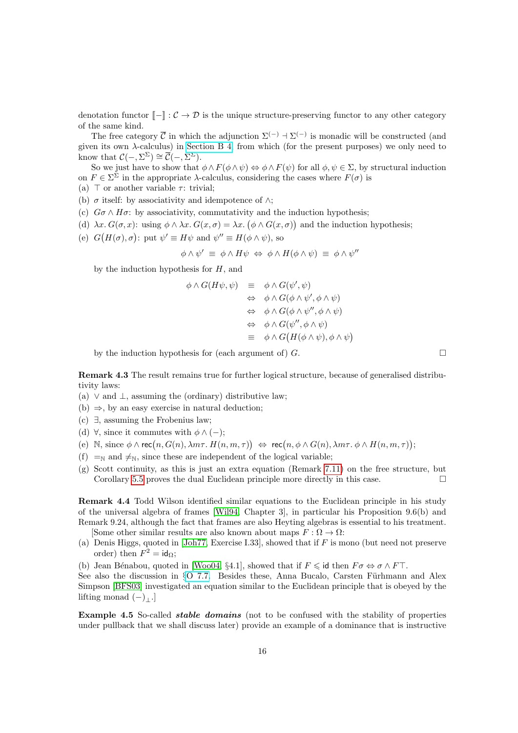denotation functor  $\llbracket - \rrbracket : C \to \mathcal{D}$  is the unique structure-preserving functor to any other category of the same kind.

The free category  $\overline{C}$  in which the adjunction  $\Sigma^{(-)}$  +  $\Sigma^{(-)}$  is monadic will be constructed (and given its own  $\lambda$ -calculus) in [Section B 4,](http://PaulTaylor.EU/ASD/subasd/adding) from which (for the present purposes) we only need to know that  $\mathcal{C}(-,\Sigma^{\Sigma}) \cong \overline{\mathcal{C}}(-,\Sigma^{\Sigma}).$ 

So we just have to show that  $\phi \wedge F(\phi \wedge \psi) \Leftrightarrow \phi \wedge F(\psi)$  for all  $\phi, \psi \in \Sigma$ , by structural induction on  $F \in \Sigma^{\Sigma}$  in the appropriate  $\lambda$ -calculus, considering the cases where  $F(\sigma)$  is

- (a)  $\top$  or another variable  $\tau$ : trivial;
- (b)  $\sigma$  itself: by associativity and idempotence of  $\wedge$ ;
- (c)  $G\sigma \wedge H\sigma$ : by associativity, commutativity and the induction hypothesis;
- (d)  $\lambda x. G(\sigma, x)$ : using  $\phi \wedge \lambda x. G(x, \sigma) = \lambda x. (\phi \wedge G(x, \sigma))$  and the induction hypothesis;
- (e)  $G(H(\sigma), \sigma)$ : put  $\psi' \equiv H\psi$  and  $\psi'' \equiv H(\phi \wedge \psi)$ , so

$$
\phi \wedge \psi' \equiv \phi \wedge H\psi \Leftrightarrow \phi \wedge H(\phi \wedge \psi) \equiv \phi \wedge \psi''
$$

by the induction hypothesis for  $H$ , and

$$
\begin{array}{rcl}\n\phi \wedge G(H\psi,\psi) & \equiv & \phi \wedge G(\psi',\psi) \\
& \Leftrightarrow & \phi \wedge G(\phi \wedge \psi',\phi \wedge \psi) \\
& \Leftrightarrow & \phi \wedge G(\phi \wedge \psi'',\phi \wedge \psi) \\
& \Leftrightarrow & \phi \wedge G(\psi'',\phi \wedge \psi) \\
& \equiv & \phi \wedge G(H(\phi \wedge \psi),\phi \wedge \psi)\n\end{array}
$$

by the induction hypothesis for (each argument of)  $G$ .

<span id="page-15-1"></span>Remark 4.3 The result remains true for further logical structure, because of generalised distributivity laws:

- (a)  $\vee$  and  $\perp$ , assuming the (ordinary) distributive law;
- (b)  $\Rightarrow$ , by an easy exercise in natural deduction;
- (c) ∃, assuming the Frobenius law;
- (d)  $\forall$ , since it commutes with  $\phi \wedge (-);$
- (e) N, since  $\phi \wedge \text{rec}(n, G(n), \lambda m \tau \cdot H(n, m, \tau)) \Leftrightarrow \text{rec}(n, \phi \wedge G(n), \lambda m \tau \cdot \phi \wedge H(n, m, \tau));$
- (f)  $=_{\mathbb{N}}$  and  $\neq_{\mathbb{N}}$ , since these are independent of the logical variable;
- (g) Scott continuity, as this is just an extra equation (Remark [7.11\)](#page-29-0) on the free structure, but Corollary [5.5](#page-18-1) proves the dual Euclidean principle more directly in this case.

Remark 4.4 Todd Wilson identified similar equations to the Euclidean principle in his study of the universal algebra of frames [\[Wil94,](#page-47-12) Chapter 3], in particular his Proposition 9.6(b) and Remark 9.24, although the fact that frames are also Heyting algebras is essential to his treatment. [Some other similar results are also known about maps  $F : \Omega \to \Omega$ :

- (a) Denis Higgs, quoted in [\[Joh77,](#page-46-2) Exercise I.33], showed that if F is mono (but need not preserve
- order) then  $F^2 = id_{\Omega}$ ;

(b) Jean Bénabou, quoted in [\[Woo04,](#page-47-13) §4.1], showed that if  $F \leq \mathsf{id}$  then  $F \sigma \Leftrightarrow \sigma \wedge F \top$ .

See also the discussion in  $\S$ [O 7.7.](http://PaulTaylor.EU/ASD/foufct/sierpinski#why Euclid) Besides these, Anna Bucalo, Carsten Fürhmann and Alex Simpson [\[BFS03\]](#page-45-5) investigated an equation similar to the Euclidean principle that is obeyed by the lifting monad  $(-)$ .]

<span id="page-15-0"></span>Example 4.5 So-called *stable domains* (not to be confused with the stability of properties under pullback that we shall discuss later) provide an example of a dominance that is instructive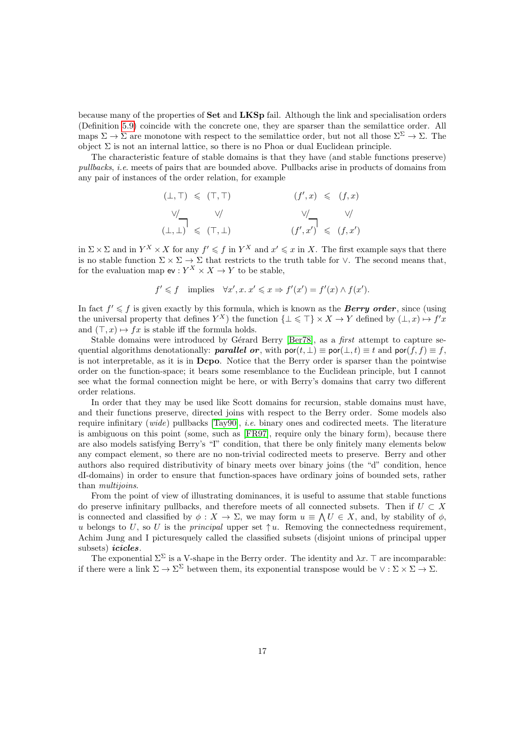because many of the properties of Set and LKSp fail. Although the link and specialisation orders (Definition [5.9\)](#page-20-1) coincide with the concrete one, they are sparser than the semilattice order. All maps  $\Sigma \to \Sigma$  are monotone with respect to the semilattice order, but not all those  $\Sigma^{\Sigma} \to \Sigma$ . The object  $\Sigma$  is not an internal lattice, so there is no Phoa or dual Euclidean principle.

The characteristic feature of stable domains is that they have (and stable functions preserve) pullbacks, i.e. meets of pairs that are bounded above. Pullbacks arise in products of domains from any pair of instances of the order relation, for example

$$
( \bot, \top ) \leqslant ( \top, \top ) \qquad \qquad ( f', x) \leqslant ( f, x )
$$
\n
$$
\vee \qquad \qquad \vee \qquad \qquad \vee \qquad \qquad \vee \qquad \qquad \vee \qquad \qquad \vee \qquad \qquad \vee \qquad \qquad \vee \qquad \qquad \vee \qquad \qquad \vee \qquad \qquad \vee \qquad \qquad \vee \qquad \qquad \vee \qquad \qquad \vee \qquad \qquad \vee \qquad \qquad \vee \qquad \qquad \vee \qquad \qquad \vee \qquad \qquad \vee \qquad \qquad \vee \qquad \qquad \vee \qquad \qquad \vee \qquad \qquad \vee \qquad \qquad \vee \qquad \qquad \vee \qquad \qquad \vee \qquad \qquad \vee \qquad \qquad \vee \qquad \qquad \vee \qquad \qquad \vee \qquad \qquad \vee \qquad \vee \qquad \qquad \vee \qquad \vee \qquad \vee \qquad \vee \qquad \vee \qquad \vee \qquad \vee \qquad \vee \qquad \vee \qquad \vee \qquad \vee \qquad \vee \qquad \vee \qquad \vee \qquad \vee \qquad \vee \qquad \vee \qquad \vee \qquad \vee \qquad \vee \qquad \vee \qquad \vee \qquad \vee \qquad \vee \qquad \vee \qquad \vee \qquad \vee \qquad \vee \qquad \vee \qquad \vee \qquad \vee \qquad \vee \qquad \vee \qquad \vee \qquad \vee \qquad \vee \qquad \vee \qquad \vee \qquad \vee \qquad \vee \qquad \vee \qquad \vee \qquad \vee \qquad \vee \qquad \vee \qquad \vee \qquad \vee \qquad \vee \qquad \vee \qquad \vee \qquad \vee \qquad \vee \qquad \vee \qquad \vee \qquad \vee \qquad \vee \qquad \vee \qquad \vee \qquad \vee \qquad \vee \qquad \vee \qquad \vee \qquad \vee \qquad \vee \qquad \vee \qquad \vee \qquad \vee \qquad \vee \qquad \vee \qquad \vee \qquad \vee \qquad
$$

in  $\Sigma \times \Sigma$  and in  $Y^X \times X$  for any  $f' \leqslant f$  in  $Y^X$  and  $x' \leqslant x$  in X. The first example says that there is no stable function  $\Sigma \times \Sigma \to \Sigma$  that restricts to the truth table for  $\vee$ . The second means that, for the evaluation map  $ev: Y^X \times X \to Y$  to be stable,

$$
f' \leq f
$$
 implies  $\forall x', x \, x' \leq x \Rightarrow f'(x') = f'(x) \land f(x').$ 

In fact  $f' \leq f$  is given exactly by this formula, which is known as the **Berry order**, since (using the universal property that defines  $Y^X$ ) the function  $\{\bot \leq \top\} \times X \to Y$  defined by  $(\bot, x) \mapsto f'x$ and  $(\top, x) \mapsto fx$  is stable iff the formula holds.

Stable domains were introduced by Gérard Berry [\[Ber78\]](#page-45-6), as a *first* attempt to capture sequential algorithms denotationally: **parallel or**, with  $\text{por}(t, \perp) \equiv \text{por}(\perp, t) \equiv t$  and  $\text{por}(f, f) \equiv f$ , is not interpretable, as it is in Dcpo. Notice that the Berry order is sparser than the pointwise order on the function-space; it bears some resemblance to the Euclidean principle, but I cannot see what the formal connection might be here, or with Berry's domains that carry two different order relations.

In order that they may be used like Scott domains for recursion, stable domains must have, and their functions preserve, directed joins with respect to the Berry order. Some models also require infinitary  $(wide)$  pullbacks  $[Tay90]$ , *i.e.* binary ones and codirected meets. The literature is ambiguous on this point (some, such as [\[FR97\]](#page-46-12), require only the binary form), because there are also models satisfying Berry's "I" condition, that there be only finitely many elements below any compact element, so there are no non-trivial codirected meets to preserve. Berry and other authors also required distributivity of binary meets over binary joins (the "d" condition, hence dI-domains) in order to ensure that function-spaces have ordinary joins of bounded sets, rather than *multijoins*.

From the point of view of illustrating dominances, it is useful to assume that stable functions do preserve infinitary pullbacks, and therefore meets of all connected subsets. Then if  $U \subset X$ is connected and classified by  $\phi: X \to \Sigma$ , we may form  $u \equiv \bigwedge U \in X$ , and, by stability of  $\phi$ , u belongs to U, so U is the *principal* upper set  $\uparrow u$ . Removing the connectedness requirement, Achim Jung and I picturesquely called the classified subsets (disjoint unions of principal upper subsets) *icicles*.

The exponential  $\Sigma^{\Sigma}$  is a V-shape in the Berry order. The identity and  $\lambda x$ . T are incomparable: if there were a link  $\Sigma \to \Sigma^{\Sigma}$  between them, its exponential transpose would be  $\vee : \Sigma \times \Sigma \to \Sigma$ .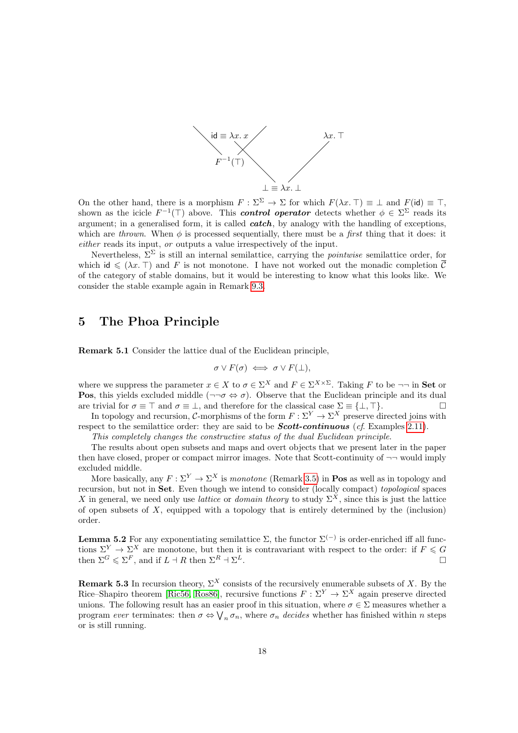

On the other hand, there is a morphism  $F : \Sigma^{\Sigma} \to \Sigma$  for which  $F(\lambda x. \top) \equiv \bot$  and  $F(\mathsf{id}) \equiv \top$ , shown as the icicle  $F^{-1}(\top)$  above. This **control operator** detects whether  $\phi \in \Sigma^{\Sigma}$  reads its argument; in a generalised form, it is called  $\operatorname{catch}$ , by analogy with the handling of exceptions, which are thrown. When  $\phi$  is processed sequentially, there must be a *first* thing that it does: it either reads its input, or outputs a value irrespectively of the input.

Nevertheless,  $\Sigma^{\Sigma}$  is still an internal semilattice, carrying the *pointwise* semilattice order, for which id  $\leq (\lambda x. \top)$  and F is not monotone. I have not worked out the monadic completion  $\overline{C}$ of the category of stable domains, but it would be interesting to know what this looks like. We consider the stable example again in Remark [9.3.](#page-35-0)

### <span id="page-17-0"></span>5 The Phoa Principle

<span id="page-17-1"></span>Remark 5.1 Consider the lattice dual of the Euclidean principle,

$$
\sigma \vee F(\sigma) \iff \sigma \vee F(\bot),
$$

where we suppress the parameter  $x \in X$  to  $\sigma \in \Sigma^X$  and  $F \in \Sigma^{X \times \Sigma}$ . Taking F to be  $\neg \neg$  in **Set** or **Pos**, this yields excluded middle ( $\neg \neg \sigma \Leftrightarrow \sigma$ ). Observe that the Euclidean principle and its dual are trivial for  $\sigma \equiv \top$  and  $\sigma \equiv \bot$ , and therefore for the classical case  $\Sigma \equiv {\bot, \top}$ .

In topology and recursion, C-morphisms of the form  $F: \Sigma^Y \to \Sigma^X$  preserve directed joins with respect to the semilattice order: they are said to be **Scott-continuous** (cf. Examples [2.11\)](#page-7-0).

This completely changes the constructive status of the dual Euclidean principle.

The results about open subsets and maps and overt objects that we present later in the paper then have closed, proper or compact mirror images. Note that Scott-continuity of  $\neg$  would imply excluded middle.

More basically, any  $F: \Sigma^Y \to \Sigma^X$  is monotone (Remark [3.5\)](#page-10-1) in **Pos** as well as in topology and recursion, but not in Set. Even though we intend to consider (locally compact) topological spaces X in general, we need only use *lattice* or *domain theory* to study  $\Sigma^X$ , since this is just the lattice of open subsets of  $X$ , equipped with a topology that is entirely determined by the (inclusion) order.

<span id="page-17-2"></span>**Lemma 5.2** For any exponentiating semilattice  $\Sigma$ , the functor  $\Sigma^{(-)}$  is order-enriched iff all functions  $\Sigma^Y \to \Sigma^X$  are monotone, but then it is contravariant with respect to the order: if  $F \leq G$ then  $\Sigma^G \leqslant \Sigma^F$ , and if  $L \dashv R$  then  $\Sigma^R \dashv \Sigma^L$ .

**Remark 5.3** In recursion theory,  $\Sigma^X$  consists of the recursively enumerable subsets of X. By the Rice–Shapiro theorem [\[Ric56,](#page-47-15) [Ros86\]](#page-47-6), recursive functions  $F : \Sigma^Y \to \Sigma^X$  again preserve directed unions. The following result has an easier proof in this situation, where  $\sigma \in \Sigma$  measures whether a program ever terminates: then  $\sigma \Leftrightarrow \bigvee_n \sigma_n$ , where  $\sigma_n$  decides whether has finished within n steps or is still running.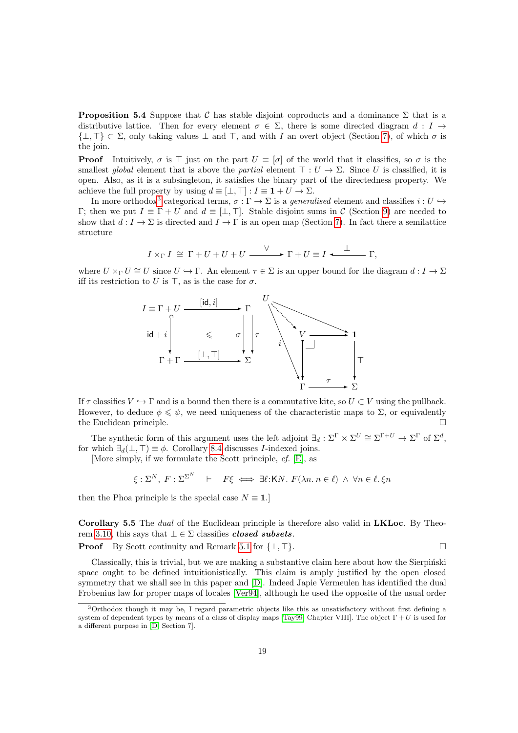<span id="page-18-0"></span>**Proposition 5.4** Suppose that C has stable disjoint coproducts and a dominance  $\Sigma$  that is a distributive lattice. Then for every element  $\sigma \in \Sigma$ , there is some directed diagram d: I  $\rightarrow$  $\{\perp, \top\} \subset \Sigma$ , only taking values  $\perp$  and  $\top$ , and with I an overt object (Section [7\)](#page-26-0), of which  $\sigma$  is the join.

**Proof** Intuitively,  $\sigma$  is  $\top$  just on the part  $U \equiv [\sigma]$  of the world that it classifies, so  $\sigma$  is the smallest global element that is above the partial element  $\top : U \to \Sigma$ . Since U is classified, it is open. Also, as it is a subsingleton, it satisfies the binary part of the directedness property. We achieve the full property by using  $d \equiv [\perp, \perp] : I \equiv 1 + U \rightarrow \Sigma$ .

In more orthodox<sup>[3](#page-18-2)</sup> categorical terms,  $\sigma : \Gamma \to \Sigma$  is a *generalised* element and classifies  $i : U \hookrightarrow$ Γ; then we put  $I \equiv \Gamma + U$  and  $d \equiv [\perp, \perp]$ . Stable disjoint sums in C (Section [9\)](#page-34-0) are needed to show that  $d: I \to \Sigma$  is directed and  $I \to \Gamma$  is an open map (Section [7\)](#page-26-0). In fact there a semilattice structure

$$
I \times_{\Gamma} I \cong \Gamma + U + U + U \xrightarrow{\vee} \Gamma + U \equiv I \xleftarrow{\perp} \Gamma,
$$

where  $U \times_{\Gamma} U \cong U$  since  $U \hookrightarrow \Gamma$ . An element  $\tau \in \Sigma$  is an upper bound for the diagram  $d: I \to \Sigma$ iff its restriction to U is  $\top$ , as is the case for  $\sigma$ .



If  $\tau$  classifies  $V \hookrightarrow \Gamma$  and is a bound then there is a commutative kite, so  $U \subset V$  using the pullback. However, to deduce  $\phi \leq \psi$ , we need uniqueness of the characteristic maps to  $\Sigma$ , or equivalently the Euclidean principle.

The synthetic form of this argument uses the left adjoint  $\exists_d : \Sigma^{\Gamma} \times \Sigma^U \cong \Sigma^{\Gamma+U} \to \Sigma^{\Gamma}$  of  $\Sigma^d$ , for which  $\exists_d(\bot, \top) \equiv \phi$ . Corollary [8.4](#page-31-0) discusses *I*-indexed joins.

[More simply, if we formulate the Scott principle, cf. [\[E\]](#page-48-2), as

$$
\xi: \Sigma^N, \ F: \Sigma^{\Sigma^N} \quad \vdash \quad F\xi \iff \exists \ell: \mathsf{K} N. \ F(\lambda n. \ n \in \ell) \ \land \ \forall n \in \ell. \ \xi n
$$

then the Phoa principle is the special case  $N \equiv 1$ .]

<span id="page-18-1"></span>Corollary 5.5 The *dual* of the Euclidean principle is therefore also valid in LKLoc. By Theo-rem [3.10,](#page-12-0) this says that  $\bot \in \Sigma$  classifies *closed subsets*.

**Proof** By Scott continuity and Remark [5.1](#page-17-1) for  $\{\perp, \top\}$ .

Classically, this is trivial, but we are making a substantive claim here about how the Sierpinski space ought to be defined intuitionistically. This claim is amply justified by the open–closed symmetry that we shall see in this paper and [\[D\]](#page-48-1). Indeed Japie Vermeulen has identified the dual Frobenius law for proper maps of locales [\[Ver94\]](#page-47-16), although he used the opposite of the usual order

<span id="page-18-2"></span><sup>3</sup>Orthodox though it may be, I regard parametric objects like this as unsatisfactory without first defining a system of dependent types by means of a class of display maps [\[Tay99,](#page-47-1) Chapter VIII]. The object  $\Gamma + U$  is used for a different purpose in [\[D,](#page-48-1) Section 7].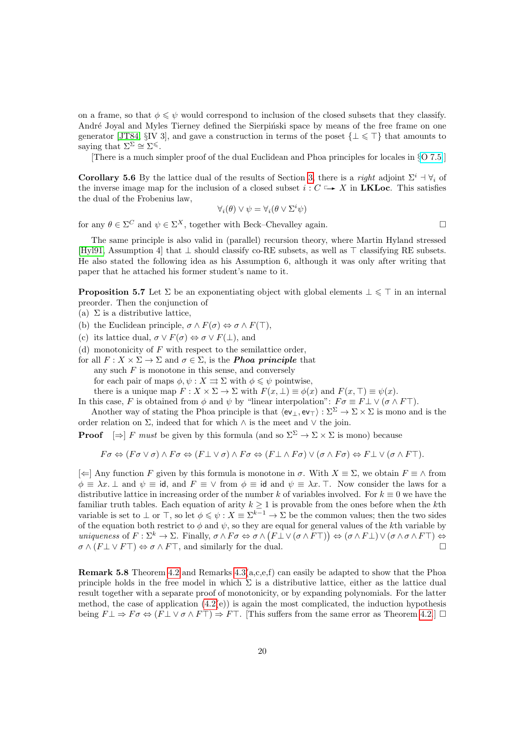on a frame, so that  $\phi \leq \psi$  would correspond to inclusion of the closed subsets that they classify. André Joyal and Myles Tierney defined the Sierpiński space by means of the free frame on one generator [\[JT84,](#page-46-5) §IV 3], and gave a construction in terms of the poset  $\{\perp \leq \top\}$  that amounts to saying that  $\Sigma^{\Sigma} \cong \Sigma^{\leq}$ .

[There is a much simpler proof of the dual Euclidean and Phoa principles for locales in §[O 7.5.](http://PaulTaylor.EU/ASD/foufct/sierpinski#locale Phoa)]

<span id="page-19-1"></span>**Corollary 5.6** By the lattice dual of the results of Section [3,](#page-8-0) there is a *right* adjoint  $\Sigma^i$  +  $\forall_i$  of the inverse image map for the inclusion of a closed subset  $i : C \rightarrow X$  in LKLoc. This satisfies the dual of the Frobenius law,

$$
\forall_i(\theta) \lor \psi = \forall_i(\theta \lor \Sigma^i \psi)
$$

for any  $\theta \in \Sigma^C$  and  $\psi \in \Sigma^X$ , together with Beck–Chevalley again.

The same principle is also valid in (parallel) recursion theory, where Martin Hyland stressed [\[Hyl91,](#page-46-4) Assumption 4] that  $\perp$  should classify co-RE subsets, as well as  $\top$  classifying RE subsets. He also stated the following idea as his Assumption 6, although it was only after writing that paper that he attached his former student's name to it.

<span id="page-19-0"></span>**Proposition 5.7** Let  $\Sigma$  be an exponentiating object with global elements  $\bot \leq \top$  in an internal preorder. Then the conjunction of

- (a)  $\Sigma$  is a distributive lattice,
- (b) the Euclidean principle,  $\sigma \wedge F(\sigma) \Leftrightarrow \sigma \wedge F(\top)$ ,
- (c) its lattice dual,  $\sigma \vee F(\sigma) \Leftrightarrow \sigma \vee F(\bot)$ , and
- (d) monotonicity of  $F$  with respect to the semilattice order,

for all  $F: X \times \Sigma \to \Sigma$  and  $\sigma \in \Sigma$ , is the **Phoa principle** that any such  $F$  is monotone in this sense, and conversely for each pair of maps  $\phi, \psi : X \rightrightarrows \Sigma$  with  $\phi \leq \psi$  pointwise, there is a unique map  $F: X \times \Sigma \to \Sigma$  with  $F(x, \perp) \equiv \phi(x)$  and  $F(x, \top) \equiv \psi(x)$ .

In this case, F is obtained from  $\phi$  and  $\psi$  by "linear interpolation":  $F\sigma \equiv F \perp \vee (\sigma \wedge F\top)$ .

Another way of stating the Phoa principle is that  $\langle ev_\perp, ev_\perp \rangle : \Sigma^{\Sigma} \to \Sigma \times \Sigma$  is mono and is the order relation on  $\Sigma$ , indeed that for which  $\wedge$  is the meet and  $\vee$  the join.

**Proof**  $[\Rightarrow]$  F must be given by this formula (and so  $\Sigma^{\Sigma} \to \Sigma \times \Sigma$  is mono) because

$$
F\sigma \Leftrightarrow (F\sigma \vee \sigma) \wedge F\sigma \Leftrightarrow (F\bot \vee \sigma) \wedge F\sigma \Leftrightarrow (F\bot \wedge F\sigma) \vee (\sigma \wedge F\sigma) \Leftrightarrow F\bot \vee (\sigma \wedge F\top).
$$

 $[\Leftarrow]$  Any function F given by this formula is monotone in  $\sigma$ . With  $X \equiv \Sigma$ , we obtain  $F \equiv \wedge$  from  $\phi \equiv \lambda x$ .  $\perp$  and  $\psi \equiv id$ , and  $F \equiv \vee$  from  $\phi \equiv id$  and  $\psi \equiv \lambda x$ . T. Now consider the laws for a distributive lattice in increasing order of the number k of variables involved. For  $k \equiv 0$  we have the familiar truth tables. Each equation of arity  $k \geq 1$  is provable from the ones before when the kth variable is set to  $\perp$  or  $\perp$ , so let  $\phi \leq \psi : X \equiv \Sigma^{k-1} \to \Sigma$  be the common values; then the two sides of the equation both restrict to  $\phi$  and  $\psi$ , so they are equal for general values of the kth variable by uniqueness of  $F : \Sigma^k \to \Sigma$ . Finally,  $\sigma \wedge F \sigma \Leftrightarrow \sigma \wedge (F \bot \vee (\sigma \wedge F \top)) \Leftrightarrow (\sigma \wedge F \bot) \vee (\sigma \wedge \sigma \wedge F \top) \Leftrightarrow$  $\sigma \wedge (F \perp \vee F\top) \Leftrightarrow \sigma \wedge F\top$ , and similarly for the dual.

**Remark 5.8** Theorem [4.2](#page-14-1) and Remarks  $4.3(a,c,e,f)$  can easily be adapted to show that the Phoa principle holds in the free model in which  $\Sigma$  is a distributive lattice, either as the lattice dual result together with a separate proof of monotonicity, or by expanding polynomials. For the latter method, the case of application  $(4.2(e))$  is again the most complicated, the induction hypothesis being  $F \perp \Rightarrow F \sigma \Leftrightarrow (F \perp \vee \sigma \wedge F\top) \Rightarrow F\top$ . [This suffers from the same error as Theorem [4.2.](#page-14-1)]  $\Box$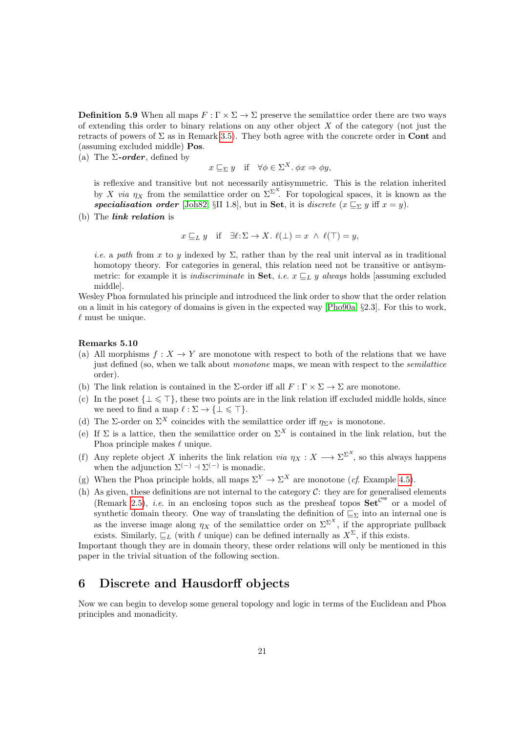<span id="page-20-1"></span>**Definition 5.9** When all maps  $F : \Gamma \times \Sigma \to \Sigma$  preserve the semilattice order there are two ways of extending this order to binary relations on any other object  $X$  of the category (not just the retracts of powers of  $\Sigma$  as in Remark [3.5\)](#page-10-1). They both agree with the concrete order in **Cont** and (assuming excluded middle) Pos.

<span id="page-20-2"></span>(a) The  $\Sigma$ -order, defined by

$$
x \sqsubseteq_{\Sigma} y
$$
 if  $\forall \phi \in \Sigma^{X}$ .  $\phi x \Rightarrow \phi y$ ,

is reflexive and transitive but not necessarily antisymmetric. This is the relation inherited by X via  $\eta_X$  from the semilattice order on  $\Sigma^{\Sigma^X}$ . For topological spaces, it is known as the specialisation order [\[Joh82,](#page-46-1) §II 1.8], but in Set, it is discrete  $(x \sqsubseteq_{\Sigma} y$  iff  $x = y$ ).

(b) The link relation is

$$
x \sqsubseteq_L y
$$
 if  $\exists \ell : \Sigma \to X$ .  $\ell(\bot) = x \land \ell(\top) = y$ ,

i.e. a path from x to y indexed by  $\Sigma$ , rather than by the real unit interval as in traditional homotopy theory. For categories in general, this relation need not be transitive or antisymmetric: for example it is *indiscriminate* in **Set**, *i.e.*  $x \sqsubseteq_L y$  always holds [assuming excluded middle].

Wesley Phoa formulated his principle and introduced the link order to show that the order relation on a limit in his category of domains is given in the expected way [\[Pho90a,](#page-47-4) §2.3]. For this to work,  $\ell$  must be unique.

#### <span id="page-20-3"></span>Remarks 5.10

- (a) All morphisms  $f: X \to Y$  are monotone with respect to both of the relations that we have just defined (so, when we talk about *monotone* maps, we mean with respect to the *semilattice* order).
- (b) The link relation is contained in the Σ-order iff all  $F : \Gamma \times \Sigma \to \Sigma$  are monotone.
- (c) In the poset  $\{\bot \leq \top\}$ , these two points are in the link relation iff excluded middle holds, since we need to find a map  $\ell : \Sigma \to {\{\perp \leq \top\}}.$
- (d) The Σ-order on  $\Sigma^X$  coincides with the semilattice order iff  $\eta_{\Sigma^X}$  is monotone.
- (e) If  $\Sigma$  is a lattice, then the semilattice order on  $\Sigma^X$  is contained in the link relation, but the Phoa principle makes  $\ell$  unique.
- (f) Any replete object X inherits the link relation via  $\eta_X : X \longrightarrow \Sigma^{\Sigma^X}$ , so this always happens when the adjunction  $\Sigma^{(-)} \to \Sigma^{(-)}$  is monadic.
- (g) When the Phoa principle holds, all maps  $\Sigma^Y \to \Sigma^X$  are monotone (*cf.* Example [4.5\)](#page-15-0).
- (h) As given, these definitions are not internal to the category  $C$ : they are for generalised elements (Remark [2.5\)](#page-5-0), *i.e.* in an enclosing topos such as the presheaf topos  $\mathbf{Set}^{\mathcal{C}^{\circ p}}$  or a model of synthetic domain theory. One way of translating the definition of  $\overline{\mathbb{C}_{\Sigma}}$  into an internal one is as the inverse image along  $\eta_X$  of the semilattice order on  $\Sigma^{\Sigma^X}$ , if the appropriate pullback exists. Similarly,  $\sqsubseteq_L$  (with  $\ell$  unique) can be defined internally as  $X^{\Sigma}$ , if this exists.

Important though they are in domain theory, these order relations will only be mentioned in this paper in the trivial situation of the following section.

### <span id="page-20-0"></span>6 Discrete and Hausdorff objects

Now we can begin to develop some general topology and logic in terms of the Euclidean and Phoa principles and monadicity.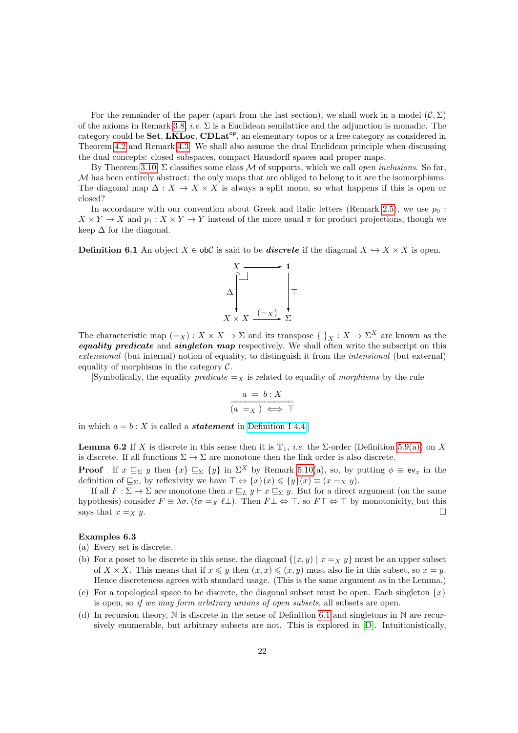For the remainder of the paper (apart from the last section), we shall work in a model  $(C, \Sigma)$ of the axioms in Remark [3.8,](#page-11-0) *i.e.*  $\Sigma$  is a Euclidean semilattice and the adjunction is monadic. The category could be **Set**, **LKLoc**, **CDLat<sup>op</sup>**, an elementary topos or a free category as considered in Theorem [4.2](#page-14-1) and Remark [4.3.](#page-15-1) We shall also assume the dual Euclidean principle when discussing the dual concepts: closed subspaces, compact Hausdorff spaces and proper maps.

By Theorem [3.10,](#page-12-0)  $\Sigma$  classifies some class M of supports, which we call *open inclusions*. So far, M has been entirely abstract: the only maps that are obliged to belong to it are the isomorphisms. The diagonal map  $\Delta: X \to X \times X$  is always a split mono, so what happens if this is open or closed?

In accordance with our convention about Greek and italic letters (Remark [2.5\)](#page-5-0), we use  $p_0$ :  $X \times Y \to X$  and  $p_1 : X \times Y \to Y$  instead of the more usual  $\pi$  for product projections, though we keep $\Delta$  for the diagonal.

<span id="page-21-0"></span>**Definition 6.1** An object  $X \in \text{obC}$  is said to be *discrete* if the diagonal  $X \hookrightarrow X \times X$  is open.



The characteristic map  $(=_X) : X \times X \to \Sigma$  and its transpose  $\{\,\}_X : X \to \Sigma^X$  are known as the **equality predicate** and **singleton map** respectively. We shall often write the subscript on this extensional (but internal) notion of equality, to distinguish it from the *intensional* (but external) equality of morphisms in the category  $\mathcal{C}$ .

[Symbolically, the equality *predicate*  $=$  x is related to equality of *morphisms* by the rule

$$
\frac{a = b : X}{(a = x) \iff \top}
$$

<span id="page-21-1"></span>in which  $a = b : X$  is called a **statement** in [Definition I 4.4.](http://PaulTaylor.EU/ASD/dedras/asdaxioms#judgements)]

**Lemma 6.2** If X is discrete in this sense then it is  $T_1$ , *i.e.* the  $\Sigma$ -order (Definition [5.9\(a\)\)](#page-20-2) on X is discrete. If all functions  $\Sigma \to \Sigma$  are monotone then the link order is also discrete.

**Proof** If  $x \subseteq_{\Sigma} y$  then  $\{x\} \subseteq_{\Sigma} \{y\}$  in  $\Sigma^X$  by Remark [5.10\(](#page-20-3)a), so, by putting  $\phi \equiv \mathbf{e} \mathbf{v}_x$  in the definition of  $\subseteq_{\Sigma}$ , by reflexivity we have  $\top \Leftrightarrow \{x\}(x) \leq \{y\}(x) \equiv (x =_X y)$ .

If all  $F : \Sigma \to \Sigma$  are monotone then  $x \sqsubseteq_L y \vdash x \sqsubseteq_{\Sigma} y$ . But for a direct argument (on the same hypothesis) consider  $F \equiv \lambda \sigma$ . ( $\ell \sigma =_X \ell \bot$ ). Then  $F \bot \Leftrightarrow \top$ , so  $F \top \Leftrightarrow \top$  by monotonicity, but this says that  $x =_X y$ .

#### Examples 6.3

- (a) Every set is discrete.
- (b) For a poset to be discrete in this sense, the diagonal  $\{(x, y) | x = x, y\}$  must be an upper subset of  $X \times X$ . This means that if  $x \leq y$  then  $(x, x) \leq (x, y)$  must also lie in this subset, so  $x = y$ . Hence discreteness agrees with standard usage. (This is the same argument as in the Lemma.)
- (c) For a topological space to be discrete, the diagonal subset must be open. Each singleton  $\{x\}$ is open, so if we may form arbitrary unions of open subsets, all subsets are open.
- (d) In recursion theory,  $\mathbb N$  is discrete in the sense of Definition [6.1](#page-21-0) and singletons in  $\mathbb N$  are recursively enumerable, but arbitrary subsets are not. This is explored in [\[D\]](#page-48-1). Intuitionistically,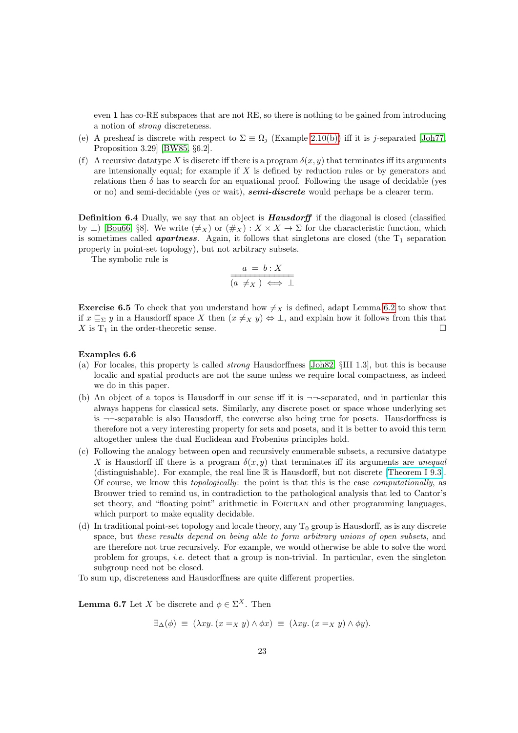even 1 has co-RE subspaces that are not RE, so there is nothing to be gained from introducing a notion of strong discreteness.

- (e) A presheaf is discrete with respect to  $\Sigma \equiv \Omega_j$  (Example [2.10\(b\)\)](#page-7-1) iff it is j-separated [\[Joh77,](#page-46-2) Proposition 3.29] [\[BW85,](#page-45-3) §6.2].
- (f) A recursive datatype X is discrete iff there is a program  $\delta(x, y)$  that terminates iff its arguments are intensionally equal; for example if  $X$  is defined by reduction rules or by generators and relations then  $\delta$  has to search for an equational proof. Following the usage of decidable (yes or no) and semi-decidable (yes or wait), **semi-discrete** would perhaps be a clearer term.

**Definition 6.4** Dually, we say that an object is **Hausdorff** if the diagonal is closed (classified by  $\perp$  [\[Bou66,](#page-45-0) §8]. We write  $(\neq_X)$  or  $(\#_X) : X \times X \to \Sigma$  for the characteristic function, which is sometimes called **apartness**. Again, it follows that singletons are closed (the  $T_1$  separation property in point-set topology), but not arbitrary subsets.

The symbolic rule is

$$
\frac{a = b : X}{(a \neq_X) \iff \bot}
$$

**Exercise 6.5** To check that you understand how  $\neq$ x is defined, adapt Lemma [6.2](#page-21-1) to show that if  $x \subseteq_{\Sigma} y$  in a Hausdorff space X then  $(x \neq_{X} y) \Leftrightarrow \bot$ , and explain how it follows from this that  $X$  is  $T_1$  in the order-theoretic sense.

#### Examples 6.6

- (a) For locales, this property is called strong Hausdorffness [\[Joh82,](#page-46-1) §III 1.3], but this is because localic and spatial products are not the same unless we require local compactness, as indeed we do in this paper.
- (b) An object of a topos is Hausdorff in our sense iff it is  $\neg$ -separated, and in particular this always happens for classical sets. Similarly, any discrete poset or space whose underlying set is ¬¬-separable is also Hausdorff, the converse also being true for posets. Hausdorffness is therefore not a very interesting property for sets and posets, and it is better to avoid this term altogether unless the dual Euclidean and Frobenius principles hold.
- (c) Following the analogy between open and recursively enumerable subsets, a recursive datatype X is Hausdorff iff there is a program  $\delta(x, y)$  that terminates iff its arguments are unequal (distinguishable). For example, the real line R is Hausdorff, but not discrete [\[Theorem I 9.3\]](http://PaulTaylor.EU/ASD/dedras/dedcompl#R like Q). Of course, we know this topologically: the point is that this is the case computationally, as Brouwer tried to remind us, in contradiction to the pathological analysis that led to Cantor's set theory, and "floating point" arithmetic in FORTRAN and other programming languages, which purport to make equality decidable.
- (d) In traditional point-set topology and locale theory, any  $T_0$  group is Hausdorff, as is any discrete space, but these results depend on being able to form arbitrary unions of open subsets, and are therefore not true recursively. For example, we would otherwise be able to solve the word problem for groups, *i.e.* detect that a group is non-trivial. In particular, even the singleton subgroup need not be closed.
- To sum up, discreteness and Hausdorffness are quite different properties.

**Lemma 6.7** Let X be discrete and  $\phi \in \Sigma^X$ . Then

$$
\exists_{\Delta}(\phi) \equiv (\lambda xy. (x =_X y) \land \phi x) \equiv (\lambda xy. (x =_X y) \land \phi y).
$$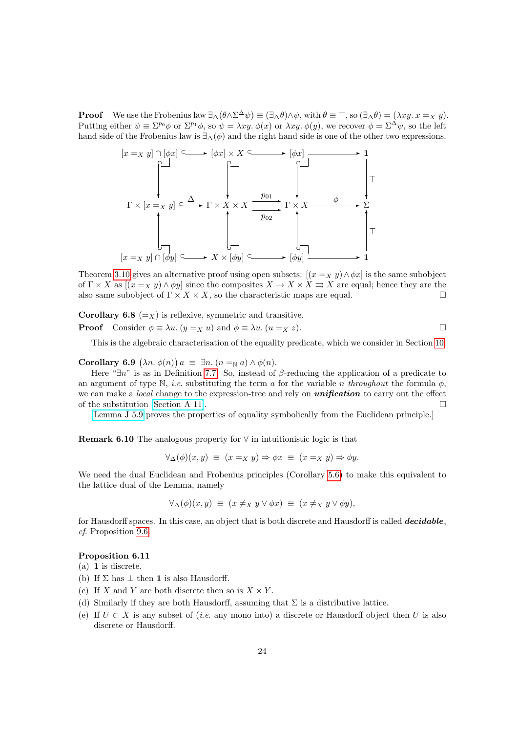**Proof** We use the Frobenius law  $\exists_{\Delta}(\theta \wedge \Sigma^{\Delta} \psi) \equiv (\exists_{\Delta} \theta) \wedge \psi$ , with  $\theta \equiv \top$ , so  $(\exists_{\Delta} \theta) = (\lambda xy. x =_X y)$ . Putting either  $\psi \equiv \Sigma^{p_0} \phi$  or  $\Sigma^{p_1} \phi$ , so  $\psi = \lambda xy$ .  $\phi(x)$  or  $\lambda xy$ .  $\phi(y)$ , we recover  $\phi = \Sigma^{\Delta} \psi$ , so the left hand side of the Frobenius law is  $\exists_{\Delta}(\phi)$  and the right hand side is one of the other two expressions.



Theorem [3.10](#page-12-0) gives an alternative proof using open subsets:  $[(x =_X y) \land \phi x]$  is the same subobject of  $\Gamma \times X$  as  $[(x =_X y) \wedge \phi y]$  since the composites  $X \to X \times X \Rightarrow X$  are equal; hence they are the also same subobject of  $\Gamma \times X \times X$ , so the characteristic maps are equal.

**Corollary 6.8** (=x) is reflexive, symmetric and transitive. **Proof** Consider  $\phi \equiv \lambda u$ .  $(y =_X u)$  and  $\phi \equiv \lambda u$ .  $(u =_X z)$ .

This is the algebraic characterisation of the equality predicate, which we consider in Section [10.](#page-36-0)

Corollary 6.9  $(\lambda n. \phi(n)) a \equiv \exists n. (n =_{\mathbb{N}} a) \wedge \phi(n).$ 

Here " $\exists n$ " is as in Definition [7.7.](#page-27-0) So, instead of  $\beta$ -reducing the application of a predicate to an argument of type N, *i.e.* substituting the term a for the variable n throughout the formula  $\phi$ , we can make a *local* change to the expression-tree and rely on *unification* to carry out the effect of the substitution [\[Section A 11\]](http://PaulTaylor.EU/ASD/sobsc/directions).

[\[Lemma J 5.9](http://PaulTaylor.EU/ASD/lamcra/contexts#eq/neq lemmas) proves the properties of equality symbolically from the Euclidean principle.]

Remark 6.10 The analogous property for  $\forall$  in intuitionistic logic is that

$$
\forall_{\Delta}(\phi)(x, y) \equiv (x =_X y) \Rightarrow \phi x \equiv (x =_X y) \Rightarrow \phi y.
$$

We need the dual Euclidean and Frobenius principles (Corollary [5.6\)](#page-19-1) to make this equivalent to the lattice dual of the Lemma, namely

$$
\forall_{\Delta}(\phi)(x,y) \equiv (x \neq_X y \lor \phi x) \equiv (x \neq_X y \lor \phi y),
$$

for Hausdorff spaces. In this case, an object that is both discrete and Hausdorff is called **decidable**, cf. Proposition [9.6.](#page-35-1)

### <span id="page-23-0"></span>Proposition 6.11

(a) 1 is discrete.

- (b) If  $\Sigma$  has  $\perp$  then 1 is also Hausdorff.
- (c) If X and Y are both discrete then so is  $X \times Y$ .
- (d) Similarly if they are both Hausdorff, assuming that  $\Sigma$  is a distributive lattice.
- (e) If  $U \subset X$  is any subset of (*i.e.* any mono into) a discrete or Hausdorff object then U is also discrete or Hausdorff.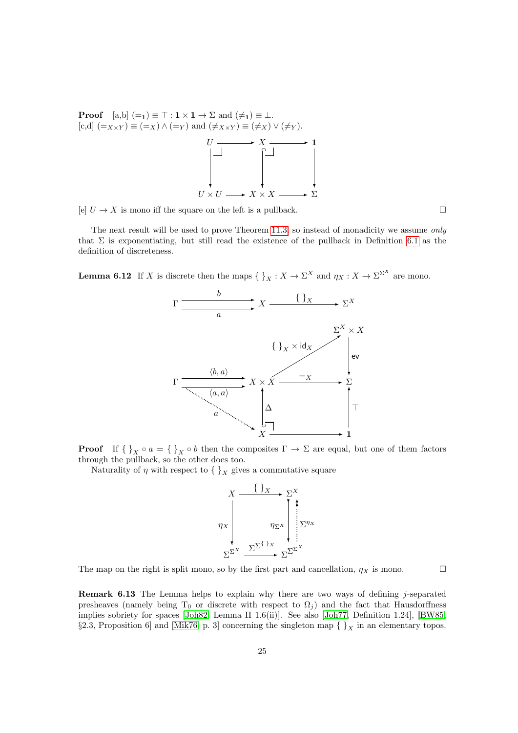**Proof**  $[a,b] (=1) \equiv \top : 1 \times 1 \rightarrow \Sigma$  and  $(\neq_1) \equiv \bot$ .  $[c,d]$   $(=_{X\times Y}) \equiv (=_X) \wedge (=_Y)$  and  $(\neq_{X\times Y}) \equiv (\neq_X) \vee (\neq_Y)$ .  $U \longrightarrow X \longrightarrow 1$  $U \times U$ ❄  $\rightarrow X \times X$ ❄ ∩  $\rightarrow$   $\sum$ 

[e]  $U \to X$  is mono iff the square on the left is a pullback.

The next result will be used to prove Theorem [11.3,](#page-42-0) so instead of monadicity we assume only that  $\Sigma$  is exponentiating, but still read the existence of the pullback in Definition [6.1](#page-21-0) as the definition of discreteness.

❄

<span id="page-24-0"></span>**Lemma 6.12** If X is discrete then the maps  $\{\,\}_X : X \to \Sigma^X$  and  $\eta_X : X \to \Sigma^{\Sigma^X}$  are mono.



**Proof** If  $\{\,\}_X \circ a = \{\,\}_X \circ b$  then the composites  $\Gamma \to \Sigma$  are equal, but one of them factors through the pullback, so the other does too.

Naturality of  $\eta$  with respect to  $\{\}$ <sub>X</sub> gives a commutative square

$$
\begin{array}{ccc}\nX & \xrightarrow{\left\{\xrightarrow{\right\}} X & \xrightarrow{\sum^{X}} \\
\downarrow{\qquad} & \uparrow{\qquad} & \downarrow{\qquad} \\
\downarrow{\qquad} & \uparrow{\qquad} & \downarrow{\qquad} \\
\downarrow{\qquad} & \downarrow{\qquad} & \downarrow{\qquad} \\
\downarrow{\qquad} & \downarrow{\qquad} & \downarrow{\qquad} \\
\downarrow{\qquad} & \downarrow{\qquad} & \downarrow{\qquad} & \downarrow{\qquad} \\
\downarrow{\qquad} & \downarrow{\qquad} & \downarrow{\qquad} & \downarrow{\qquad} \\
\downarrow{\qquad} & \downarrow{\qquad} & \downarrow{\qquad} & \downarrow{\qquad} & \downarrow{\qquad} \\
\downarrow{\qquad} & \downarrow{\qquad} & \downarrow{\qquad} & \downarrow{\qquad} & \downarrow{\qquad} \\
\downarrow{\qquad} & \downarrow{\qquad} & \downarrow{\qquad} & \downarrow{\qquad} & \downarrow{\qquad} & \downarrow{\qquad} \\
\downarrow{\qquad} & \downarrow{\qquad} & \downarrow{\qquad} & \downarrow{\qquad} & \downarrow{\qquad} & \downarrow{\qquad} & \downarrow{\qquad} \\
\downarrow{\qquad} & \downarrow{\qquad} & \downarrow{\qquad} & \downarrow{\qquad} & \downarrow{\qquad} & \downarrow{\qquad} & \downarrow{\qquad} \\
\downarrow{\qquad} & \downarrow{\qquad} & \downarrow{\qquad} & \downarrow{\qquad} & \downarrow{\qquad} & \downarrow{\qquad} & \downarrow{\qquad} & \downarrow{\qquad} & \downarrow{\qquad} \\
\downarrow{\qquad} & \downarrow{\qquad} & \downarrow{\qquad} & \downarrow{\qquad} & \downarrow{\qquad} & \downarrow{\qquad} & \downarrow{\qquad} & \downarrow{\qquad} & \downarrow{\qquad} & \downarrow{\qquad} \\
\downarrow{\qquad} & \downarrow{\qquad} & \downarrow{\qquad} & \downarrow{\qquad} & \downarrow{\qquad} & \downarrow{\qquad} & \downarrow{\qquad} & \downarrow{\qquad} & \downarrow{\qquad} & \downarrow{\qquad} \\
\downarrow{\qquad} & \downarrow{\qquad} & \downarrow{\qquad} & \downarrow{\qquad} & \downarrow{\qquad} & \downarrow{\qquad} & \downarrow{\qquad} & \downarrow{\qquad} & \downarrow{\qquad} & \downarrow{\qquad} \\
\downarrow{\qquad} & \downarrow{\qquad
$$

The map on the right is split mono, so by the first part and cancellation,  $\eta_X$  is mono.

Remark 6.13 The Lemma helps to explain why there are two ways of defining j-separated presheaves (namely being T<sub>0</sub> or discrete with respect to  $\Omega_i$ ) and the fact that Hausdorffness implies sobriety for spaces [\[Joh82,](#page-46-1) Lemma II 1.6(ii)]. See also [\[Joh77,](#page-46-2) Definition 1.24], [\[BW85,](#page-45-3) §2.3, Proposition 6] and [\[Mik76,](#page-47-17) p. 3] concerning the singleton map  $\{\,\}_X$  in an elementary topos.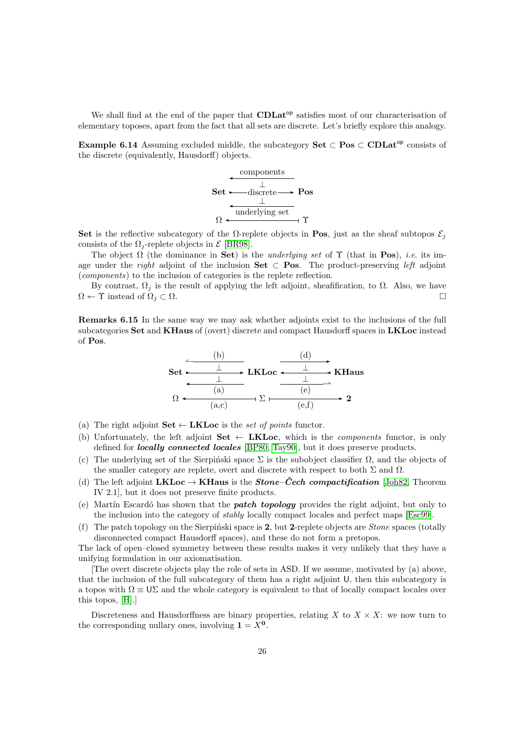We shall find at the end of the paper that  $CDLat^{\circ p}$  satisfies most of our characterisation of elementary toposes, apart from the fact that all sets are discrete. Let's briefly explore this analogy.

<span id="page-25-0"></span>Example 6.14 Assuming excluded middle, the subcategory Set  $\subset \text{Pos} \subset \text{CDLat}^{\text{op}}$  consists of the discrete (equivalently, Hausdorff) objects.



Set is the reflective subcategory of the  $\Omega$ -replete objects in Pos, just as the sheaf subtopos  $\mathcal{E}_i$ consists of the  $\Omega_i$ -replete objects in  $\mathcal E$  [\[BR98\]](#page-45-4).

The object  $\Omega$  (the dominance in Set) is the underlying set of  $\Upsilon$  (that in Pos), *i.e.* its image under the *right* adjoint of the inclusion **Set**  $\subset$  **Pos**. The product-preserving *left* adjoint (components) to the inclusion of categories is the replete reflection.

By contrast,  $\Omega_j$  is the result of applying the left adjoint, sheafification, to  $\Omega$ . Also, we have  $\Omega \leftarrow \Upsilon$  instead of  $\Omega_j \subset \Omega$ .

Remarks 6.15 In the same way we may ask whether adjoints exist to the inclusions of the full subcategories Set and KHaus of (overt) discrete and compact Hausdorff spaces in LKLoc instead of Pos.



- (a) The right adjoint  $Set \leftarrow LKLoc$  is the set of points functor.
- (b) Unfortunately, the left adjoint  $Set \leftarrow$  LKLoc, which is the *components* functor, is only defined for locally connected locales [\[BP80,](#page-45-7) [Tay90\]](#page-47-14), but it does preserve products.
- (c) The underlying set of the Sierpinski space  $\Sigma$  is the subobject classifier  $\Omega$ , and the objects of the smaller category are replete, overt and discrete with respect to both  $\Sigma$  and  $\Omega$ .
- (d) The left adjoint LKLoc  $\rightarrow$  KHaus is the *Stone–Čech compactification* [\[Joh82,](#page-46-1) Theorem IV 2.1], but it does not preserve finite products.
- (e) Martín Escardó has shown that the **patch topology** provides the right adjoint, but only to the inclusion into the category of stably locally compact locales and perfect maps [\[Esc99\]](#page-45-8).
- (f) The patch topology on the Sierpinski space is 2, but 2-replete objects are *Stone* spaces (totally disconnected compact Hausdorff spaces), and these do not form a pretopos.

The lack of open–closed symmetry between these results makes it very unlikely that they have a unifying formulation in our axiomatisation.

[The overt discrete objects play the role of sets in ASD. If we assume, motivated by (a) above, that the inclusion of the full subcategory of them has a right adjoint U, then this subcategory is a topos with  $\Omega \equiv U\Sigma$  and the whole category is equivalent to that of locally compact locales over this topos, [\[H\]](#page-48-4).]

Discreteness and Hausdorffness are binary properties, relating X to  $X \times X$ : we now turn to the corresponding nullary ones, involving  $1 = X^0$ .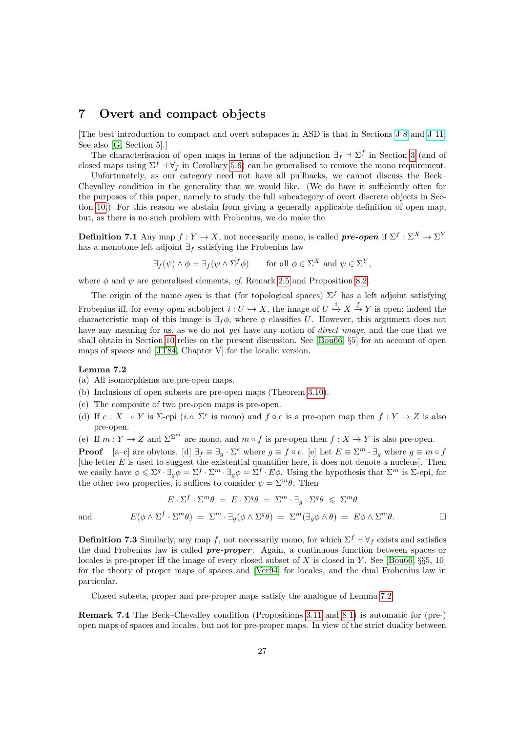### <span id="page-26-0"></span>7 Overt and compact objects

[The best introduction to compact and overt subspaces in ASD is that in Sections [J 8](http://PaulTaylor.EU/ASD/lamcra/compact) and [J 11.](http://PaulTaylor.EU/ASD/lamcra/overt) See also [\[G,](#page-48-5) Section 5].]

The characterisation of open maps in terms of the adjunction  $\exists_f \vdash \Sigma^f$  in Section [3](#page-8-0) (and of closed maps using  $\Sigma^f$  +  $\forall$ f in Corollary [5.6\)](#page-19-1) can be generalised to remove the mono requirement.

Unfortunately, as our category need not have all pullbacks, we cannot discuss the Beck– Chevalley condition in the generality that we would like. (We do have it sufficiently often for the purposes of this paper, namely to study the full subcategory of overt discrete objects in Section [10.](#page-36-0)) For this reason we abstain from giving a generally applicable definition of open map, but, as there is no such problem with Frobenius, we do make the

<span id="page-26-2"></span>**Definition 7.1** Any map  $f: Y \to X$ , not necessarily mono, is called **pre-open** if  $\Sigma^f: \Sigma^X \to \Sigma^Y$ has a monotone left adjoint  $\exists_f$  satisfying the Frobenius law

$$
\exists_f(\psi) \land \phi = \exists_f(\psi \land \Sigma^f \phi) \qquad \text{for all } \phi \in \Sigma^X \text{ and } \psi \in \Sigma^Y,
$$

where  $\phi$  and  $\psi$  are generalised elements, cf. Remark [2.5](#page-5-0) and Proposition [8.2.](#page-30-1)

The origin of the name *open* is that (for topological spaces)  $\Sigma^f$  has a left adjoint satisfying Frobenius iff, for every open subobject  $i: U \hookrightarrow X$ , the image of  $U \stackrel{i}{\hookrightarrow} X \stackrel{f}{\to} Y$  is open; indeed the characteristic map of this image is  $\exists_f \phi$ , where  $\phi$  classifies U. However, this argument does not have any meaning for us, as we do not yet have any notion of *direct image*, and the one that we shall obtain in Section [10](#page-36-0) relies on the present discussion. See [\[Bou66,](#page-45-0) §5] for an account of open maps of spaces and [\[JT84,](#page-46-5) Chapter V] for the localic version.

#### <span id="page-26-1"></span>Lemma 7.2

- (a) All isomorphisms are pre-open maps.
- (b) Inclusions of open subsets are pre-open maps (Theorem [3.10\)](#page-12-0).
- (c) The composite of two pre-open maps is pre-open.
- (d) If  $e: X \to Y$  is  $\Sigma$ -epi (*i.e.*  $\Sigma^e$  is mono) and  $f \circ e$  is a pre-open map then  $f: Y \to Z$  is also pre-open.
- (e) If  $m: Y \to Z$  and  $\Sigma^{\Sigma^m}$  are mono, and  $m \circ f$  is pre-open then  $f: X \to Y$  is also pre-open.

**Proof** [a–c] are obvious. [d]  $\exists_f \equiv \exists_g \cdot \Sigma^e$  where  $g \equiv f \circ e$ . [e] Let  $E \equiv \Sigma^m \cdot \exists_g$  where  $g \equiv m \circ f$ [the letter  $E$  is used to suggest the existential quantifier here, it does not denote a nucleus]. Then we easily have  $\phi \leqslant \Sigma^g \cdot \exists_g \phi = \Sigma^f \cdot \Sigma^m \cdot \exists_g \phi = \Sigma^f \cdot E\phi$ . Using the hypothesis that  $\Sigma^m$  is  $\Sigma$ -epi, for the other two properties, it suffices to consider  $\psi = \sum^{m} \theta$ . Then

$$
E \cdot \Sigma^f \cdot \Sigma^m \theta = E \cdot \Sigma^g \theta = \Sigma^m \cdot \exists_g \cdot \Sigma^g \theta \leq \Sigma^m \theta
$$
  

$$
E(\phi \wedge \Sigma^f \cdot \Sigma^m \theta) = \Sigma^m \cdot \exists_g (\phi \wedge \Sigma^g \theta) = \Sigma^m (\exists_g \phi \wedge \theta) = E\phi \wedge \Sigma^m \theta.
$$

and

**Definition 7.3** Similarly, any map f, not necessarily mono, for which  $\Sigma^f$  +  $\forall$ f exists and satisfies the dual Frobenius law is called pre-proper. Again, a continuous function between spaces or locales is pre-proper iff the image of every closed subset of X is closed in Y. See [\[Bou66,](#page-45-0) §§5, 10] for the theory of proper maps of spaces and [\[Ver94\]](#page-47-16) for locales, and the dual Frobenius law in particular.

Closed subsets, proper and pre-proper maps satisfy the analogue of Lemma [7.2.](#page-26-1)

Remark 7.4 The Beck–Chevalley condition (Propositions [3.11](#page-13-0) and [8.1\)](#page-30-2) is automatic for (pre-) open maps of spaces and locales, but not for pre-proper maps. In view of the strict duality between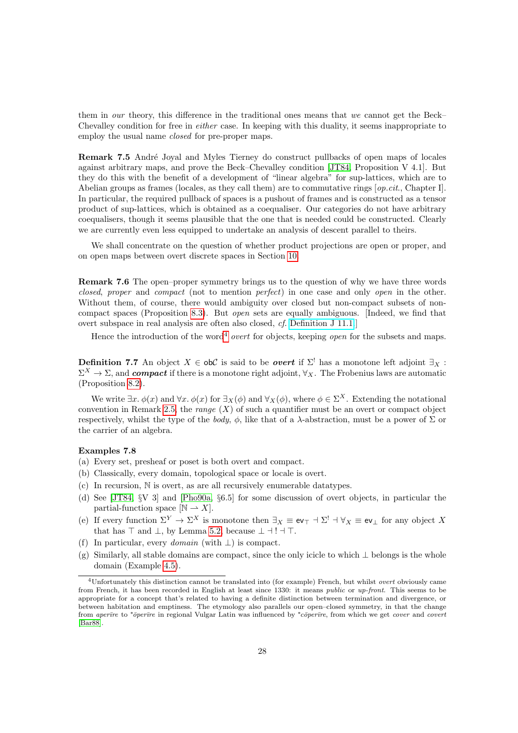them in our theory, this difference in the traditional ones means that we cannot get the Beck– Chevalley condition for free in either case. In keeping with this duality, it seems inappropriate to employ the usual name *closed* for pre-proper maps.

<span id="page-27-2"></span>Remark 7.5 André Joyal and Myles Tierney do construct pullbacks of open maps of locales against arbitrary maps, and prove the Beck–Chevalley condition [\[JT84,](#page-46-5) Proposition V 4.1]. But they do this with the benefit of a development of "linear algebra" for sup-lattices, which are to Abelian groups as frames (locales, as they call them) are to commutative rings  $[op.cit., Chapter I].$ In particular, the required pullback of spaces is a pushout of frames and is constructed as a tensor product of sup-lattices, which is obtained as a coequaliser. Our categories do not have arbitrary coequalisers, though it seems plausible that the one that is needed could be constructed. Clearly we are currently even less equipped to undertake an analysis of descent parallel to theirs.

We shall concentrate on the question of whether product projections are open or proper, and on open maps between overt discrete spaces in Section [10.](#page-36-0)

Remark 7.6 The open–proper symmetry brings us to the question of why we have three words closed, proper and compact (not to mention perfect) in one case and only open in the other. Without them, of course, there would ambiguity over closed but non-compact subsets of noncompact spaces (Proposition [8.3\)](#page-31-1). But open sets are equally ambiguous. [Indeed, we find that overt subspace in real analysis are often also closed, cf. [Definition J 11.1.](http://PaulTaylor.EU/ASD/lamcra/overt#overt instance)]

Hence the introduction of the word<sup>[4](#page-27-1)</sup> *overt* for objects, keeping *open* for the subsets and maps.

<span id="page-27-0"></span>**Definition 7.7** An object  $X \in ob\mathcal{C}$  is said to be *overt* if  $\Sigma^!$  has a monotone left adjoint  $\exists_X$ :  $\Sigma^X \to \Sigma$ , and compact if there is a monotone right adjoint,  $\forall_X$ . The Frobenius laws are automatic (Proposition [8.2\)](#page-30-1).

We write  $\exists x. \phi(x)$  and  $\forall x. \phi(x)$  for  $\exists x(\phi)$  and  $\forall x(\phi)$ , where  $\phi \in \Sigma^X$ . Extending the notational convention in Remark [2.5,](#page-5-0) the *range*  $(X)$  of such a quantifier must be an overt or compact object respectively, whilst the type of the body,  $\phi$ , like that of a  $\lambda$ -abstraction, must be a power of  $\Sigma$  or the carrier of an algebra.

#### Examples 7.8

- (a) Every set, presheaf or poset is both overt and compact.
- (b) Classically, every domain, topological space or locale is overt.
- (c) In recursion, N is overt, as are all recursively enumerable datatypes.
- (d) See [\[JT84,](#page-46-5) §V 3] and [\[Pho90a,](#page-47-4) §6.5] for some discussion of overt objects, in particular the partial-function space  $[N \rightarrow X]$ .
- (e) If every function  $\Sigma^Y \to \Sigma^X$  is monotone then  $\exists_X \equiv \text{ev}_{\top} \dashv \Sigma^! \dashv \forall_X \equiv \text{ev}_{\bot}$  for any object X that has  $\top$  and  $\bot$ , by Lemma [5.2,](#page-17-2) because  $\bot \dashv ! \dashv \top$ .
- (f) In particular, every *domain* (with  $\perp$ ) is compact.
- (g) Similarly, all stable domains are compact, since the only icicle to which ⊥ belongs is the whole domain (Example [4.5\)](#page-15-0).

<span id="page-27-1"></span><sup>4</sup>Unfortunately this distinction cannot be translated into (for example) French, but whilst overt obviously came from French, it has been recorded in English at least since 1330: it means public or up-front. This seems to be appropriate for a concept that's related to having a definite distinction between termination and divergence, or between habitation and emptiness. The etymology also parallels our open–closed symmetry, in that the change from aperīre to \*ōperīre in regional Vulgar Latin was influenced by \*cōperīre, from which we get cover and covert [\[Bar88\]](#page-45-1).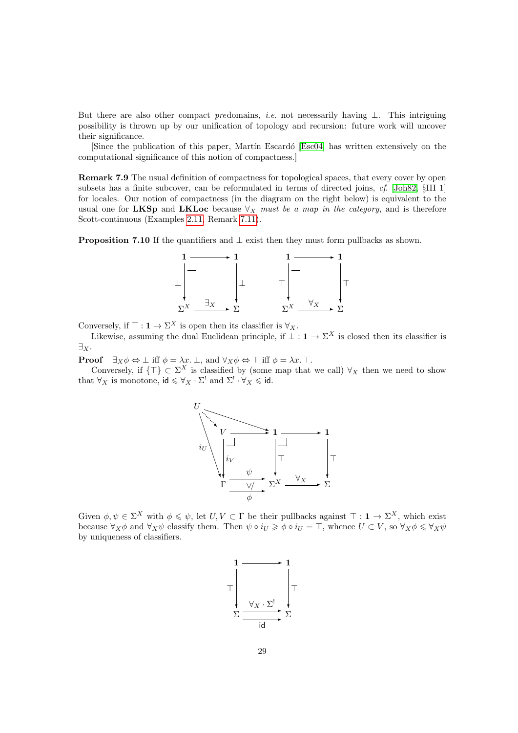But there are also other compact predomains, *i.e.* not necessarily having  $\perp$ . This intriguing possibility is thrown up by our unification of topology and recursion: future work will uncover their significance.

[Since the publication of this paper, Martín Escardó [\[Esc04\]](#page-46-14) has written extensively on the computational significance of this notion of compactness.]

Remark 7.9 The usual definition of compactness for topological spaces, that every cover by open subsets has a finite subcover, can be reformulated in terms of directed joins, cf. [\[Joh82,](#page-46-1) §III 1] for locales. Our notion of compactness (in the diagram on the right below) is equivalent to the usual one for LKSp and LKLoc because  $\forall_X$  must be a map in the category, and is therefore Scott-continuous (Examples [2.11,](#page-7-0) Remark [7.11\)](#page-29-0).

<span id="page-28-0"></span>**Proposition 7.10** If the quantifiers and  $\perp$  exist then they must form pullbacks as shown.



Conversely, if  $\top : \mathbf{1} \to \Sigma^X$  is open then its classifier is  $\forall_X$ .

Likewise, assuming the dual Euclidean principle, if  $\perp : \mathbf{1} \to \Sigma^X$  is closed then its classifier is  $\exists_X.$ 

**Proof**  $\exists x \phi \Leftrightarrow \bot \text{ iff } \phi = \lambda x. \bot$ , and  $\forall x \phi \Leftrightarrow \top \text{ iff } \phi = \lambda x. \top$ .

Conversely, if  $\{\top\} \subset \Sigma^X$  is classified by (some map that we call)  $\forall_X$  then we need to show that  $\forall X$  is monotone,  $\mathsf{id} \leq \forall X \cdot \Sigma^!$  and  $\Sigma^! \cdot \forall X \leq \mathsf{id}$ .



Given  $\phi, \psi \in \Sigma^X$  with  $\phi \leq \psi$ , let  $U, V \subset \Gamma$  be their pullbacks against  $\top : \mathbf{1} \to \Sigma^X$ , which exist because  $\forall_X \phi$  and  $\forall_X \psi$  classify them. Then  $\psi \circ i_U \geq \phi \circ i_U = \top$ , whence  $U \subset V$ , so  $\forall_X \phi \leq \forall_X \psi$ by uniqueness of classifiers.

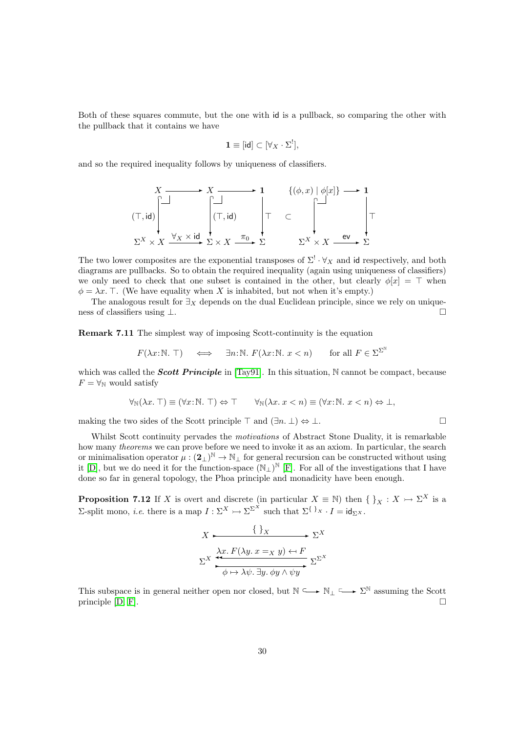Both of these squares commute, but the one with id is a pullback, so comparing the other with the pullback that it contains we have

$$
\mathbf{1} \equiv [\mathsf{id}] \subset [\forall_X \cdot \Sigma^!],
$$

and so the required inequality follows by uniqueness of classifiers.

$$
X \longrightarrow X \longrightarrow 1 \qquad \{(\phi, x) \mid \phi[x]\} \longrightarrow 1
$$
  
\n
$$
(\top, id) \qquad \qquad \begin{array}{ccc}\n \begin{matrix}\n \square \\
 \square \\
 \square\n \end{matrix} & \uparrow & \subset \\
 \begin{matrix}\n \square \\
 \square\n \end{matrix} & \top & \subset \\
 \begin{matrix}\n \square \\
 \square\n \end{matrix} & \begin{matrix}\n \square \\
 \square\n \end{matrix} & \uparrow \\
 \begin{matrix}\n \Sigma^X \times X \xrightarrow{\forall x \times id} \Sigma \times X \xrightarrow{\pi_0} \Sigma\n \end{matrix} & \Sigma^X \times X \xrightarrow{ev} \Sigma\n \end{array}
$$

The two lower composites are the exponential transposes of  $\Sigma^! \cdot \forall_X$  and id respectively, and both diagrams are pullbacks. So to obtain the required inequality (again using uniqueness of classifiers) we only need to check that one subset is contained in the other, but clearly  $\phi[x] = \top$  when  $\phi = \lambda x$ . T. (We have equality when X is inhabited, but not when it's empty.)

The analogous result for  $\exists_X$  depends on the dual Euclidean principle, since we rely on uniqueness of classifiers using ⊥.

<span id="page-29-0"></span>Remark 7.11 The simplest way of imposing Scott-continuity is the equation

$$
F(\lambda x:\mathbb{N}. \top) \iff \exists n:\mathbb{N}. \ F(\lambda x:\mathbb{N}. \ x < n) \quad \text{for all } F \in \Sigma^{\Sigma^{\mathbb{N}}}
$$

which was called the **Scott Principle** in [\[Tay91\]](#page-47-5). In this situation,  $\mathbb N$  cannot be compact, because  $F = \forall_{\mathbb{N}}$  would satisfy

$$
\forall_{\mathbb{N}}(\lambda x.\top) \equiv (\forall x:\mathbb{N}.\top) \Leftrightarrow \top \qquad \forall_{\mathbb{N}}(\lambda x.\,x < n) \equiv (\forall x:\mathbb{N}.\,x < n) \Leftrightarrow \bot,
$$

making the two sides of the Scott principle  $\top$  and  $(\exists n. \bot) \Leftrightarrow \bot$ .

Whilst Scott continuity pervades the *motivations* of Abstract Stone Duality, it is remarkable how many *theorems* we can prove before we need to invoke it as an axiom. In particular, the search or minimalisation operator  $\mu:(2_\perp)^{\mathbb{N}}\to\mathbb{N}_\perp$  for general recursion can be constructed without using it [\[D\]](#page-48-1), but we do need it for the function-space  $(N_{\perp})^{\mathbb{N}}$  [\[F\]](#page-48-6). For all of the investigations that I have done so far in general topology, the Phoa principle and monadicity have been enough.

<span id="page-29-1"></span>**Proposition 7.12** If X is overt and discrete (in particular  $X \equiv \mathbb{N}$ ) then  $\{\,\}_X : X \rightarrow \Sigma^X$  is a Σ-split mono, *i.e.* there is a map  $I: \Sigma^X \rightarrow \Sigma^{\Sigma^X}$  such that  $\Sigma^{\{\,\}}x \cdot I = id_{\Sigma^X}$ .

<sup>X</sup>✲ { }<sup>X</sup> ✲ <sup>Σ</sup> X Σ <sup>X</sup> ✛✛λx. F(λy. x <sup>=</sup><sup>X</sup> <sup>y</sup>) ←7 <sup>F</sup> ✲ φ 7→ λψ. ∃y. φy ∧ ψy ✲ Σ Σ X

This subspace is in general neither open nor closed, but  $\mathbb{N} \longrightarrow \mathbb{N}_+ \longrightarrow \Sigma^{\mathbb{N}}$  assuming the Scott principle  $[D, F]$  $[D, F]$ .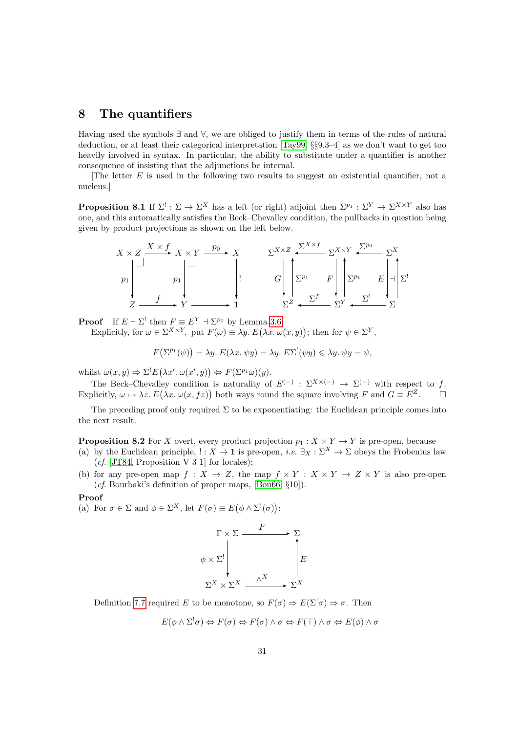### <span id="page-30-0"></span>8 The quantifiers

Having used the symbols ∃ and ∀, we are obliged to justify them in terms of the rules of natural deduction, or at least their categorical interpretation [\[Tay99,](#page-47-1) §§9.3–4] as we don't want to get too heavily involved in syntax. In particular, the ability to substitute under a quantifier is another consequence of insisting that the adjunctions be internal.

The letter  $E$  is used in the following two results to suggest an existential quantifier, not a nucleus.]

<span id="page-30-2"></span>**Proposition 8.1** If  $\Sigma^! : \Sigma \to \Sigma^X$  has a left (or right) adjoint then  $\Sigma^{p_1} : \Sigma^Y \to \Sigma^{X \times Y}$  also has one, and this automatically satisfies the Beck–Chevalley condition, the pullbacks in question being given by product projections as shown on the left below.



**Proof** If  $E \dashv \Sigma^!$  then  $F \equiv E^Y \dashv \Sigma^{p_1}$  by Lemma [3.6.](#page-11-3)

Explicitly, for  $\omega \in \Sigma^{X \times Y}$ , put  $F(\omega) \equiv \lambda y$ .  $E(\lambda x. \omega(x, y))$ ; then for  $\psi \in \Sigma^{Y}$ ,

$$
F(\Sigma^{p_1}(\psi)) = \lambda y. E(\lambda x. \psi y) = \lambda y. E\Sigma^{!}(\psi y) \leq \lambda y. \psi y = \psi,
$$

whilst  $\omega(x, y) \Rightarrow \Sigma^! E(\lambda x'. \omega(x', y)) \Leftrightarrow F(\Sigma^{p_1} \omega)(y)$ .

The Beck–Chevalley condition is naturality of  $E^{(-)}$ :  $\Sigma^{X\times (-)} \to \Sigma^{(-)}$  with respect to f. Explicitly,  $\omega \mapsto \lambda z$ .  $E(\lambda x. \omega(x, fz))$  both ways round the square involving F and  $G \equiv E^Z$ .

The preceding proof only required  $\Sigma$  to be exponentiating: the Euclidean principle comes into the next result.

<span id="page-30-1"></span>**Proposition 8.2** For X overt, every product projection  $p_1 : X \times Y \to Y$  is pre-open, because

- (a) by the Euclidean principle,  $\cdot : X \to \mathbf{1}$  is pre-open, *i.e.*  $\exists_X : \Sigma^X \to \Sigma$  obeys the Frobenius law (*cf.* [\[JT84,](#page-46-5) Proposition V 3 1] for locales);
- (b) for any pre-open map  $f: X \to Z$ , the map  $f \times Y : X \times Y \to Z \times Y$  is also pre-open (cf. Bourbaki's definition of proper maps, [\[Bou66,](#page-45-0) §10]).

#### Proof

(a) For  $\sigma \in \Sigma$  and  $\phi \in \Sigma^X$ , let  $F(\sigma) \equiv E(\phi \wedge \Sigma^!(\sigma))$ :



Definition [7.7](#page-27-0) required E to be monotone, so  $F(\sigma) \Rightarrow E(\Sigma^!\sigma) \Rightarrow \sigma$ . Then

$$
E(\phi \wedge \Sigma^! \sigma) \Leftrightarrow F(\sigma) \Leftrightarrow F(\sigma) \wedge \sigma \Leftrightarrow F(\top) \wedge \sigma \Leftrightarrow E(\phi) \wedge \sigma
$$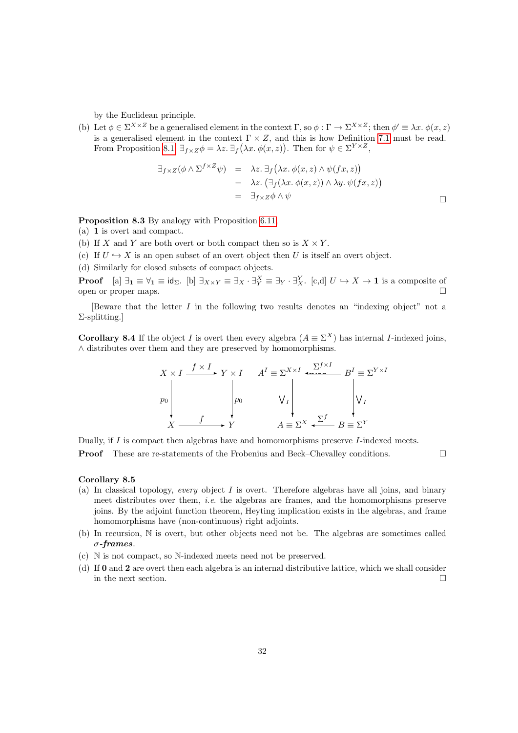by the Euclidean principle.

(b) Let  $\phi \in \Sigma^{X \times Z}$  be a generalised element in the context  $\Gamma$ , so  $\phi : \Gamma \to \Sigma^{X \times Z}$ ; then  $\phi' \equiv \lambda x.$   $\phi(x, z)$ is a generalised element in the context  $\Gamma \times Z$ , and this is how Definition [7.1](#page-26-2) must be read. From Proposition [8.1,](#page-30-2)  $\exists_{f \times Z} \phi = \lambda z$ .  $\exists_{f} (\lambda x. \phi(x, z))$ . Then for  $\psi \in \Sigma^{Y \times Z}$ ,

$$
\exists_{f \times Z} (\phi \land \Sigma^{f \times Z} \psi) = \lambda z. \exists_{f} (\lambda x. \phi(x, z) \land \psi(fx, z))
$$
  
=  $\lambda z. (\exists_{f} (\lambda x. \phi(x, z)) \land \lambda y. \psi(fx, z))$   
=  $\exists_{f \times Z} \phi \land \psi$ 

<span id="page-31-1"></span>Proposition 8.3 By analogy with Proposition [6.11,](#page-23-0)

- (a) 1 is overt and compact.
- (b) If X and Y are both overt or both compact then so is  $X \times Y$ .
- (c) If  $U \hookrightarrow X$  is an open subset of an overt object then U is itself an overt object.
- (d) Similarly for closed subsets of compact objects.

**Proof** [a]  $\exists_1 \equiv \forall_1 \equiv id_{\Sigma}$ . [b]  $\exists_{X \times Y} \equiv \exists_X \cdot \exists_X^X \equiv \exists_Y \cdot \exists_X^Y$ . [c,d]  $U \hookrightarrow X \to 1$  is a composite of open or proper maps.

[Beware that the letter  $I$  in the following two results denotes an "indexing object" not a Σ-splitting.]

<span id="page-31-0"></span>**Corollary 8.4** If the object I is overt then every algebra  $(A \equiv \Sigma^X)$  has internal I-indexed joins, ∧ distributes over them and they are preserved by homomorphisms.

$$
X \times I \xrightarrow{f \times I} Y \times I \qquad A^I \equiv \Sigma^{X \times I} \xrightarrow{\Sigma^{f \times I}} B^I \equiv \Sigma^{Y \times I}
$$
  
\n
$$
P0 \qquad \qquad V_I \qquad \qquad V_I
$$
  
\n
$$
X \xrightarrow{f} Y \qquad \qquad A \equiv \Sigma^X \xleftarrow{\Sigma^f} B \equiv \Sigma^Y
$$

Dually, if I is compact then algebras have and homomorphisms preserve I-indexed meets.

**Proof** These are re-statements of the Frobenius and Beck–Chevalley conditions. □

#### Corollary 8.5

- (a) In classical topology, every object  $I$  is overt. Therefore algebras have all joins, and binary meet distributes over them, i.e. the algebras are frames, and the homomorphisms preserve joins. By the adjoint function theorem, Heyting implication exists in the algebras, and frame homomorphisms have (non-continuous) right adjoints.
- (b) In recursion, N is overt, but other objects need not be. The algebras are sometimes called σ-frames.
- (c) N is not compact, so N-indexed meets need not be preserved.
- (d) If 0 and 2 are overt then each algebra is an internal distributive lattice, which we shall consider in the next section.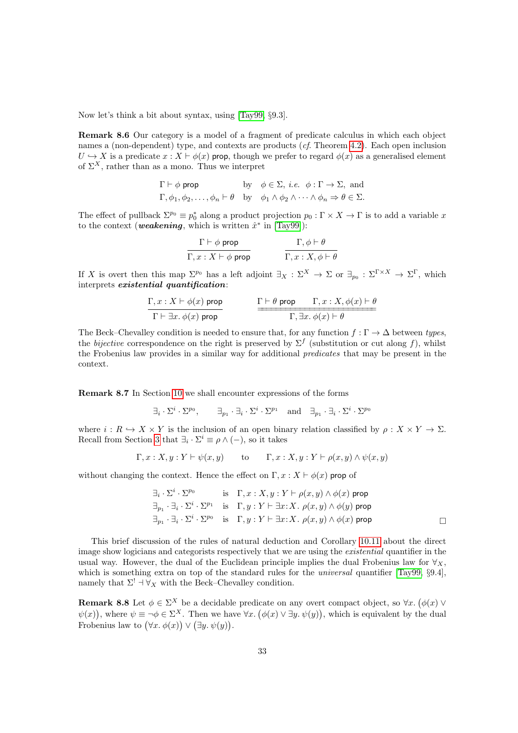Now let's think a bit about syntax, using [\[Tay99,](#page-47-1) §9.3].

Remark 8.6 Our category is a model of a fragment of predicate calculus in which each object names a (non-dependent) type, and contexts are products (*cf.* Theorem [4.2\)](#page-14-1). Each open inclusion  $U \hookrightarrow X$  is a predicate  $x : X \vdash \phi(x)$  prop, though we prefer to regard  $\phi(x)$  as a generalised element of  $\Sigma^X$ , rather than as a mono. Thus we interpret

$$
\Gamma \vdash \phi \text{ prop}
$$
 by  $\phi \in \Sigma$ , *i.e.*  $\phi : \Gamma \to \Sigma$ , and  
\n $\Gamma, \phi_1, \phi_2, \dots, \phi_n \vdash \theta$  by  $\phi_1 \wedge \phi_2 \wedge \dots \wedge \phi_n \Rightarrow \theta \in \Sigma$ .

The effect of pullback  $\Sigma^{p_0} \equiv p_0^*$  along a product projection  $p_0 : \Gamma \times X \to \Gamma$  is to add a variable x to the context (*weakening*, which is written  $\hat{x}^*$  in [\[Tay99\]](#page-47-1)):

$$
\frac{\Gamma \vdash \phi \text{ prop}}{\Gamma, x : X \vdash \phi \text{ prop}} \qquad \qquad \frac{\Gamma, \phi \vdash \theta}{\Gamma, x : X, \phi \vdash \theta}
$$

If X is overt then this map  $\Sigma^{p_0}$  has a left adjoint  $\exists_X : \Sigma^X \to \Sigma$  or  $\exists_{p_0} : \Sigma^{\Gamma \times X} \to \Sigma^{\Gamma}$ , which interprets existential quantification:

$$
\frac{\Gamma, x : X \vdash \phi(x) \text{ prop}}{\Gamma \vdash \exists x. \ \phi(x) \text{ prop}} \qquad \qquad \frac{\Gamma \vdash \theta \text{ prop} \qquad \Gamma, x : X, \phi(x) \vdash \theta}{\Gamma, \exists x. \ \phi(x) \vdash \theta}
$$

The Beck–Chevalley condition is needed to ensure that, for any function  $f : \Gamma \to \Delta$  between types, the bijective correspondence on the right is preserved by  $\Sigma^f$  (substitution or cut along f), whilst the Frobenius law provides in a similar way for additional predicates that may be present in the context.

<span id="page-32-1"></span>Remark 8.7 In Section [10](#page-36-0) we shall encounter expressions of the forms

$$
\exists_i \cdot \Sigma^i \cdot \Sigma^{p_0}, \qquad \exists_{p_1} \cdot \exists_i \cdot \Sigma^i \cdot \Sigma^{p_1} \quad \text{and} \quad \exists_{p_1} \cdot \exists_i \cdot \Sigma^i \cdot \Sigma^{p_0}
$$

where  $i : R \hookrightarrow X \times Y$  is the inclusion of an open binary relation classified by  $\rho : X \times Y \to \Sigma$ . Recall from Section [3](#page-8-0) that  $\exists_i \cdot \Sigma^i \equiv \rho \wedge (-)$ , so it takes

$$
\Gamma, x : X, y : Y \vdash \psi(x, y)
$$
 to  $\Gamma, x : X, y : Y \vdash \rho(x, y) \land \psi(x, y)$ 

without changing the context. Hence the effect on  $\Gamma, x : X \vdash \phi(x)$  prop of

$$
\exists_i \cdot \Sigma^i \cdot \Sigma^{p_0} \qquad \text{is} \quad \Gamma, x : X, y : Y \vdash \rho(x, y) \land \phi(x) \text{ prop}
$$
\n
$$
\exists_{p_1} \cdot \exists_i \cdot \Sigma^i \cdot \Sigma^{p_1} \quad \text{is} \quad \Gamma, y : Y \vdash \exists x : X. \ \rho(x, y) \land \phi(y) \text{ prop}
$$
\n
$$
\exists_{p_1} \cdot \exists_i \cdot \Sigma^i \cdot \Sigma^{p_0} \quad \text{is} \quad \Gamma, y : Y \vdash \exists x : X. \ \rho(x, y) \land \phi(x) \text{ prop}
$$

This brief discussion of the rules of natural deduction and Corollary [10.11](#page-39-0) about the direct image show logicians and categorists respectively that we are using the existential quantifier in the usual way. However, the dual of the Euclidean principle implies the dual Frobenius law for  $\forall x$ , which is something extra on top of the standard rules for the *universal* quantifier [\[Tay99,](#page-47-1) §9.4], namely that  $\Sigma^! \dashv \forall_X$  with the Beck–Chevalley condition.

<span id="page-32-0"></span>**Remark 8.8** Let  $\phi \in \Sigma^X$  be a decidable predicate on any overt compact object, so  $\forall x. (\phi(x) \vee \phi(x))$  $\psi(x)$ , where  $\psi \equiv \neg \phi \in \Sigma^{X}$ . Then we have  $\forall x. (\phi(x) \vee \exists y. \psi(y))$ , which is equivalent by the dual Frobenius law to  $(\forall x. \phi(x)) \lor (\exists y. \psi(y)).$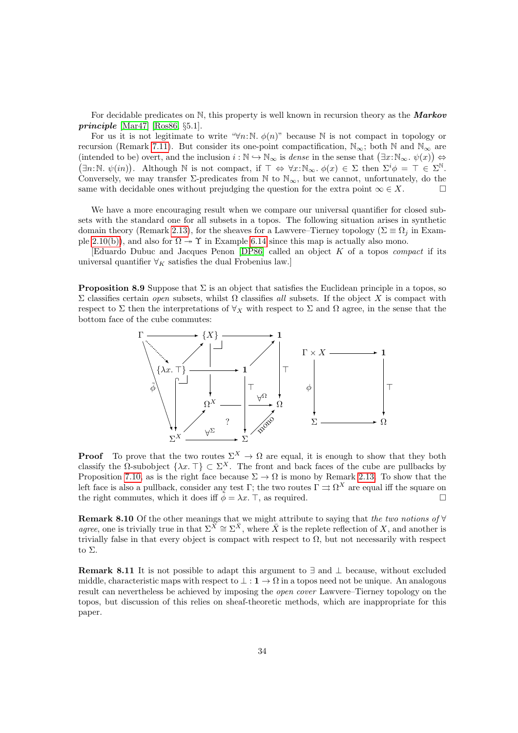For decidable predicates on N, this property is well known in recursion theory as the **Markov** *principle* [\[Mar47\]](#page-47-18) [\[Ros86,](#page-47-6)  $\S 5.1$ ].

For us it is not legitimate to write " $\forall n:\mathbb{N}$ .  $\phi(n)$ " because N is not compact in topology or recursion (Remark [7.11\)](#page-29-0). But consider its one-point compactification,  $\mathbb{N}_{\infty}$ ; both  $\mathbb N$  and  $\mathbb{N}_{\infty}$  are (intended to be) overt, and the inclusion  $i : \mathbb{N} \to \mathbb{N}_{\infty}$  is dense in the sense that  $(\exists x : \mathbb{N}_{\infty}, \psi(x)) \Leftrightarrow$  $(\exists n:\mathbb{N}.\ \psi(in)).$  Although  $\mathbb N$  is not compact, if  $\top \Leftrightarrow \forall x:\mathbb{N}_{\infty}.\ \phi(x) \in \Sigma$  then  $\Sigma^i\phi = \top \in \Sigma^{\mathbb N}$ . Conversely, we may transfer  $\Sigma$ -predicates from N to  $\mathbb{N}_{\infty}$ , but we cannot, unfortunately, do the same with decidable ones without prejudging the question for the extra point  $\infty \in X$ .

We have a more encouraging result when we compare our universal quantifier for closed subsets with the standard one for all subsets in a topos. The following situation arises in synthetic domain theory (Remark [2.13\)](#page-8-2), for the sheaves for a Lawvere–Tierney topology ( $\Sigma \equiv \Omega_i$  in Exam-ple [2.10\(b\)\)](#page-7-1), and also for  $\Omega \rightarrow \Upsilon$  in Example [6.14](#page-25-0) since this map is actually also mono.

[Eduardo Dubuc and Jacques Penon [\[DP86\]](#page-45-9) called an object K of a topos compact if its universal quantifier  $\forall_K$  satisfies the dual Frobenius law.]

**Proposition 8.9** Suppose that  $\Sigma$  is an object that satisfies the Euclidean principle in a topos, so  $\Sigma$  classifies certain *open* subsets, whilst  $Ω$  classifies all subsets. If the object X is compact with respect to  $\Sigma$  then the interpretations of  $\forall_X$  with respect to  $\Sigma$  and  $\Omega$  agree, in the sense that the bottom face of the cube commutes:



**Proof** To prove that the two routes  $\Sigma^X \to \Omega$  are equal, it is enough to show that they both classify the Ω-subobject  $\{\lambda x.\top\} \subset \Sigma^X$ . The front and back faces of the cube are pullbacks by Proposition [7.10,](#page-28-0) as is the right face because  $\Sigma \to \Omega$  is mono by Remark [2.13.](#page-8-2) To show that the left face is also a pullback, consider any test Γ; the two routes  $\Gamma \rightrightarrows \Omega^X$  are equal iff the square on the right commutes, which it does iff  $\tilde{\phi} = \lambda x$ . T, as required.

Remark 8.10 Of the other meanings that we might attribute to saying that the two notions of ∀ agree, one is trivially true in that  $\Sigma^{\overline{X}} \cong \Sigma^{\overline{X}}$ , where  $\overline{X}$  is the replete reflection of X, and another is trivially false in that every object is compact with respect to  $\Omega$ , but not necessarily with respect to Σ.

**Remark 8.11** It is not possible to adapt this argument to  $\exists$  and  $\bot$  because, without excluded middle, characteristic maps with respect to  $\bot : \mathbf{1} \to \Omega$  in a topos need not be unique. An analogous result can nevertheless be achieved by imposing the open cover Lawvere–Tierney topology on the topos, but discussion of this relies on sheaf-theoretic methods, which are inappropriate for this paper.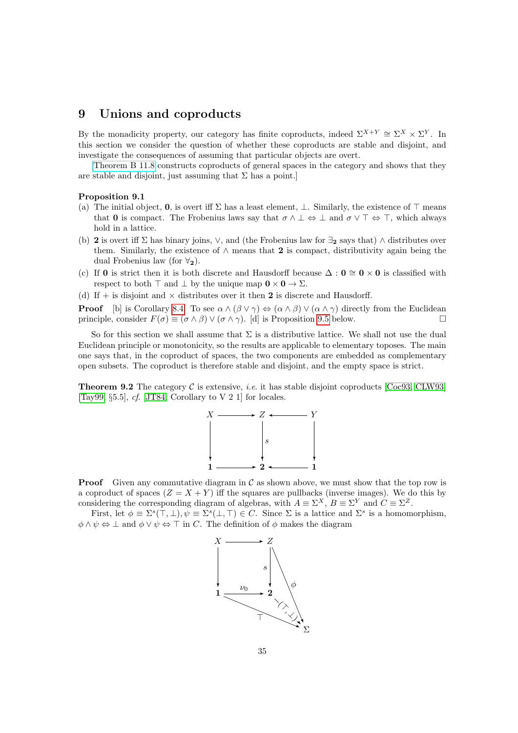### <span id="page-34-0"></span>9 Unions and coproducts

By the monadicity property, our category has finite coproducts, indeed  $\Sigma^{X+Y} \cong \Sigma^X \times \Sigma^Y$ . In this section we consider the question of whether these coproducts are stable and disjoint, and investigate the consequences of assuming that particular objects are overt.

[\[Theorem B 11.8](http://PaulTaylor.EU/ASD/subasd/applic#extensive) constructs coproducts of general spaces in the category and shows that they are stable and disjoint, just assuming that  $\Sigma$  has a point.]

#### Proposition 9.1

- (a) The initial object, 0, is overt iff  $\Sigma$  has a least element,  $\bot$ . Similarly, the existence of  $\top$  means that 0 is compact. The Frobenius laws say that  $\sigma \wedge \bot \Leftrightarrow \bot$  and  $\sigma \vee \top \Leftrightarrow \top$ , which always hold in a lattice.
- (b) 2 is overt iff  $\Sigma$  has binary joins,  $\vee$ , and (the Frobenius law for  $\exists$ <sub>2</sub> says that)  $\wedge$  distributes over them. Similarly, the existence of  $\land$  means that 2 is compact, distributivity again being the dual Frobenius law (for  $\forall_2$ ).
- (c) If 0 is strict then it is both discrete and Hausdorff because  $\Delta : 0 \cong 0 \times 0$  is classified with respect to both  $\top$  and  $\bot$  by the unique map  $0 \times 0 \rightarrow \Sigma$ .
- (d) If + is disjoint and  $\times$  distributes over it then 2 is discrete and Hausdorff.

**Proof** [b] is Corollary [8.4.](#page-31-0) To see  $\alpha \wedge (\beta \vee \gamma) \Leftrightarrow (\alpha \wedge \beta) \vee (\alpha \wedge \gamma)$  directly from the Euclidean principle, consider  $F(\sigma) \equiv (\sigma \wedge \beta) \vee (\sigma \wedge \gamma)$ . [d] is Proposition [9.5](#page-35-2) below.

So for this section we shall assume that  $\Sigma$  is a distributive lattice. We shall not use the dual Euclidean principle or monotonicity, so the results are applicable to elementary toposes. The main one says that, in the coproduct of spaces, the two components are embedded as complementary open subsets. The coproduct is therefore stable and disjoint, and the empty space is strict.

<span id="page-34-1"></span>**Theorem 9.2** The category  $C$  is extensive, *i.e.* it has stable disjoint coproducts [\[Coc93,](#page-45-10) [CLW93\]](#page-45-11) [\[Tay99,](#page-47-1) §5.5],  $cf.$  [\[JT84,](#page-46-5) Corollary to V 2 1] for locales.



**Proof** Given any commutative diagram in  $\mathcal{C}$  as shown above, we must show that the top row is a coproduct of spaces  $(Z = X + Y)$  iff the squares are pullbacks (inverse images). We do this by considering the corresponding diagram of algebras, with  $A \equiv \Sigma^X$ ,  $B \equiv \Sigma^Y$  and  $C \equiv \Sigma^Z$ .

First, let  $\phi \equiv \Sigma^s(\top, \bot), \psi \equiv \Sigma^s(\bot, \top) \in C$ . Since  $\Sigma$  is a lattice and  $\Sigma^s$  is a homomorphism,  $\phi \wedge \psi \Leftrightarrow \bot$  and  $\phi \vee \psi \Leftrightarrow \top$  in C. The definition of  $\phi$  makes the diagram

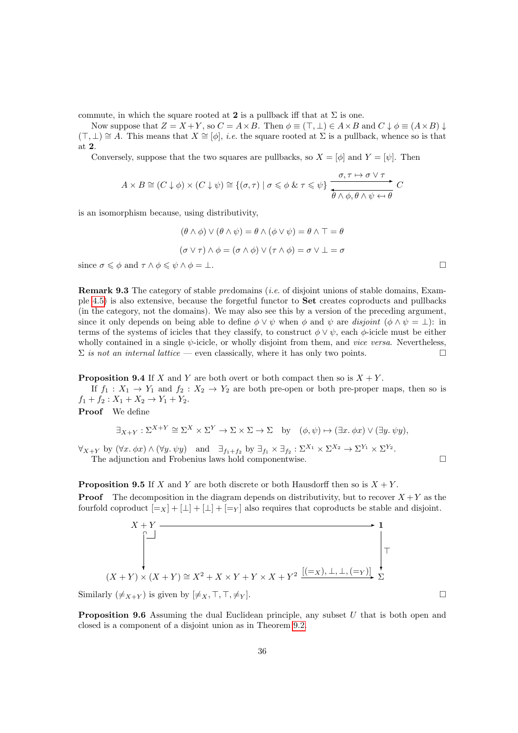commute, in which the square rooted at 2 is a pullback iff that at  $\Sigma$  is one.

Now suppose that  $Z = X + Y$ , so  $C = A \times B$ . Then  $\phi \equiv (\top, \bot) \in A \times B$  and  $C \downarrow \phi \equiv (A \times B) \downarrow$  $(T, \perp) \cong A$ . This means that  $X \cong [\phi]$ , *i.e.* the square rooted at  $\Sigma$  is a pullback, whence so is that at 2.

Conversely, suppose that the two squares are pullbacks, so  $X = [\phi]$  and  $Y = [\psi]$ . Then

$$
A \times B \cong (C \downarrow \phi) \times (C \downarrow \psi) \cong \{ (\sigma, \tau) \mid \sigma \leq \phi \& \tau \leq \psi \} \xrightarrow{\sigma, \tau \mapsto \sigma \vee \tau} C
$$

is an isomorphism because, using distributivity,

$$
(\theta \wedge \phi) \vee (\theta \wedge \psi) = \theta \wedge (\phi \vee \psi) = \theta \wedge \top = \theta
$$

$$
(\sigma \vee \tau) \wedge \phi = (\sigma \wedge \phi) \vee (\tau \wedge \phi) = \sigma \vee \bot = \sigma
$$
since  $\sigma \leq \phi$  and  $\tau \wedge \phi \leq \psi \wedge \phi = \bot$ .

<span id="page-35-0"></span>**Remark 9.3** The category of stable predomains *(i.e. of disjoint unions of stable domains, Exam*ple [4.5\)](#page-15-0) is also extensive, because the forgetful functor to Set creates coproducts and pullbacks (in the category, not the domains). We may also see this by a version of the preceding argument, since it only depends on being able to define  $\phi \lor \psi$  when  $\phi$  and  $\psi$  are disjoint  $(\phi \land \psi = \bot)$ : in terms of the systems of icicles that they classify, to construct  $\phi \vee \psi$ , each  $\phi$ -icicle must be either wholly contained in a single  $\psi$ -icicle, or wholly disjoint from them, and *vice versa*. Nevertheless,  $\Sigma$  is not an internal lattice — even classically, where it has only two points.

**Proposition 9.4** If X and Y are both overt or both compact then so is  $X + Y$ .

If  $f_1: X_1 \to Y_1$  and  $f_2: X_2 \to Y_2$  are both pre-open or both pre-proper maps, then so is  $f_1 + f_2 : X_1 + X_2 \rightarrow Y_1 + Y_2.$ 

Proof We define

$$
\exists_{X+Y} : \Sigma^{X+Y} \cong \Sigma^X \times \Sigma^Y \to \Sigma \times \Sigma \to \Sigma \text{ by } (\phi, \psi) \mapsto (\exists x. \phi x) \vee (\exists y. \psi y),
$$

 $\forall_{X+Y}$  by  $(\forall x. \phi x) \land (\forall y. \psi y)$  and  $\exists_{f_1+f_2}$  by  $\exists_{f_1} \times \exists_{f_2} : \Sigma^{X_1} \times \Sigma^{X_2} \to \Sigma^{Y_1} \times \Sigma^{Y_2}$ . The adjunction and Frobenius laws hold componentwise.

<span id="page-35-2"></span>**Proposition 9.5** If X and Y are both discrete or both Hausdorff then so is  $X + Y$ . **Proof** The decomposition in the diagram depends on distributivity, but to recover  $X + Y$  as the fourfold coproduct  $[=_X] + [\perp] + [\perp] + [<sub>|=Y</sub>]$  also requires that coproducts be stable and disjoint.

$$
X + Y
$$
\n
$$
\uparrow
$$
\n
$$
(X + Y) \times (X + Y) \cong X^2 + X \times Y + Y \times X + Y^2
$$
\n
$$
\begin{bmatrix}\n(1 - x) + (1 - x) + (1 - x) + (1 - x) + (1 - x) + (1 - x) + (1 - x) + (1 - x) + (1 - x) + (1 - x) + (1 - x) + (1 - x) + (1 - x) + (1 - x) + (1 - x) + (1 - x) + (1 - x) + (1 - x) + (1 - x) + (1 - x) + (1 - x) + (1 - x) + (1 - x) + (1 - x) + (1 - x) + (1 - x) + (1 - x) + (1 - x) + (1 - x) + (1 - x) + (1 - x) + (1 - x) + (1 - x) + (1 - x) + (1 - x) + (1 - x) + (1 - x) + (1 - x) + (1 - x) + (1 - x) + (1 - x) + (1 - x) + (1 - x) + (1 - x) + (1 - x) + (1 - x) + (1 - x) + (1 - x) + (1 - x) + (1 - x) + (1 - x) + (1 - x) + (1 - x) + (1 - x) + (1 - x) + (1 - x) + (1 - x) + (1 - x) + (1 - x) + (1 - x) + (1 - x) + (1 - x) + (1 - x) + (1 - x) + (1 - x) + (1 - x) + (1 - x) + (1 - x) + (1 - x) + (1 - x) + (1 - x) + (1 - x) + (1 - x) + (1 - x) + (1 - x) + (1 - x) + (1 - x) + (1 - x) + (1 - x) + (1 - x) + (1 - x) + (1 - x) + (1 - x) + (1 - x) + (1 - x) + (1 - x) + (1 - x) + (1 - x) + (1 - x) + (1 - x) + (1 - x) + (1 - x) + (1 - x) + (1 - x) + (1 - x) + (1 - x) + (1 - x) + (1 - x) + (1 - x) + (1 - x) + (1 - x) + (1 - x) + (1 - x) + (1 - x) + (1 - x) + (1 - x) + (1 - x) + (1 - x) + (1 - x) + (1 - x) + (1 - x) + (1 - x) + (1 - x) + (1 - x) + (1 -
$$

<span id="page-35-1"></span>Similarly  $(\neq_{X+Y})$  is given by  $[\neq_X, \top, \top, \neq_Y]$ .

**Proposition 9.6** Assuming the dual Euclidean principle, any subset U that is both open and closed is a component of a disjoint union as in Theorem [9.2.](#page-34-1)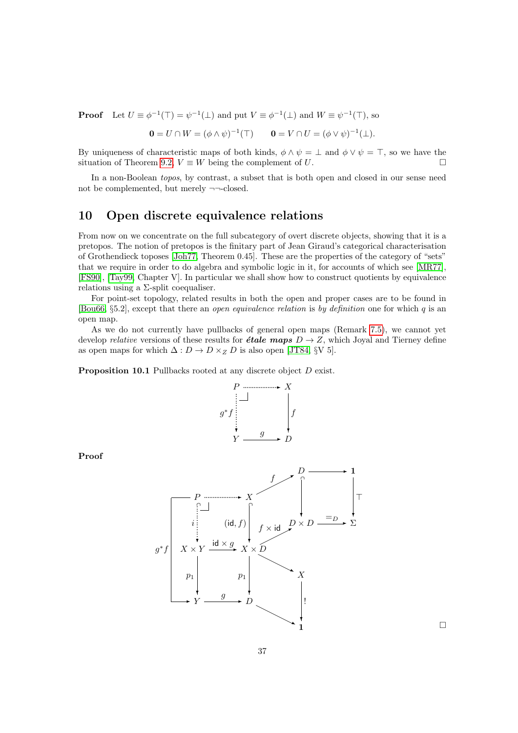**Proof** Let  $U \equiv \phi^{-1}(\top) = \psi^{-1}(\bot)$  and put  $V \equiv \phi^{-1}(\bot)$  and  $W \equiv \psi^{-1}(\top)$ , so

$$
\mathbf{0} = U \cap W = (\phi \wedge \psi)^{-1}(\top) \qquad \mathbf{0} = V \cap U = (\phi \vee \psi)^{-1}(\bot).
$$

By uniqueness of characteristic maps of both kinds,  $\phi \wedge \psi = \bot$  and  $\phi \vee \psi = \top$ , so we have the situation of Theorem [9.2,](#page-34-1)  $V \equiv W$  being the complement of U.

In a non-Boolean topos, by contrast, a subset that is both open and closed in our sense need not be complemented, but merely  $\neg\neg\neg\neg\neg\neg\neg$ 

### <span id="page-36-0"></span>10 Open discrete equivalence relations

From now on we concentrate on the full subcategory of overt discrete objects, showing that it is a pretopos. The notion of pretopos is the finitary part of Jean Giraud's categorical characterisation of Grothendieck toposes [\[Joh77,](#page-46-2) Theorem 0.45]. These are the properties of the category of "sets" that we require in order to do algebra and symbolic logic in it, for accounts of which see [\[MR77\]](#page-47-19), [\[FS90\]](#page-46-8), [\[Tay99,](#page-47-1) Chapter V]. In particular we shall show how to construct quotients by equivalence relations using a  $\Sigma$ -split coequaliser.

For point-set topology, related results in both the open and proper cases are to be found in [\[Bou66,](#page-45-0)  $\S 5.2$ ], except that there an *open equivalence relation* is by definition one for which q is an open map.

As we do not currently have pullbacks of general open maps (Remark [7.5\)](#page-27-2), we cannot yet develop *relative* versions of these results for *étale maps*  $D \rightarrow Z$ , which Joyal and Tierney define as open maps for which  $\Delta: D \to D \times_Z D$  is also open [\[JT84,](#page-46-5) §V 5].

<span id="page-36-1"></span>Proposition 10.1 Pullbacks rooted at any discrete object D exist.



Proof



 $\Box$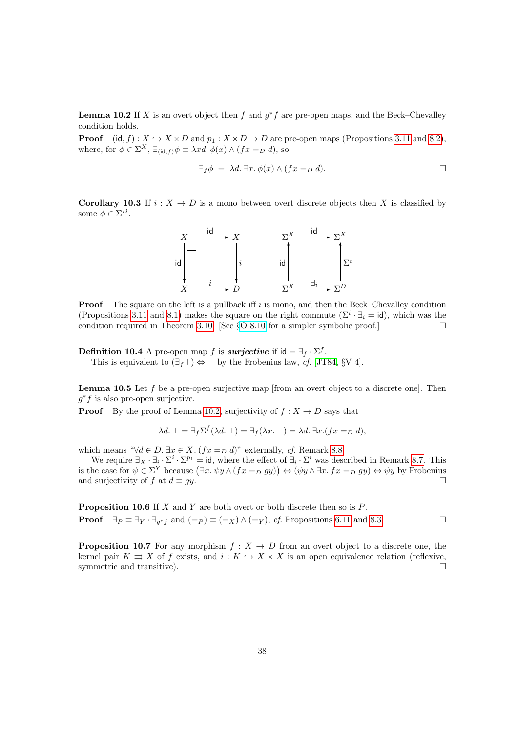<span id="page-37-2"></span>**Lemma 10.2** If X is an overt object then f and  $g^*f$  are pre-open maps, and the Beck–Chevalley condition holds.

**Proof** (id, f) :  $X \hookrightarrow X \times D$  and  $p_1 : X \times D \to D$  are pre-open maps (Propositions [3.11](#page-13-0) and [8.2\)](#page-30-1), where, for  $\phi \in \Sigma^X$ ,  $\exists_{(\mathsf{id}, f)} \phi \equiv \lambda x d$ .  $\phi(x) \wedge (fx =_D d)$ , so

$$
\exists_f \phi = \lambda d. \exists x. \phi(x) \land (fx =_D d). \Box
$$

<span id="page-37-1"></span>Corollary 10.3 If  $i : X \to D$  is a mono between overt discrete objects then X is classified by some  $\phi \in \Sigma^D$ .



**Proof** The square on the left is a pullback iff  $i$  is mono, and then the Beck–Chevalley condition (Propositions [3.11](#page-13-0) and [8.1\)](#page-30-2) makes the square on the right commute  $(\Sigma^i \cdot \exists_i = id)$ , which was the condition required in Theorem [3.10.](#page-12-0) [See §[O 8.10](http://PaulTaylor.EU/ASD/foufct/phoa#overt spc) for a simpler symbolic proof.]

<span id="page-37-0"></span>**Definition 10.4** A pre-open map f is **surjective** if  $id = \exists_f \cdot \Sigma^f$ . This is equivalent to  $(\exists_f \top) \Leftrightarrow \top$  by the Frobenius law, cf. [\[JT84,](#page-46-5) §V 4].

<span id="page-37-4"></span>**Lemma 10.5** Let f be a pre-open surjective map [from an overt object to a discrete one]. Then  $g^*f$  is also pre-open surjective.

**Proof** By the proof of Lemma [10.2,](#page-37-2) surjectivity of  $f : X \to D$  says that

$$
\lambda d. \top = \exists_f \Sigma^f(\lambda d. \top) = \exists_f(\lambda x. \top) = \lambda d. \exists x. (fx =_D d),
$$

which means " $\forall d \in D$ .  $\exists x \in X$ .  $(fx =_D d)$ " externally, cf. Remark [8.8.](#page-32-0)

We require  $\exists_X \cdot \exists_i \cdot \Sigma^{i} \cdot \Sigma^{p_1} = id$ , where the effect of  $\exists_i \cdot \Sigma^{i}$  was described in Remark [8.7.](#page-32-1) This is the case for  $\psi \in \Sigma^Y$  because  $(\exists x. \psi y \land (fx =_D gy)) \Leftrightarrow (\psi y \land \exists x. fx =_D gy) \Leftrightarrow \psi y$  by Frobenius and surjectivity of f at  $d \equiv qy$ .

<span id="page-37-3"></span>**Proposition 10.6** If  $X$  and  $Y$  are both overt or both discrete then so is  $P$ . **Proof**  $\exists p \equiv \exists y \cdot \exists g * f$  and  $(=p) \equiv (=_X) \land (=_Y)$ , cf. Propositions [6.11](#page-23-0) and [8.3.](#page-31-1)

**Proposition 10.7** For any morphism  $f: X \to D$  from an overt object to a discrete one, the kernel pair  $K \rightrightarrows X$  of f exists, and  $i: K \hookrightarrow X \times X$  is an open equivalence relation (reflexive, symmetric and transitive).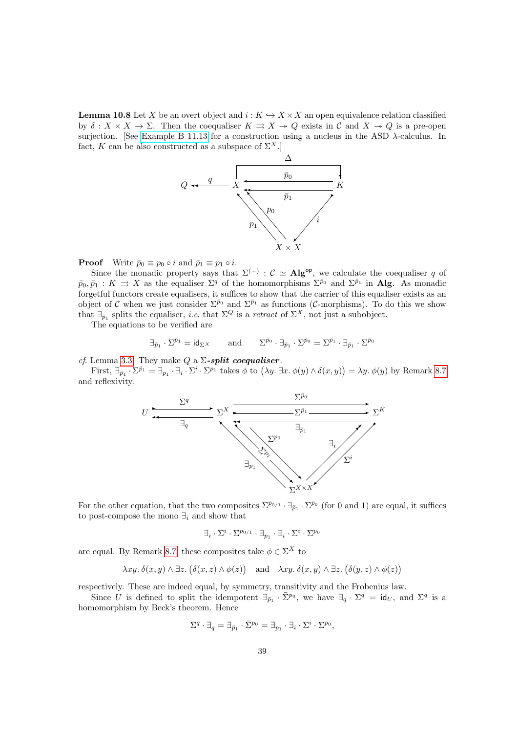<span id="page-38-0"></span>**Lemma 10.8** Let X be an overt object and  $i : K \hookrightarrow X \times X$  an open equivalence relation classified by  $\delta: X \times X \to \Sigma$ . Then the coequaliser  $K \rightrightarrows X \twoheadrightarrow Q$  exists in C and  $X \twoheadrightarrow Q$  is a pre-open surjection. [See [Example B 11.13](http://PaulTaylor.EU/ASD/subasd/applic#discrete quotient) for a construction using a nucleus in the ASD  $\lambda$ -calculus. In fact, K can be also constructed as a subspace of  $\Sigma^X$ .



**Proof** Write  $\bar{p}_0 \equiv p_0 \circ i$  and  $\bar{p}_1 \equiv p_1 \circ i$ .

Since the monadic property says that  $\Sigma^{(-)}$ :  $\mathcal{C} \simeq \mathbf{Alg}^{\mathsf{op}}$ , we calculate the coequaliser q of  $\bar{p}_0, \bar{p}_1 : K \implies X$  as the equaliser  $\Sigma^q$  of the homomorphisms  $\Sigma^{\bar{p}_0}$  and  $\Sigma^{\bar{p}_1}$  in **Alg.** As monadic forgetful functors create equalisers, it suffices to show that the carrier of this equaliser exists as an object of C when we just consider  $\Sigma^{\bar{p}_0}$  and  $\Sigma^{\bar{p}_1}$  as functions (C-morphisms). To do this we show that  $\exists_{\bar{p}_1}$  splits the equaliser, *i.e.* that  $\Sigma^Q$  is a *retract* of  $\Sigma^X$ , not just a subobject.

The equations to be verified are

$$
\exists_{\bar{p}_1} \cdot \Sigma^{\bar{p}_1} = \mathsf{id}_{\Sigma^X} \qquad \text{and} \qquad \Sigma^{\bar{p}_0} \cdot \exists_{\bar{p}_1} \cdot \Sigma^{\bar{p}_0} = \Sigma^{\bar{p}_1} \cdot \exists_{\bar{p}_1} \cdot \Sigma^{\bar{p}_0}
$$

cf. Lemma [3.3.](#page-10-0) They make  $Q$  a  $\Sigma$ -split coequaliser.

First,  $\exists_{\bar{p}_1} \cdot \Sigma^{\bar{p}_1} = \exists_{p_1} \cdot \exists_i \cdot \Sigma^{i} \cdot \Sigma^{p_1}$  takes  $\phi$  to  $(\lambda y. \exists x. \phi(y) \wedge \delta(x, y)) = \lambda y. \phi(y)$  by Remark [8.7](#page-32-1) and reflexivity.



For the other equation, that the two composites  $\Sigma^{\bar{p}_{0/1}} \cdot \exists_{\bar{p}_1} \cdot \Sigma^{\bar{p}_0}$  (for 0 and 1) are equal, it suffices to post-compose the mono  $\exists_i$  and show that

$$
\exists_i\cdot\Sigma^i\cdot\Sigma^{p_{0/1}}\cdot\exists_{p_1}\cdot \exists_i\cdot\Sigma^i\cdot\Sigma^{p_0}
$$

are equal. By Remark [8.7,](#page-32-1) these composites take  $\phi \in \Sigma^X$  to

$$
\lambda xy. \delta(x, y) \wedge \exists z. (\delta(x, z) \wedge \phi(z)) \quad \text{and} \quad \lambda xy. \delta(x, y) \wedge \exists z. (\delta(y, z) \wedge \phi(z))
$$

respectively. These are indeed equal, by symmetry, transitivity and the Frobenius law.

Since U is defined to split the idempotent  $\exists_{\bar{p}_1} \cdot \bar{\Sigma}^{p_0}$ , we have  $\exists_q \cdot \Sigma^q = id_U$ , and  $\Sigma^q$  is a homomorphism by Beck's theorem. Hence

$$
\Sigma^q\cdot\exists_q=\exists_{\bar{p}_1}\cdot\bar{\Sigma}^{p_0}=\exists_{p_1}\cdot\exists_i\cdot\Sigma^i\cdot\Sigma^{p_0},
$$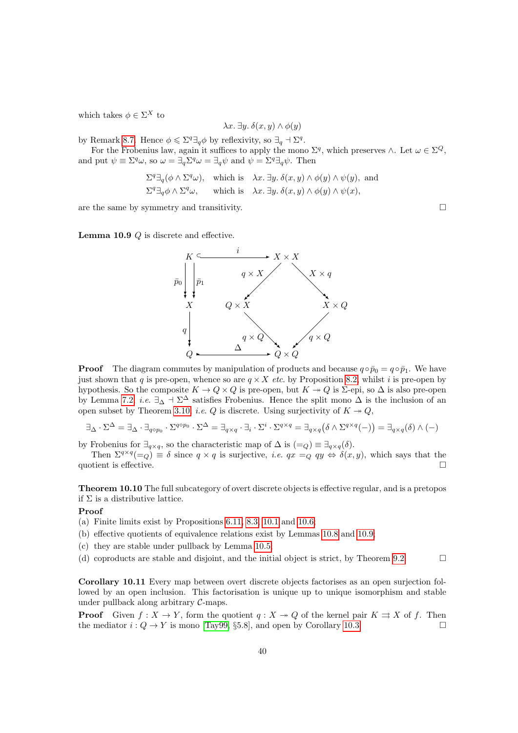which takes  $\phi \in \Sigma^X$  to

$$
\lambda x.\ \exists y.\ \delta(x,y)\wedge\phi(y)
$$

by Remark [8.7.](#page-32-1) Hence  $\phi \leq \Sigma^q \exists_q \phi$  by reflexivity, so  $\exists_q \Delta \Sigma^q$ .

For the Frobenius law, again it suffices to apply the mono  $\Sigma^q$ , which preserves  $\wedge$ . Let  $\omega \in \Sigma^Q$ , and put  $\psi \equiv \Sigma^q \omega$ , so  $\omega = \exists_q \Sigma^q \omega = \exists_q \psi$  and  $\psi = \Sigma^q \exists_q \psi$ . Then

$$
\Sigma^{q} \exists_{q} (\phi \wedge \Sigma^{q} \omega), \text{ which is } \lambda x. \exists y. \delta(x, y) \wedge \phi(y) \wedge \psi(y), \text{ and}
$$
  

$$
\Sigma^{q} \exists_{q} \phi \wedge \Sigma^{q} \omega, \text{ which is } \lambda x. \exists y. \delta(x, y) \wedge \phi(y) \wedge \psi(x),
$$

are the same by symmetry and transitivity.  $\Box$ 

<span id="page-39-1"></span>Lemma 10.9 Q is discrete and effective.



**Proof** The diagram commutes by manipulation of products and because  $q \circ \bar{p}_0 = q \circ \bar{p}_1$ . We have just shown that q is pre-open, whence so are  $q \times X$  etc. by Proposition [8.2,](#page-30-1) whilst i is pre-open by hypothesis. So the composite  $K \to Q \times Q$  is pre-open, but  $K \to Q$  is  $\Sigma$ -epi, so  $\Delta$  is also pre-open by Lemma [7.2,](#page-26-1) *i.e.*  $\exists_{\Delta}$   $\exists$   $\Sigma^{\Delta}$  satisfies Frobenius. Hence the split mono  $\Delta$  is the inclusion of an open subset by Theorem [3.10,](#page-12-0) *i.e.* Q is discrete. Using surjectivity of  $K \rightarrow Q$ ,

$$
\exists_{\Delta} \cdot \Sigma^{\Delta} = \exists_{\Delta} \cdot \exists_{q \circ p_0} \cdot \Sigma^{q \circ p_0} \cdot \Sigma^{\Delta} = \exists_{q \times q} \cdot \exists_i \cdot \Sigma^i \cdot \Sigma^{q \times q} = \exists_{q \times q} (\delta \wedge \Sigma^{q \times q}(-)) = \exists_{q \times q} (\delta) \wedge (-)
$$

by Frobenius for  $\exists_{q\times q}$ , so the characteristic map of  $\Delta$  is  $(=_Q) \equiv \exists_{q\times q}(\delta)$ .

Then  $\Sigma^{q \times q} (=_Q) \equiv \delta$  since  $q \times q$  is surjective, *i.e.*  $qx =_Q qy \Leftrightarrow \delta(x, y)$ , which says that the quotient is effective.  $\Box$ 

Theorem 10.10 The full subcategory of overt discrete objects is effective regular, and is a pretopos if  $\Sigma$  is a distributive lattice.

### Proof

- (a) Finite limits exist by Propositions [6.11,](#page-23-0) [8.3,](#page-31-1) [10.1](#page-36-1) and [10.6;](#page-37-3)
- (b) effective quotients of equivalence relations exist by Lemmas [10.8](#page-38-0) and [10.9;](#page-39-1)
- (c) they are stable under pullback by Lemma [10.5;](#page-37-4)
- (d) coproducts are stable and disjoint, and the initial object is strict, by Theorem [9.2.](#page-34-1)  $\Box$

<span id="page-39-0"></span>Corollary 10.11 Every map between overt discrete objects factorises as an open surjection followed by an open inclusion. This factorisation is unique up to unique isomorphism and stable under pullback along arbitrary  $C$ -maps.

**Proof** Given  $f: X \to Y$ , form the quotient  $q: X \to Q$  of the kernel pair  $K \rightrightarrows X$  of f. Then the mediator  $i: Q \to Y$  is mono [\[Tay99,](#page-47-1) §5.8], and open by Corollary [10.3.](#page-37-1)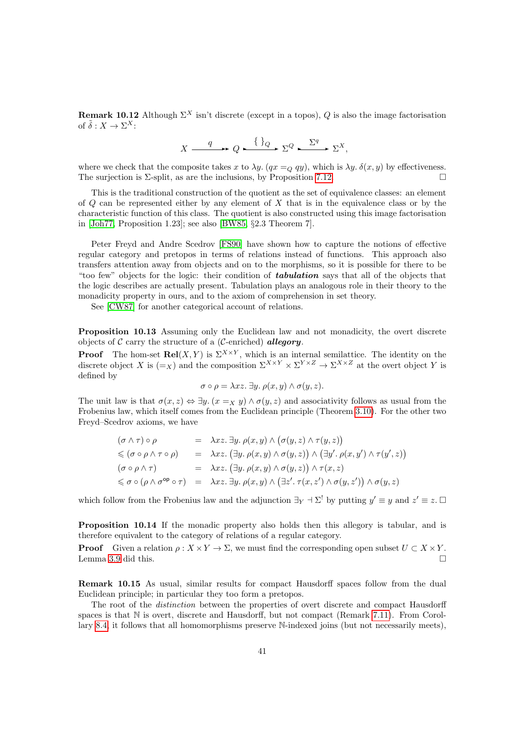**Remark 10.12** Although  $\Sigma^X$  isn't discrete (except in a topos), Q is also the image factorisation of  $\tilde{\delta}: X \to \Sigma^X$ :

$$
X \xrightarrow{q} Q \xrightarrow{\{ \}} Q \xrightarrow{\sum q} \Sigma^X,
$$

where we check that the composite takes x to  $\lambda y$ .  $(qx =_Q qy)$ , which is  $\lambda y$ .  $\delta(x, y)$  by effectiveness. The surjection is  $\Sigma$ -split, as are the inclusions, by Proposition [7.12.](#page-29-1)

This is the traditional construction of the quotient as the set of equivalence classes: an element of  $Q$  can be represented either by any element of  $X$  that is in the equivalence class or by the characteristic function of this class. The quotient is also constructed using this image factorisation in [\[Joh77,](#page-46-2) Proposition 1.23]; see also [\[BW85,](#page-45-3) §2.3 Theorem 7].

Peter Freyd and Andre Scedrov [\[FS90\]](#page-46-8) have shown how to capture the notions of effective regular category and pretopos in terms of relations instead of functions. This approach also transfers attention away from objects and on to the morphisms, so it is possible for there to be "too few" objects for the logic: their condition of **tabulation** says that all of the objects that the logic describes are actually present. Tabulation plays an analogous role in their theory to the monadicity property in ours, and to the axiom of comprehension in set theory.

See [\[CW87\]](#page-45-12) for another categorical account of relations.

<span id="page-40-0"></span>Proposition 10.13 Assuming only the Euclidean law and not monadicity, the overt discrete objects of  $C$  carry the structure of a (*C*-enriched) **allegory**.

**Proof** The hom-set  $\text{Rel}(X, Y)$  is  $\Sigma^{X \times Y}$ , which is an internal semilattice. The identity on the discrete object X is  $(=_X)$  and the composition  $\Sigma^{X\times Y}\times \Sigma^{Y\times Z}\to \Sigma^{X\times Z}$  at the overt object Y is defined by

$$
\sigma \circ \rho = \lambda xz. \exists y. \ \rho(x, y) \land \sigma(y, z).
$$

The unit law is that  $\sigma(x, z) \Leftrightarrow \exists y \ (x =_X y) \land \sigma(y, z)$  and associativity follows as usual from the Frobenius law, which itself comes from the Euclidean principle (Theorem [3.10\)](#page-12-0). For the other two Freyd–Scedrov axioms, we have

$$
(\sigma \wedge \tau) \circ \rho = \lambda xz. \exists y. \rho(x, y) \wedge (\sigma(y, z) \wedge \tau(y, z))
$$
  
\$\leqslant (\sigma \circ \rho \wedge \tau \circ \rho) = \lambda xz. (\exists y. \rho(x, y) \wedge \sigma(y, z)) \wedge (\exists y'. \rho(x, y') \wedge \tau(y', z))\$  

$$
(\sigma \circ \rho \wedge \tau) = \lambda xz. (\exists y. \rho(x, y) \wedge \sigma(y, z)) \wedge \tau(x, z)
$$
  
\$\leqslant \sigma \circ (\rho \wedge \sigma^{\mathsf{op}} \circ \tau) = \lambda xz. \exists y. \rho(x, y) \wedge (\exists z'. \tau(x, z') \wedge \sigma(y, z')) \wedge \sigma(y, z)\$

which follow from the Frobenius law and the adjunction  $\exists Y \vdash \Sigma'$  by putting  $y' \equiv y$  and  $z' \equiv z$ .

Proposition 10.14 If the monadic property also holds then this allegory is tabular, and is therefore equivalent to the category of relations of a regular category.

**Proof** Given a relation  $\rho: X \times Y \to \Sigma$ , we must find the corresponding open subset  $U \subset X \times Y$ . Lemma [3.9](#page-11-2) did this.  $\Box$ 

Remark 10.15 As usual, similar results for compact Hausdorff spaces follow from the dual Euclidean principle; in particular they too form a pretopos.

The root of the distinction between the properties of overt discrete and compact Hausdorff spaces is that N is overt, discrete and Hausdorff, but not compact (Remark [7.11\)](#page-29-0). From Corollary [8.4,](#page-31-0) it follows that all homomorphisms preserve N-indexed joins (but not necessarily meets),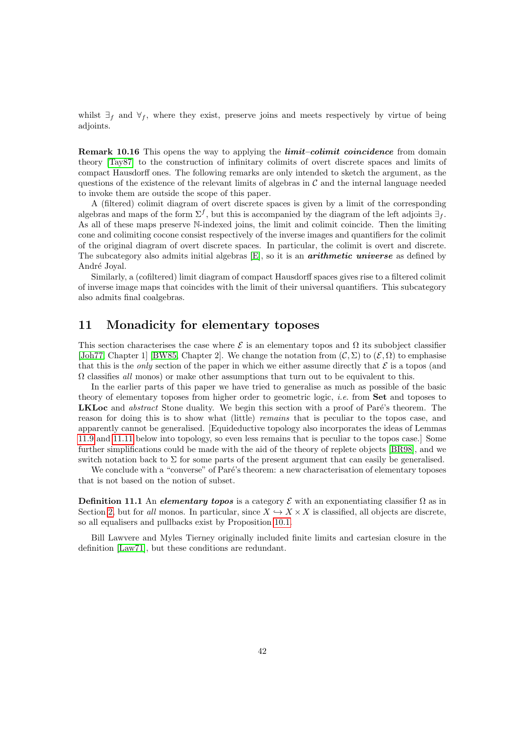whilst  $\exists_f$  and  $\forall_f$ , where they exist, preserve joins and meets respectively by virtue of being adjoints.

**Remark 10.16** This opens the way to applying the *limit–colimit coincidence* from domain theory [\[Tay87\]](#page-47-20) to the construction of infinitary colimits of overt discrete spaces and limits of compact Hausdorff ones. The following remarks are only intended to sketch the argument, as the questions of the existence of the relevant limits of algebras in  $\mathcal C$  and the internal language needed to invoke them are outside the scope of this paper.

A (filtered) colimit diagram of overt discrete spaces is given by a limit of the corresponding algebras and maps of the form  $\Sigma^f$ , but this is accompanied by the diagram of the left adjoints  $\exists_f$ . As all of these maps preserve N-indexed joins, the limit and colimit coincide. Then the limiting cone and colimiting cocone consist respectively of the inverse images and quantifiers for the colimit of the original diagram of overt discrete spaces. In particular, the colimit is overt and discrete. The subcategory also admits initial algebras  $[E]$ , so it is an **arithmetic universe** as defined by André Joyal.

Similarly, a (cofiltered) limit diagram of compact Hausdorff spaces gives rise to a filtered colimit of inverse image maps that coincides with the limit of their universal quantifiers. This subcategory also admits final coalgebras.

### <span id="page-41-0"></span>11 Monadicity for elementary toposes

This section characterises the case where  $\mathcal E$  is an elementary topos and  $\Omega$  its subobject classifier [\[Joh77,](#page-46-2) Chapter 1] [\[BW85,](#page-45-3) Chapter 2]. We change the notation from  $(C, \Sigma)$  to  $(\mathcal{E}, \Omega)$  to emphasise that this is the *only* section of the paper in which we either assume directly that  $\mathcal E$  is a topos (and  $\Omega$  classifies all monos) or make other assumptions that turn out to be equivalent to this.

In the earlier parts of this paper we have tried to generalise as much as possible of the basic theory of elementary toposes from higher order to geometric logic, i.e. from Set and toposes to **LKLoc** and *abstract* Stone duality. We begin this section with a proof of Paré's theorem. The reason for doing this is to show what (little) *remains* that is peculiar to the topos case, and apparently cannot be generalised. [Equideductive topology also incorporates the ideas of Lemmas [11.9](#page-43-0) and [11.11](#page-43-1) below into topology, so even less remains that is peculiar to the topos case.] Some further simplifications could be made with the aid of the theory of replete objects [\[BR98\]](#page-45-4), and we switch notation back to  $\Sigma$  for some parts of the present argument that can easily be generalised.

We conclude with a "converse" of Paré's theorem: a new characterisation of elementary toposes that is not based on the notion of subset.

**Definition 11.1** An elementary topos is a category  $\mathcal{E}$  with an exponentiating classifier  $\Omega$  as in Section [2,](#page-3-0) but for all monos. In particular, since  $X \hookrightarrow X \times X$  is classified, all objects are discrete, so all equalisers and pullbacks exist by Proposition [10.1.](#page-36-1)

Bill Lawvere and Myles Tierney originally included finite limits and cartesian closure in the definition [\[Law71\]](#page-46-6), but these conditions are redundant.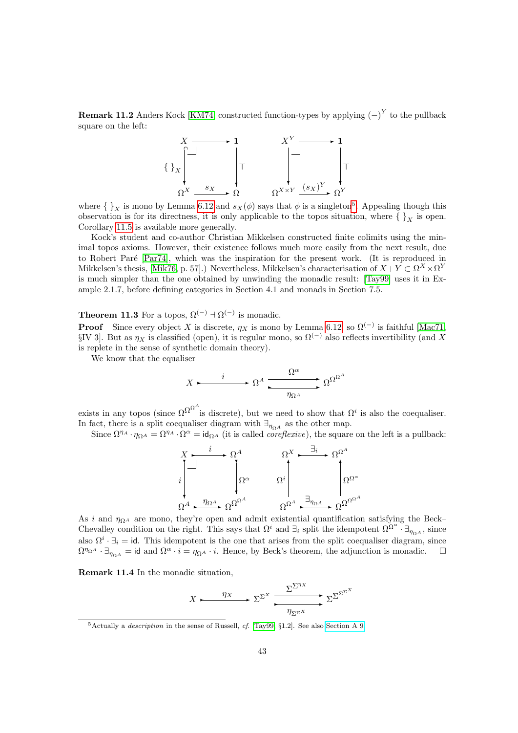**Remark 11.2** Anders Kock [\[KM74\]](#page-46-15) constructed function-types by applying  $(-)^Y$  to the pullback square on the left:



where  $\{\,\}_X$  is mono by Lemma [6.12](#page-24-0) and  $s_X(\phi)$  says that  $\phi$  is a singleton<sup>[5](#page-42-1)</sup>. Appealing though this observation is for its directness, it is only applicable to the topos situation, where  $\{\}_X$  is open. Corollary [11.5](#page-43-2) is available more generally.

Kock's student and co-author Christian Mikkelsen constructed finite colimits using the minimal topos axioms. However, their existence follows much more easily from the next result, due to Robert Paré [\[Par74\]](#page-47-21), which was the inspiration for the present work. (It is reproduced in Mikkelsen's thesis, [\[Mik76,](#page-47-17) p. 57].) Nevertheless, Mikkelsen's characterisation of  $X + Y \subset \Omega^X \times \Omega^Y$ is much simpler than the one obtained by unwinding the monadic result: [\[Tay99\]](#page-47-1) uses it in Example 2.1.7, before defining categories in Section 4.1 and monads in Section 7.5.

<span id="page-42-0"></span>**Theorem 11.3** For a topos,  $\Omega^{(-)} \dashv \Omega^{(-)}$  is monadic.

**Proof** Since every object X is discrete,  $\eta_X$  is mono by Lemma [6.12,](#page-24-0) so  $\Omega^{(-)}$  is faithful [\[Mac71,](#page-47-11) §IV 3]. But as  $\eta_X$  is classified (open), it is regular mono, so  $\Omega^{(-)}$  also reflects invertibility (and X is replete in the sense of synthetic domain theory).

We know that the equaliser

$$
X \longleftarrow i \longrightarrow \Omega^A \xrightarrow{\Omega^{\alpha}} \Omega^{\Omega^A}
$$

exists in any topos (since  $\Omega^{\Omega^A}$  is discrete), but we need to show that  $\Omega^i$  is also the coequaliser. In fact, there is a split coequaliser diagram with  $\exists_{\eta_{\Omega}A}$  as the other map.

Since  $\Omega^{\eta_A} \cdot \eta_{\Omega^A} = \Omega^{\eta_A} \cdot \Omega^{\alpha} = id_{\Omega^A}$  (it is called *coreflexive*), the square on the left is a pullback:

$$
\begin{array}{ccc}\nX & \xrightarrow{i} & \Omega^A & \Omega^X & \xrightarrow{\exists_i} & \Omega^{\Omega^A} \\
\downarrow \downarrow & & \downarrow \Omega^{\alpha} & & \Omega^i & \Omega^{\Omega^{\alpha}} \\
\Omega^A & \xrightarrow{\eta_{\Omega^A}} & \Omega^{\Omega^{\alpha^A}} & & \Omega^{\Omega^A} & \xrightarrow{\exists_{\eta_{\Omega^A}}} & \Omega^{\Omega^{\Omega^{A}}} \\
\end{array}
$$

As i and  $\eta_{\Omega^A}$  are mono, they're open and admit existential quantification satisfying the Beck– Chevalley condition on the right. This says that  $\Omega^i$  and  $\exists_i$  split the idempotent  $\Omega^{\Omega^{\alpha}}$ .  $\exists_{\eta_{\Omega^A}}$ , since also  $\Omega^i \cdot \exists_i = id$ . This idempotent is the one that arises from the split coequaliser diagram, since  $\Omega^{\eta_{\Omega}A} \cdot \exists_{\eta_{\Omega}A} = \text{id}$  and  $\Omega^{\alpha} \cdot i = \eta_{\Omega^A} \cdot i$ . Hence, by Beck's theorem, the adjunction is monadic.  $\square$ 

Remark 11.4 In the monadic situation,

$$
X \longleftarrow \eta_X \longrightarrow \Sigma^{\Sigma^X} \xrightarrow{\Sigma^{\Sigma^{\eta_X}} \Sigma^{\Sigma^{\Sigma^X}}}
$$

<span id="page-42-1"></span> $5$ Actually a *description* in the sense of Russell, *cf.* [\[Tay99,](#page-47-1) §1.2]. See also [Section A 9.](http://PaulTaylor.EU/ASD/sobsc/descriptions)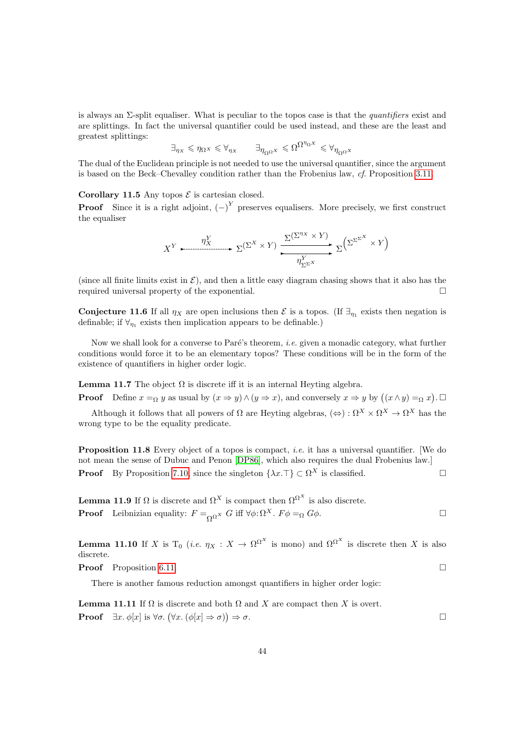is always an  $\Sigma$ -split equaliser. What is peculiar to the topos case is that the *quantifiers* exist and are splittings. In fact the universal quantifier could be used instead, and these are the least and greatest splittings:

$$
\exists_{\eta_{X}}\leqslant \eta_{\Omega^{X}}\leqslant \forall_{\eta_{X}}\qquad \exists_{\eta_{\Omega^{\Omega^{X}}}}\leqslant \Omega^{\Omega^{\eta_{\Omega^{X}}}}\leqslant \forall_{\eta_{\Omega^{\Omega^{X}}}}
$$

The dual of the Euclidean principle is not needed to use the universal quantifier, since the argument is based on the Beck–Chevalley condition rather than the Frobenius law, cf. Proposition [3.11.](#page-13-0)

### <span id="page-43-2"></span>Corollary 11.5 Any topos  $\mathcal E$  is cartesian closed.

**Proof** Since it is a right adjoint,  $(-)^Y$  preserves equalisers. More precisely, we first construct the equaliser

$$
X^{Y} \xrightarrow{\eta^{Y}_{X}} \Sigma^{(\Sigma^{X} \times Y)} \xrightarrow{\Sigma^{(\Sigma^{\eta_{X}} \times Y)}} \Sigma^{\Sigma^{\Sigma^{X}} \times Y}
$$

(since all finite limits exist in  $\mathcal{E}$ ), and then a little easy diagram chasing shows that it also has the required universal property of the exponential.

**Conjecture 11.6** If all  $\eta_X$  are open inclusions then  $\mathcal{E}$  is a topos. (If  $\exists_{\eta_1}$  exists then negation is definable; if  $\forall_{\eta_1}$  exists then implication appears to be definable.)

Now we shall look for a converse to Paré's theorem, *i.e.* given a monadic category, what further conditions would force it to be an elementary topos? These conditions will be in the form of the existence of quantifiers in higher order logic.

**Lemma 11.7** The object  $\Omega$  is discrete iff it is an internal Heyting algebra.

**Proof** Define  $x =_{\Omega} y$  as usual by  $(x \Rightarrow y) \land (y \Rightarrow x)$ , and conversely  $x \Rightarrow y$  by  $((x \land y) =_{\Omega} x)$ .

Although it follows that all powers of  $\Omega$  are Heyting algebras,  $(\Leftrightarrow) : \Omega^X \times \Omega^X \to \Omega^X$  has the wrong type to be the equality predicate.

<span id="page-43-3"></span>**Proposition 11.8** Every object of a topos is compact, *i.e.* it has a universal quantifier. [We do not mean the sense of Dubuc and Penon [\[DP86\]](#page-45-9), which also requires the dual Frobenius law.] **Proof** By Proposition [7.10,](#page-28-0) since the singleton  $\{\lambda x.\top\} \subset \Omega^X$  is classified.

<span id="page-43-0"></span>**Lemma 11.9** If  $\Omega$  is discrete and  $\Omega^X$  is compact then  $\Omega^{\Omega^X}$  is also discrete. **Proof** Leibnizian equality:  $F =_{\Omega^{\Omega^X}} G$  iff  $\forall \phi : \Omega^X$ .  $F\phi =_{\Omega} G\phi$ .

<span id="page-43-4"></span>**Lemma 11.10** If X is T<sub>0</sub> (*i.e.*  $\eta_X : X \to \Omega^{\Omega^X}$  is mono) and  $\Omega^{\Omega^X}$  is discrete then X is also discrete.

**Proof** Proposition [6.11.](#page-23-0)

There is another famous reduction amongst quantifiers in higher order logic:

<span id="page-43-1"></span>**Lemma 11.11** If  $\Omega$  is discrete and both  $\Omega$  and X are compact then X is overt. **Proof**  $\exists x. \phi[x]$  is  $\forall \sigma. (\forall x. (\phi[x] \Rightarrow \sigma))$  $\Rightarrow$   $\sigma$ .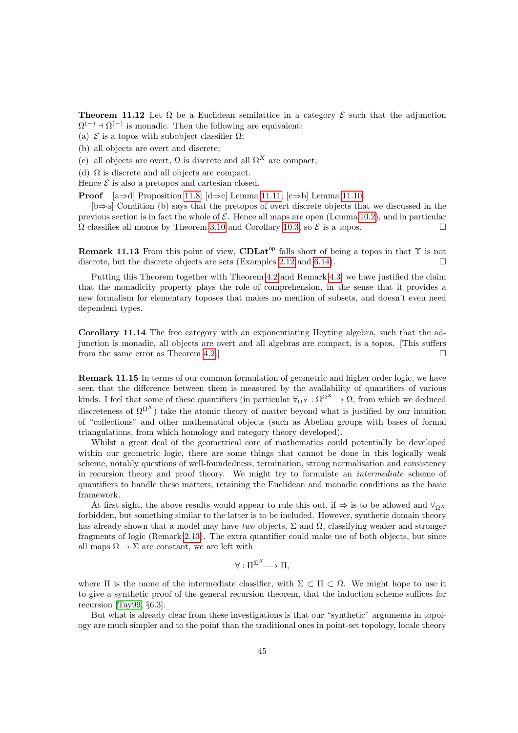**Theorem 11.12** Let  $\Omega$  be a Euclidean semilattice in a category  $\mathcal{E}$  such that the adjunction  $\Omega^{(-)}$  +  $\Omega^{(-)}$  is monadic. Then the following are equivalent:

- (a)  $\mathcal E$  is a topos with subobject classifier  $\Omega$ ;
- (b) all objects are overt and discrete;
- (c) all objects are overt,  $\Omega$  is discrete and all  $\Omega^X$  are compact;
- (d)  $\Omega$  is discrete and all objects are compact.

Hence  $\mathcal E$  is also a pretopos and cartesian closed.

**Proof** [a⇒d] Proposition [11.8;](#page-43-3) [d⇒c] Lemma [11.11;](#page-43-1) [c⇒b] Lemma [11.10.](#page-43-4)

[b⇒a] Condition (b) says that the pretopos of overt discrete objects that we discussed in the previous section is in fact the whole of  $\mathcal E$ . Hence all maps are open (Lemma [10.2\)](#page-37-2), and in particular  $\Omega$  classifies all monos by Theorem [3.10](#page-12-0) and Corollary [10.3,](#page-37-1) so  $\mathcal E$  is a topos.

**Remark 11.13** From this point of view, CDLat<sup>op</sup> falls short of being a topos in that  $\Upsilon$  is not discrete, but the discrete objects are sets (Examples [2.12](#page-8-3) and [6.14\)](#page-25-0).

Putting this Theorem together with Theorem [4.2](#page-14-1) and Remark [4.3,](#page-15-1) we have justified the claim that the monadicity property plays the role of comprehension, in the sense that it provides a new formalism for elementary toposes that makes no mention of subsets, and doesn't even need dependent types.

Corollary 11.14 The free category with an exponentiating Heyting algebra, such that the adjunction is monadic, all objects are overt and all algebras are compact, is a topos. [This suffers from the same error as Theorem [4.2.](#page-14-1)]

Remark 11.15 In terms of our common formulation of geometric and higher order logic, we have seen that the difference between them is measured by the availability of quantifiers of various kinds. I feel that some of these quantifiers (in particular  $\forall_{\Omega} x : \Omega^{\Omega^X} \to \Omega$ , from which we deduced discreteness of  $\Omega^{\Omega^X}$ ) take the atomic theory of matter beyond what is justified by our intuition of "collections" and other mathematical objects (such as Abelian groups with bases of formal triangulations, from which homology and category theory developed).

Whilst a great deal of the geometrical core of mathematics could potentially be developed within our geometric logic, there are some things that cannot be done in this logically weak scheme, notably questions of well-foundedness, termination, strong normalisation and consistency in recursion theory and proof theory. We might try to formulate an intermediate scheme of quantifiers to handle these matters, retaining the Euclidean and monadic conditions as the basic framework.

At first sight, the above results would appear to rule this out, if  $\Rightarrow$  is to be allowed and  $\forall_{\Omega}$ forbidden, but something similar to the latter is to be included. However, synthetic domain theory has already shown that a model may have two objects,  $\Sigma$  and  $\Omega$ , classifying weaker and stronger fragments of logic (Remark [2.13\)](#page-8-2). The extra quantifier could make use of both objects, but since all maps  $\Omega \to \Sigma$  are constant, we are left with

$$
\forall: \Pi^{\Sigma^X} \longrightarrow \Pi,
$$

where  $\Pi$  is the name of the intermediate classifier, with  $\Sigma \subset \Pi \subset \Omega$ . We might hope to use it to give a synthetic proof of the general recursion theorem, that the induction scheme suffices for recursion [\[Tay99,](#page-47-1) §6.3].

But what is already clear from these investigations is that our "synthetic" arguments in topology are much simpler and to the point than the traditional ones in point-set topology, locale theory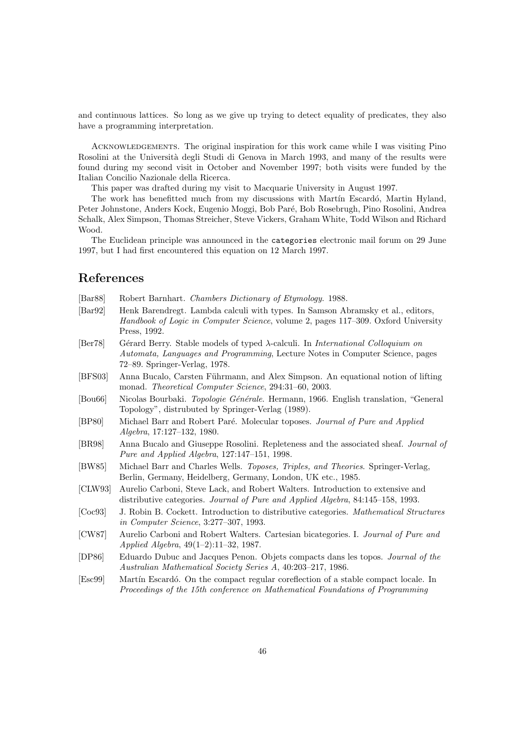and continuous lattices. So long as we give up trying to detect equality of predicates, they also have a programming interpretation.

ACKNOWLEDGEMENTS. The original inspiration for this work came while I was visiting Pino Rosolini at the Università degli Studi di Genova in March 1993, and many of the results were found during my second visit in October and November 1997; both visits were funded by the Italian Concilio Nazionale della Ricerca.

This paper was drafted during my visit to Macquarie University in August 1997.

The work has benefitted much from my discussions with Martín Escardó, Martin Hyland, Peter Johnstone, Anders Kock, Eugenio Moggi, Bob Paré, Bob Rosebrugh, Pino Rosolini, Andrea Schalk, Alex Simpson, Thomas Streicher, Steve Vickers, Graham White, Todd Wilson and Richard Wood.

The Euclidean principle was announced in the categories electronic mail forum on 29 June 1997, but I had first encountered this equation on 12 March 1997.

### References

- <span id="page-45-1"></span>[Bar88] Robert Barnhart. Chambers Dictionary of Etymology. 1988.
- <span id="page-45-2"></span>[Bar92] Henk Barendregt. Lambda calculi with types. In Samson Abramsky et al., editors, Handbook of Logic in Computer Science, volume 2, pages 117–309. Oxford University Press, 1992.
- <span id="page-45-6"></span>[Ber78] Gérard Berry. Stable models of typed  $\lambda$ -calculi. In *International Colloquium on* Automata, Languages and Programming, Lecture Notes in Computer Science, pages 72–89. Springer-Verlag, 1978.
- <span id="page-45-5"></span>[BFS03] Anna Bucalo, Carsten Führmann, and Alex Simpson. An equational notion of lifting monad. Theoretical Computer Science, 294:31–60, 2003.
- <span id="page-45-0"></span>[Bou66] Nicolas Bourbaki. Topologie Générale. Hermann, 1966. English translation, "General Topology", distrubuted by Springer-Verlag (1989).
- <span id="page-45-7"></span>[BP80] Michael Barr and Robert Paré. Molecular toposes. Journal of Pure and Applied Algebra, 17:127–132, 1980.
- <span id="page-45-4"></span>[BR98] Anna Bucalo and Giuseppe Rosolini. Repleteness and the associated sheaf. Journal of Pure and Applied Algebra, 127:147–151, 1998.
- <span id="page-45-3"></span>[BW85] Michael Barr and Charles Wells. Toposes, Triples, and Theories. Springer-Verlag, Berlin, Germany, Heidelberg, Germany, London, UK etc., 1985.
- <span id="page-45-11"></span>[CLW93] Aurelio Carboni, Steve Lack, and Robert Walters. Introduction to extensive and distributive categories. Journal of Pure and Applied Algebra, 84:145–158, 1993.
- <span id="page-45-10"></span>[Coc93] J. Robin B. Cockett. Introduction to distributive categories. Mathematical Structures in Computer Science, 3:277–307, 1993.
- <span id="page-45-12"></span>[CW87] Aurelio Carboni and Robert Walters. Cartesian bicategories. I. Journal of Pure and Applied Algebra, 49(1–2):11–32, 1987.
- <span id="page-45-9"></span>[DP86] Eduardo Dubuc and Jacques Penon. Objets compacts dans les topos. Journal of the Australian Mathematical Society Series A, 40:203–217, 1986.
- <span id="page-45-8"></span>[Esc99] Martín Escardó. On the compact regular coreflection of a stable compact locale. In Proceedings of the 15th conference on Mathematical Foundations of Programming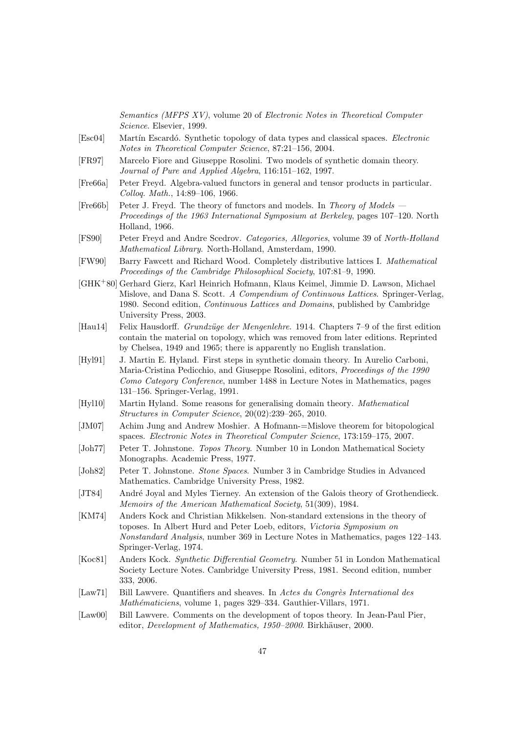Semantics (MFPS XV), volume 20 of Electronic Notes in Theoretical Computer Science. Elsevier, 1999.

- <span id="page-46-14"></span>[Esc04] Martín Escardó. Synthetic topology of data types and classical spaces. *Electronic* Notes in Theoretical Computer Science, 87:21–156, 2004.
- <span id="page-46-12"></span>[FR97] Marcelo Fiore and Giuseppe Rosolini. Two models of synthetic domain theory. Journal of Pure and Applied Algebra, 116:151–162, 1997.
- <span id="page-46-9"></span>[Fre66a] Peter Freyd. Algebra-valued functors in general and tensor products in particular. Colloq. Math., 14:89–106, 1966.
- <span id="page-46-3"></span>[Fre66b] Peter J. Freyd. The theory of functors and models. In Theory of Models — Proceedings of the 1963 International Symposium at Berkeley, pages 107–120. North Holland, 1966.
- <span id="page-46-8"></span>[FS90] Peter Freyd and Andre Scedrov. Categories, Allegories, volume 39 of North-Holland Mathematical Library. North-Holland, Amsterdam, 1990.
- <span id="page-46-11"></span>[FW90] Barry Fawcett and Richard Wood. Completely distributive lattices I. Mathematical Proceedings of the Cambridge Philosophical Society, 107:81–9, 1990.
- <span id="page-46-10"></span>[GHK+80] Gerhard Gierz, Karl Heinrich Hofmann, Klaus Keimel, Jimmie D. Lawson, Michael Mislove, and Dana S. Scott. A Compendium of Continuous Lattices. Springer-Verlag, 1980. Second edition, Continuous Lattices and Domains, published by Cambridge University Press, 2003.
- <span id="page-46-0"></span>[Hau14] Felix Hausdorff. Grundzüge der Mengenlehre. 1914. Chapters 7–9 of the first edition contain the material on topology, which was removed from later editions. Reprinted by Chelsea, 1949 and 1965; there is apparently no English translation.
- <span id="page-46-4"></span>[Hyl91] J. Martin E. Hyland. First steps in synthetic domain theory. In Aurelio Carboni, Maria-Cristina Pedicchio, and Giuseppe Rosolini, editors, Proceedings of the 1990 Como Category Conference, number 1488 in Lecture Notes in Mathematics, pages 131–156. Springer-Verlag, 1991.
- [Hyl10] Martin Hyland. Some reasons for generalising domain theory. Mathematical Structures in Computer Science, 20(02):239–265, 2010.
- [JM07] Achim Jung and Andrew Moshier. A Hofmann-=Mislove theorem for bitopological spaces. Electronic Notes in Theoretical Computer Science, 173:159–175, 2007.
- <span id="page-46-2"></span>[Joh77] Peter T. Johnstone. Topos Theory. Number 10 in London Mathematical Society Monographs. Academic Press, 1977.
- <span id="page-46-1"></span>[Joh82] Peter T. Johnstone. Stone Spaces. Number 3 in Cambridge Studies in Advanced Mathematics. Cambridge University Press, 1982.
- <span id="page-46-5"></span>[JT84] André Joyal and Myles Tierney. An extension of the Galois theory of Grothendieck. Memoirs of the American Mathematical Society, 51(309), 1984.
- <span id="page-46-15"></span>[KM74] Anders Kock and Christian Mikkelsen. Non-standard extensions in the theory of toposes. In Albert Hurd and Peter Loeb, editors, Victoria Symposium on Nonstandard Analysis, number 369 in Lecture Notes in Mathematics, pages 122–143. Springer-Verlag, 1974.
- <span id="page-46-13"></span>[Koc81] Anders Kock. Synthetic Differential Geometry. Number 51 in London Mathematical Society Lecture Notes. Cambridge University Press, 1981. Second edition, number 333, 2006.
- <span id="page-46-6"></span>[Law71] Bill Lawvere. Quantifiers and sheaves. In Actes du Congrès International des Mathématiciens, volume 1, pages 329–334. Gauthier-Villars, 1971.
- <span id="page-46-7"></span>[Law00] Bill Lawvere. Comments on the development of topos theory. In Jean-Paul Pier, editor, *Development of Mathematics, 1950–2000*. Birkhäuser, 2000.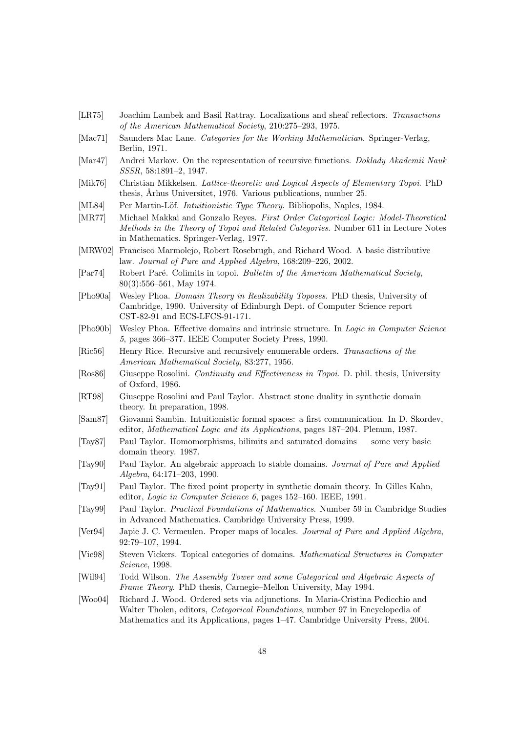- <span id="page-47-7"></span>[LR75] Joachim Lambek and Basil Rattray. Localizations and sheaf reflectors. Transactions of the American Mathematical Society, 210:275–293, 1975.
- <span id="page-47-11"></span>[Mac71] Saunders Mac Lane. Categories for the Working Mathematician. Springer-Verlag, Berlin, 1971.
- <span id="page-47-18"></span>[Mar47] Andrei Markov. On the representation of recursive functions. Doklady Akademii Nauk SSSR, 58:1891–2, 1947.
- <span id="page-47-17"></span>[Mik76] Christian Mikkelsen. Lattice-theoretic and Logical Aspects of Elementary Topoi. PhD thesis, Arhus Universitet, 1976. Various publications, number 25.
- <span id="page-47-0"></span>[ML84] Per Martin-Löf. *Intuitionistic Type Theory*. Bibliopolis, Naples, 1984.
- <span id="page-47-19"></span>[MR77] Michael Makkai and Gonzalo Reyes. First Order Categorical Logic: Model-Theoretical Methods in the Theory of Topoi and Related Categories. Number 611 in Lecture Notes in Mathematics. Springer-Verlag, 1977.
- <span id="page-47-8"></span>[MRW02] Francisco Marmolejo, Robert Rosebrugh, and Richard Wood. A basic distributive law. Journal of Pure and Applied Algebra, 168:209–226, 2002.
- <span id="page-47-21"></span>[Par74] Robert Paré. Colimits in topoi. Bulletin of the American Mathematical Society, 80(3):556–561, May 1974.
- <span id="page-47-4"></span>[Pho90a] Wesley Phoa. Domain Theory in Realizability Toposes. PhD thesis, University of Cambridge, 1990. University of Edinburgh Dept. of Computer Science report CST-82-91 and ECS-LFCS-91-171.
- <span id="page-47-9"></span>[Pho90b] Wesley Phoa. Effective domains and intrinsic structure. In Logic in Computer Science 5, pages 366–377. IEEE Computer Society Press, 1990.
- <span id="page-47-15"></span>[Ric56] Henry Rice. Recursive and recursively enumerable orders. Transactions of the American Mathematical Society, 83:277, 1956.
- <span id="page-47-6"></span>[Ros86] Giuseppe Rosolini. Continuity and Effectiveness in Topoi. D. phil. thesis, University of Oxford, 1986.
- <span id="page-47-10"></span>[RT98] Giuseppe Rosolini and Paul Taylor. Abstract stone duality in synthetic domain theory. In preparation, 1998.
- <span id="page-47-3"></span>[Sam87] Giovanni Sambin. Intuitionistic formal spaces: a first communication. In D. Skordev, editor, Mathematical Logic and its Applications, pages 187–204. Plenum, 1987.
- <span id="page-47-20"></span>[Tay87] Paul Taylor. Homomorphisms, bilimits and saturated domains — some very basic domain theory. 1987.
- <span id="page-47-14"></span>[Tay90] Paul Taylor. An algebraic approach to stable domains. Journal of Pure and Applied Algebra, 64:171–203, 1990.
- <span id="page-47-5"></span>[Tay91] Paul Taylor. The fixed point property in synthetic domain theory. In Gilles Kahn, editor, Logic in Computer Science 6, pages 152–160. IEEE, 1991.
- <span id="page-47-1"></span>[Tay99] Paul Taylor. Practical Foundations of Mathematics. Number 59 in Cambridge Studies in Advanced Mathematics. Cambridge University Press, 1999.
- <span id="page-47-16"></span>[Ver94] Japie J. C. Vermeulen. Proper maps of locales. Journal of Pure and Applied Algebra, 92:79–107, 1994.
- <span id="page-47-2"></span>[Vic98] Steven Vickers. Topical categories of domains. Mathematical Structures in Computer Science, 1998.
- <span id="page-47-12"></span>[Wil94] Todd Wilson. The Assembly Tower and some Categorical and Algebraic Aspects of Frame Theory. PhD thesis, Carnegie–Mellon University, May 1994.
- <span id="page-47-13"></span>[Woo04] Richard J. Wood. Ordered sets via adjunctions. In Maria-Cristina Pedicchio and Walter Tholen, editors, *Categorical Foundations*, number 97 in Encyclopedia of Mathematics and its Applications, pages 1–47. Cambridge University Press, 2004.